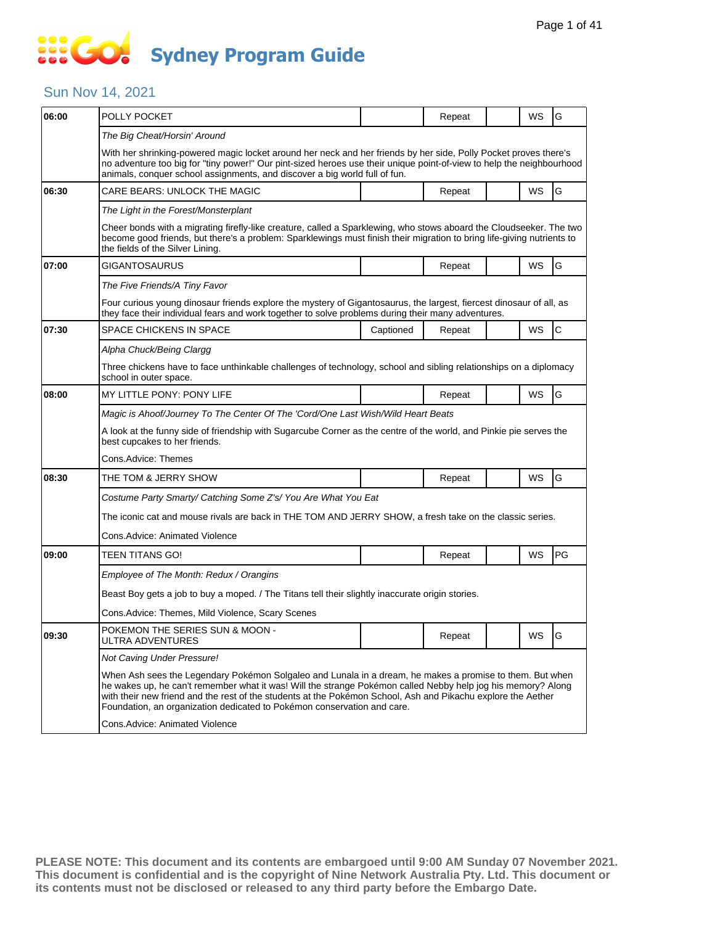### Sun Nov 14, 2021

| 06:00 | POLLY POCKET                                                                                                                                                                                                                                                                                                                                                                                                        |           | Repeat |  | WS | G           |  |  |  |
|-------|---------------------------------------------------------------------------------------------------------------------------------------------------------------------------------------------------------------------------------------------------------------------------------------------------------------------------------------------------------------------------------------------------------------------|-----------|--------|--|----|-------------|--|--|--|
|       | The Big Cheat/Horsin' Around                                                                                                                                                                                                                                                                                                                                                                                        |           |        |  |    |             |  |  |  |
|       | With her shrinking-powered magic locket around her neck and her friends by her side, Polly Pocket proves there's<br>no adventure too big for "tiny power!" Our pint-sized heroes use their unique point-of-view to help the neighbourhood<br>animals, conquer school assignments, and discover a big world full of fun.                                                                                             |           |        |  |    |             |  |  |  |
| 06:30 | CARE BEARS: UNLOCK THE MAGIC                                                                                                                                                                                                                                                                                                                                                                                        |           | Repeat |  | WS | G           |  |  |  |
|       | The Light in the Forest/Monsterplant                                                                                                                                                                                                                                                                                                                                                                                |           |        |  |    |             |  |  |  |
|       | Cheer bonds with a migrating firefly-like creature, called a Sparklewing, who stows aboard the Cloudseeker. The two<br>become good friends, but there's a problem: Sparklewings must finish their migration to bring life-giving nutrients to<br>the fields of the Silver Lining.                                                                                                                                   |           |        |  |    |             |  |  |  |
| 07:00 | GIGANTOSAURUS                                                                                                                                                                                                                                                                                                                                                                                                       |           | Repeat |  | WS | G           |  |  |  |
|       | The Five Friends/A Tiny Favor                                                                                                                                                                                                                                                                                                                                                                                       |           |        |  |    |             |  |  |  |
|       | Four curious young dinosaur friends explore the mystery of Gigantosaurus, the largest, fiercest dinosaur of all, as<br>they face their individual fears and work together to solve problems during their many adventures.                                                                                                                                                                                           |           |        |  |    |             |  |  |  |
| 07:30 | SPACE CHICKENS IN SPACE                                                                                                                                                                                                                                                                                                                                                                                             | Captioned | Repeat |  | WS | $\mathsf C$ |  |  |  |
|       | Alpha Chuck/Being Clargg                                                                                                                                                                                                                                                                                                                                                                                            |           |        |  |    |             |  |  |  |
|       | Three chickens have to face unthinkable challenges of technology, school and sibling relationships on a diplomacy<br>school in outer space.                                                                                                                                                                                                                                                                         |           |        |  |    |             |  |  |  |
| 08:00 | MY LITTLE PONY: PONY LIFE                                                                                                                                                                                                                                                                                                                                                                                           |           | Repeat |  | WS | G           |  |  |  |
|       | Magic is Ahoof/Journey To The Center Of The 'Cord/One Last Wish/Wild Heart Beats                                                                                                                                                                                                                                                                                                                                    |           |        |  |    |             |  |  |  |
|       | A look at the funny side of friendship with Sugarcube Corner as the centre of the world, and Pinkie pie serves the<br>best cupcakes to her friends.                                                                                                                                                                                                                                                                 |           |        |  |    |             |  |  |  |
|       | Cons.Advice: Themes                                                                                                                                                                                                                                                                                                                                                                                                 |           |        |  |    |             |  |  |  |
| 08:30 | THE TOM & JERRY SHOW                                                                                                                                                                                                                                                                                                                                                                                                |           | Repeat |  | WS | G           |  |  |  |
|       | Costume Party Smarty/ Catching Some Z's/ You Are What You Eat                                                                                                                                                                                                                                                                                                                                                       |           |        |  |    |             |  |  |  |
|       | The iconic cat and mouse rivals are back in THE TOM AND JERRY SHOW, a fresh take on the classic series.                                                                                                                                                                                                                                                                                                             |           |        |  |    |             |  |  |  |
|       | Cons.Advice: Animated Violence                                                                                                                                                                                                                                                                                                                                                                                      |           |        |  |    |             |  |  |  |
| 09:00 | TEEN TITANS GO!                                                                                                                                                                                                                                                                                                                                                                                                     |           | Repeat |  | WS | PG          |  |  |  |
|       | Employee of The Month: Redux / Orangins                                                                                                                                                                                                                                                                                                                                                                             |           |        |  |    |             |  |  |  |
|       | Beast Boy gets a job to buy a moped. / The Titans tell their slightly inaccurate origin stories.                                                                                                                                                                                                                                                                                                                    |           |        |  |    |             |  |  |  |
|       | Cons.Advice: Themes, Mild Violence, Scary Scenes                                                                                                                                                                                                                                                                                                                                                                    |           |        |  |    |             |  |  |  |
| 09:30 | POKEMON THE SERIES SUN & MOON -<br>ULTRA ADVENTURES                                                                                                                                                                                                                                                                                                                                                                 |           | Repeat |  | WS | lG          |  |  |  |
|       | Not Caving Under Pressure!                                                                                                                                                                                                                                                                                                                                                                                          |           |        |  |    |             |  |  |  |
|       | When Ash sees the Legendary Pokémon Solgaleo and Lunala in a dream, he makes a promise to them. But when<br>he wakes up, he can't remember what it was! Will the strange Pokémon called Nebby help jog his memory? Along<br>with their new friend and the rest of the students at the Pokémon School, Ash and Pikachu explore the Aether<br>Foundation, an organization dedicated to Pokémon conservation and care. |           |        |  |    |             |  |  |  |
|       | Cons.Advice: Animated Violence                                                                                                                                                                                                                                                                                                                                                                                      |           |        |  |    |             |  |  |  |
|       |                                                                                                                                                                                                                                                                                                                                                                                                                     |           |        |  |    |             |  |  |  |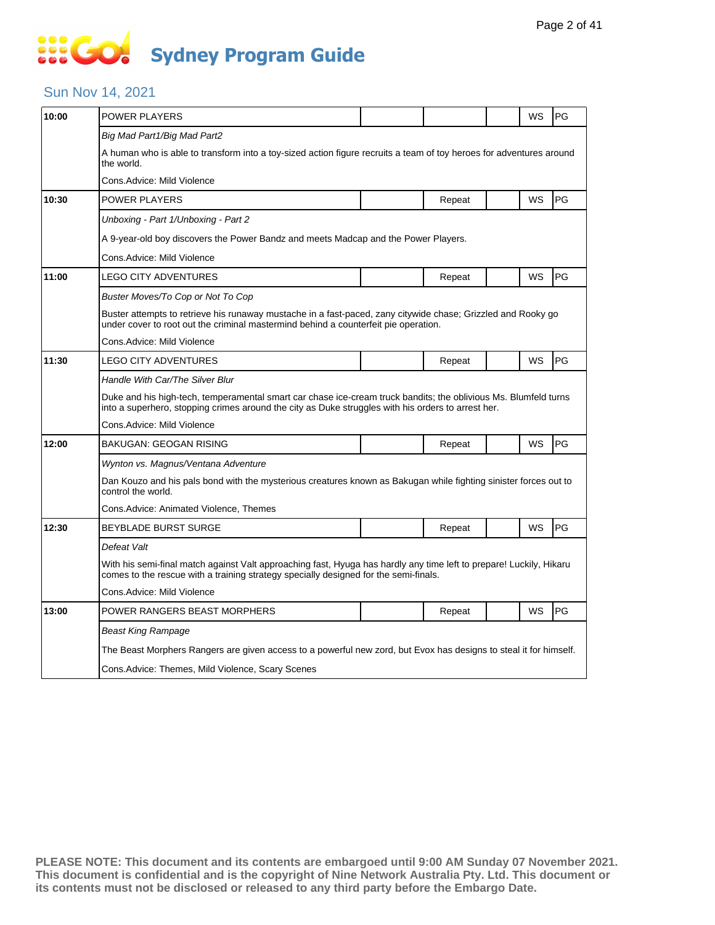# **SOCIETY Sydney Program Guide**

### Sun Nov 14, 2021

| 10:00 | POWER PLAYERS                                                                                                                                                                                                         |  |        |  | WS | PG |  |  |  |
|-------|-----------------------------------------------------------------------------------------------------------------------------------------------------------------------------------------------------------------------|--|--------|--|----|----|--|--|--|
|       | Big Mad Part1/Big Mad Part2                                                                                                                                                                                           |  |        |  |    |    |  |  |  |
|       | A human who is able to transform into a toy-sized action figure recruits a team of toy heroes for adventures around<br>the world.                                                                                     |  |        |  |    |    |  |  |  |
|       | Cons.Advice: Mild Violence                                                                                                                                                                                            |  |        |  |    |    |  |  |  |
| 10:30 | POWER PLAYERS                                                                                                                                                                                                         |  | Repeat |  | WS | PG |  |  |  |
|       | Unboxing - Part 1/Unboxing - Part 2                                                                                                                                                                                   |  |        |  |    |    |  |  |  |
|       | A 9-year-old boy discovers the Power Bandz and meets Madcap and the Power Players.                                                                                                                                    |  |        |  |    |    |  |  |  |
|       | Cons.Advice: Mild Violence                                                                                                                                                                                            |  |        |  |    |    |  |  |  |
| 11:00 | <b>LEGO CITY ADVENTURES</b>                                                                                                                                                                                           |  | Repeat |  | WS | PG |  |  |  |
|       | Buster Moves/To Cop or Not To Cop                                                                                                                                                                                     |  |        |  |    |    |  |  |  |
|       | Buster attempts to retrieve his runaway mustache in a fast-paced, zany citywide chase; Grizzled and Rooky go<br>under cover to root out the criminal mastermind behind a counterfeit pie operation.                   |  |        |  |    |    |  |  |  |
|       | Cons.Advice: Mild Violence                                                                                                                                                                                            |  |        |  |    |    |  |  |  |
| 11:30 | LEGO CITY ADVENTURES                                                                                                                                                                                                  |  | Repeat |  | WS | PG |  |  |  |
|       | Handle With Car/The Silver Blur                                                                                                                                                                                       |  |        |  |    |    |  |  |  |
|       | Duke and his high-tech, temperamental smart car chase ice-cream truck bandits; the oblivious Ms. Blumfeld turns<br>into a superhero, stopping crimes around the city as Duke struggles with his orders to arrest her. |  |        |  |    |    |  |  |  |
|       | Cons.Advice: Mild Violence                                                                                                                                                                                            |  |        |  |    |    |  |  |  |
| 12:00 | BAKUGAN: GEOGAN RISING                                                                                                                                                                                                |  | Repeat |  | WS | PG |  |  |  |
|       | Wynton vs. Magnus/Ventana Adventure                                                                                                                                                                                   |  |        |  |    |    |  |  |  |
|       | Dan Kouzo and his pals bond with the mysterious creatures known as Bakugan while fighting sinister forces out to<br>control the world.                                                                                |  |        |  |    |    |  |  |  |
|       | Cons.Advice: Animated Violence, Themes                                                                                                                                                                                |  |        |  |    |    |  |  |  |
| 12:30 | BEYBLADE BURST SURGE                                                                                                                                                                                                  |  | Repeat |  | WS | PG |  |  |  |
|       | Defeat Valt                                                                                                                                                                                                           |  |        |  |    |    |  |  |  |
|       | With his semi-final match against Valt approaching fast, Hyuga has hardly any time left to prepare! Luckily, Hikaru<br>comes to the rescue with a training strategy specially designed for the semi-finals.           |  |        |  |    |    |  |  |  |
|       | Cons.Advice: Mild Violence                                                                                                                                                                                            |  |        |  |    |    |  |  |  |
| 13:00 | POWER RANGERS BEAST MORPHERS                                                                                                                                                                                          |  | Repeat |  | WS | PG |  |  |  |
|       | Beast King Rampage                                                                                                                                                                                                    |  |        |  |    |    |  |  |  |
|       | The Beast Morphers Rangers are given access to a powerful new zord, but Evox has designs to steal it for himself.                                                                                                     |  |        |  |    |    |  |  |  |
|       | Cons. Advice: Themes, Mild Violence, Scary Scenes                                                                                                                                                                     |  |        |  |    |    |  |  |  |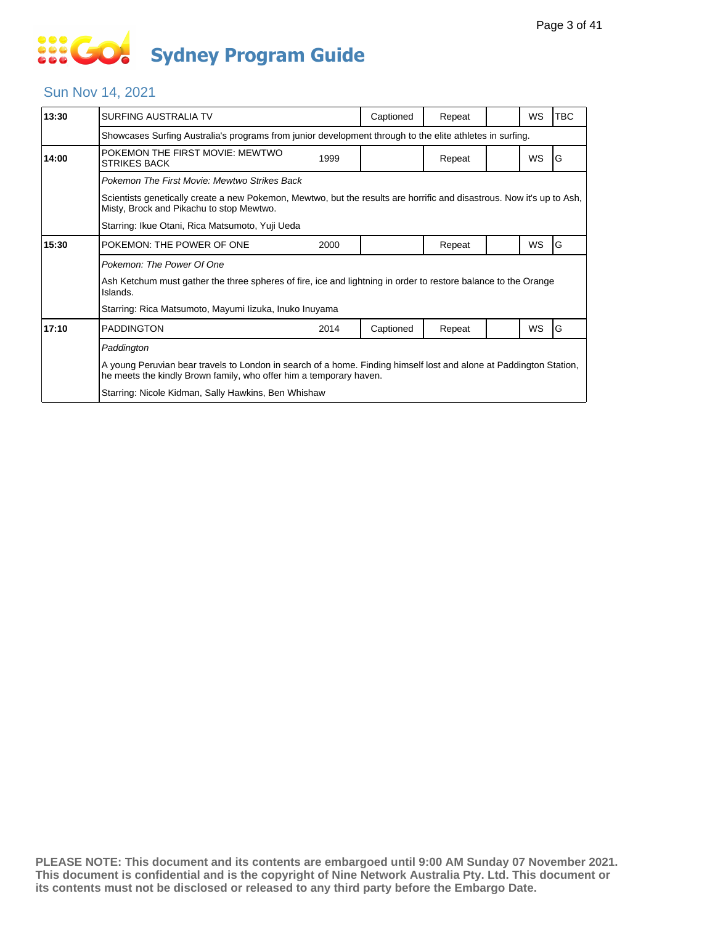# **... Go Sydney Program Guide**

#### Sun Nov 14, 2021

| 13:30 | SURFING AUSTRALIA TV                                                                                                                                                                     |      | Captioned | Repeat |  | WS        | <b>TBC</b> |  |  |  |
|-------|------------------------------------------------------------------------------------------------------------------------------------------------------------------------------------------|------|-----------|--------|--|-----------|------------|--|--|--|
|       | Showcases Surfing Australia's programs from junior development through to the elite athletes in surfing.                                                                                 |      |           |        |  |           |            |  |  |  |
| 14:00 | POKEMON THE FIRST MOVIE: MEWTWO<br><b>STRIKES BACK</b>                                                                                                                                   | 1999 |           | Repeat |  | <b>WS</b> | G          |  |  |  |
|       | Pokemon The First Movie: Mewtwo Strikes Back                                                                                                                                             |      |           |        |  |           |            |  |  |  |
|       | Scientists genetically create a new Pokemon, Mewtwo, but the results are horrific and disastrous. Now it's up to Ash,<br>Misty, Brock and Pikachu to stop Mewtwo.                        |      |           |        |  |           |            |  |  |  |
|       | Starring: Ikue Otani, Rica Matsumoto, Yuji Ueda                                                                                                                                          |      |           |        |  |           |            |  |  |  |
| 15:30 | POKEMON: THE POWER OF ONE                                                                                                                                                                | 2000 |           | Repeat |  | <b>WS</b> | G          |  |  |  |
|       | Pokemon: The Power Of One                                                                                                                                                                |      |           |        |  |           |            |  |  |  |
|       | Ash Ketchum must gather the three spheres of fire, ice and lightning in order to restore balance to the Orange<br>Islands.                                                               |      |           |        |  |           |            |  |  |  |
|       | Starring: Rica Matsumoto, Mayumi lizuka, Inuko Inuyama                                                                                                                                   |      |           |        |  |           |            |  |  |  |
| 17:10 | <b>PADDINGTON</b>                                                                                                                                                                        | 2014 | Captioned | Repeat |  | WS        | G          |  |  |  |
|       | Paddington                                                                                                                                                                               |      |           |        |  |           |            |  |  |  |
|       | A young Peruvian bear travels to London in search of a home. Finding himself lost and alone at Paddington Station,<br>he meets the kindly Brown family, who offer him a temporary haven. |      |           |        |  |           |            |  |  |  |
|       | Starring: Nicole Kidman, Sally Hawkins, Ben Whishaw                                                                                                                                      |      |           |        |  |           |            |  |  |  |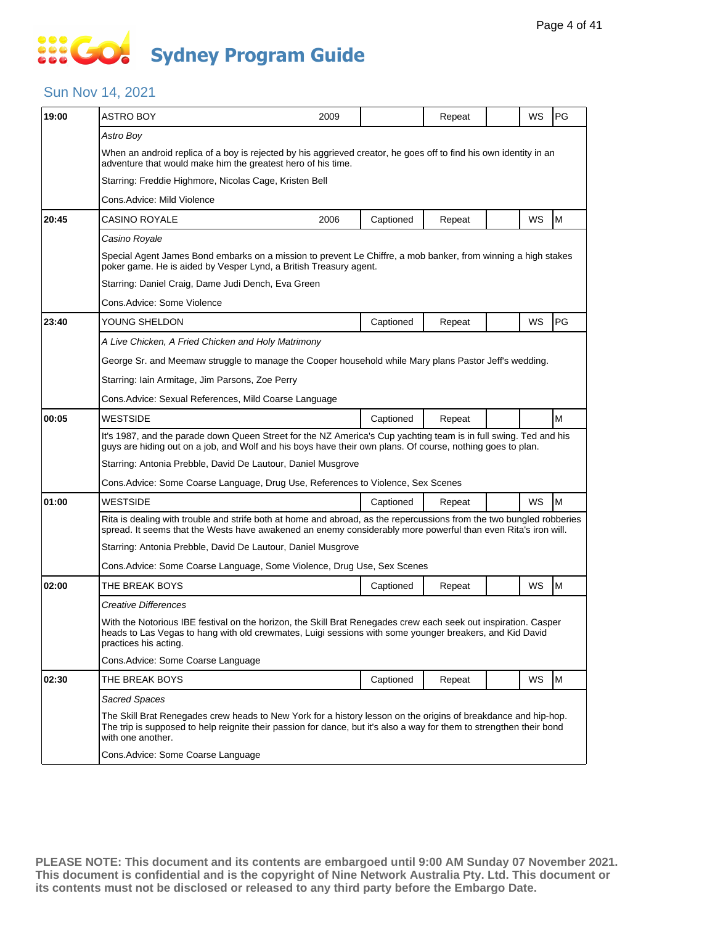# **SOCO Sydney Program Guide**

### Sun Nov 14, 2021

| 19:00          | <b>ASTRO BOY</b>                                                                                                                                                                                                                                            | 2009                                                                                                                                                                                                                       |           | Repeat |  | WS | PG |  |  |  |
|----------------|-------------------------------------------------------------------------------------------------------------------------------------------------------------------------------------------------------------------------------------------------------------|----------------------------------------------------------------------------------------------------------------------------------------------------------------------------------------------------------------------------|-----------|--------|--|----|----|--|--|--|
|                | Astro Boy                                                                                                                                                                                                                                                   |                                                                                                                                                                                                                            |           |        |  |    |    |  |  |  |
|                | When an android replica of a boy is rejected by his aggrieved creator, he goes off to find his own identity in an<br>adventure that would make him the greatest hero of his time.                                                                           |                                                                                                                                                                                                                            |           |        |  |    |    |  |  |  |
|                | Starring: Freddie Highmore, Nicolas Cage, Kristen Bell                                                                                                                                                                                                      |                                                                                                                                                                                                                            |           |        |  |    |    |  |  |  |
|                | Cons.Advice: Mild Violence                                                                                                                                                                                                                                  |                                                                                                                                                                                                                            |           |        |  |    |    |  |  |  |
| 20:45          | CASINO ROYALE                                                                                                                                                                                                                                               | 2006                                                                                                                                                                                                                       | Captioned | Repeat |  | WS | M  |  |  |  |
|                | Casino Royale                                                                                                                                                                                                                                               |                                                                                                                                                                                                                            |           |        |  |    |    |  |  |  |
|                | Special Agent James Bond embarks on a mission to prevent Le Chiffre, a mob banker, from winning a high stakes<br>poker game. He is aided by Vesper Lynd, a British Treasury agent.                                                                          |                                                                                                                                                                                                                            |           |        |  |    |    |  |  |  |
|                | Starring: Daniel Craig, Dame Judi Dench, Eva Green                                                                                                                                                                                                          |                                                                                                                                                                                                                            |           |        |  |    |    |  |  |  |
|                | Cons.Advice: Some Violence                                                                                                                                                                                                                                  |                                                                                                                                                                                                                            |           |        |  |    |    |  |  |  |
| 23:40          | YOUNG SHELDON                                                                                                                                                                                                                                               |                                                                                                                                                                                                                            | Captioned | Repeat |  | WS | PG |  |  |  |
|                | A Live Chicken, A Fried Chicken and Holy Matrimony                                                                                                                                                                                                          |                                                                                                                                                                                                                            |           |        |  |    |    |  |  |  |
|                | George Sr. and Meemaw struggle to manage the Cooper household while Mary plans Pastor Jeff's wedding.                                                                                                                                                       |                                                                                                                                                                                                                            |           |        |  |    |    |  |  |  |
|                | Starring: Iain Armitage, Jim Parsons, Zoe Perry                                                                                                                                                                                                             |                                                                                                                                                                                                                            |           |        |  |    |    |  |  |  |
|                | Cons. Advice: Sexual References, Mild Coarse Language                                                                                                                                                                                                       |                                                                                                                                                                                                                            |           |        |  |    |    |  |  |  |
|                | <b>WESTSIDE</b>                                                                                                                                                                                                                                             |                                                                                                                                                                                                                            | Captioned | Repeat |  |    | M  |  |  |  |
|                | It's 1987, and the parade down Queen Street for the NZ America's Cup yachting team is in full swing. Ted and his<br>guys are hiding out on a job, and Wolf and his boys have their own plans. Of course, nothing goes to plan.                              |                                                                                                                                                                                                                            |           |        |  |    |    |  |  |  |
|                | Starring: Antonia Prebble, David De Lautour, Daniel Musgrove                                                                                                                                                                                                |                                                                                                                                                                                                                            |           |        |  |    |    |  |  |  |
|                | Cons. Advice: Some Coarse Language, Drug Use, References to Violence, Sex Scenes                                                                                                                                                                            |                                                                                                                                                                                                                            |           |        |  |    |    |  |  |  |
| 01:00          | <b>WESTSIDE</b>                                                                                                                                                                                                                                             |                                                                                                                                                                                                                            | Captioned | Repeat |  | WS | M  |  |  |  |
|                | Rita is dealing with trouble and strife both at home and abroad, as the repercussions from the two bungled robberies<br>spread. It seems that the Wests have awakened an enemy considerably more powerful than even Rita's iron will.                       |                                                                                                                                                                                                                            |           |        |  |    |    |  |  |  |
|                | Starring: Antonia Prebble, David De Lautour, Daniel Musgrove                                                                                                                                                                                                |                                                                                                                                                                                                                            |           |        |  |    |    |  |  |  |
|                | Cons. Advice: Some Coarse Language, Some Violence, Drug Use, Sex Scenes                                                                                                                                                                                     |                                                                                                                                                                                                                            |           |        |  |    |    |  |  |  |
| 02:00          | THE BREAK BOYS                                                                                                                                                                                                                                              |                                                                                                                                                                                                                            | Captioned | Repeat |  | WS | M  |  |  |  |
| 00:05<br>02:30 | Creative Differences                                                                                                                                                                                                                                        |                                                                                                                                                                                                                            |           |        |  |    |    |  |  |  |
|                | practices his acting.                                                                                                                                                                                                                                       | With the Notorious IBE festival on the horizon, the Skill Brat Renegades crew each seek out inspiration. Casper<br>heads to Las Vegas to hang with old crewmates, Luigi sessions with some younger breakers, and Kid David |           |        |  |    |    |  |  |  |
|                | Cons.Advice: Some Coarse Language                                                                                                                                                                                                                           |                                                                                                                                                                                                                            |           |        |  |    |    |  |  |  |
|                | THE BREAK BOYS                                                                                                                                                                                                                                              |                                                                                                                                                                                                                            | Captioned | Repeat |  | WS | M  |  |  |  |
|                | Sacred Spaces                                                                                                                                                                                                                                               |                                                                                                                                                                                                                            |           |        |  |    |    |  |  |  |
|                | The Skill Brat Renegades crew heads to New York for a history lesson on the origins of breakdance and hip-hop.<br>The trip is supposed to help reignite their passion for dance, but it's also a way for them to strengthen their bond<br>with one another. |                                                                                                                                                                                                                            |           |        |  |    |    |  |  |  |
|                | Cons. Advice: Some Coarse Language                                                                                                                                                                                                                          |                                                                                                                                                                                                                            |           |        |  |    |    |  |  |  |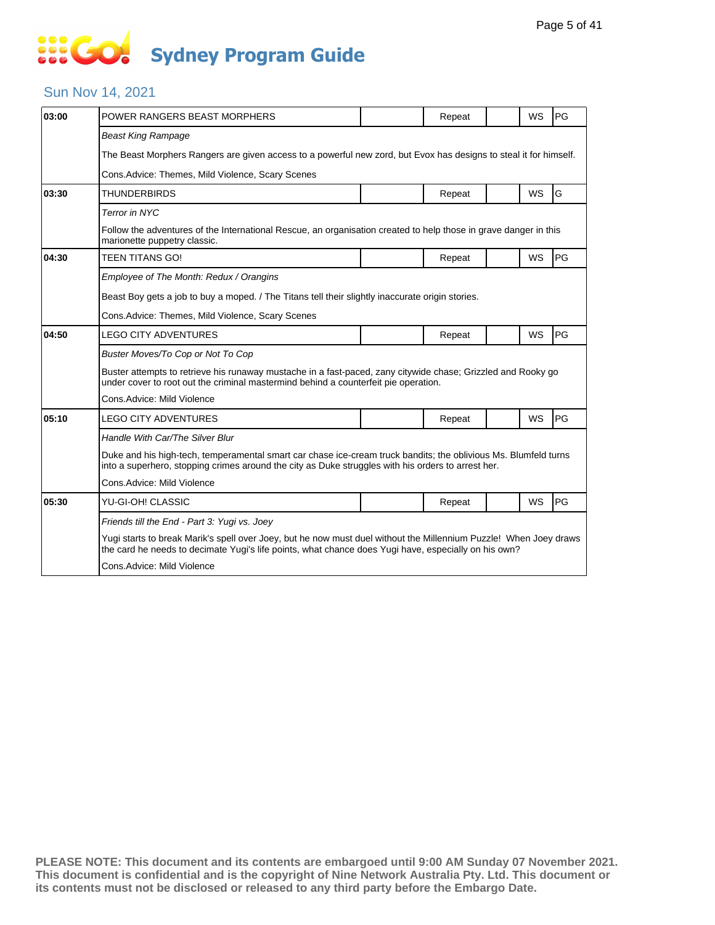# **SECT Sydney Program Guide**

### Sun Nov 14, 2021

| 03:00 | POWER RANGERS BEAST MORPHERS                                                                                                                                                                                              |  | Repeat |  | <b>WS</b> | PG |  |  |  |
|-------|---------------------------------------------------------------------------------------------------------------------------------------------------------------------------------------------------------------------------|--|--------|--|-----------|----|--|--|--|
|       | <b>Beast King Rampage</b>                                                                                                                                                                                                 |  |        |  |           |    |  |  |  |
|       | The Beast Morphers Rangers are given access to a powerful new zord, but Evox has designs to steal it for himself.                                                                                                         |  |        |  |           |    |  |  |  |
|       | Cons. Advice: Themes, Mild Violence, Scary Scenes                                                                                                                                                                         |  |        |  |           |    |  |  |  |
| 03:30 | <b>THUNDERBIRDS</b>                                                                                                                                                                                                       |  | Repeat |  | WS        | G  |  |  |  |
|       | Terror in NYC                                                                                                                                                                                                             |  |        |  |           |    |  |  |  |
|       | Follow the adventures of the International Rescue, an organisation created to help those in grave danger in this<br>marionette puppetry classic.                                                                          |  |        |  |           |    |  |  |  |
| 04:30 | <b>TEEN TITANS GO!</b>                                                                                                                                                                                                    |  | Repeat |  | <b>WS</b> | PG |  |  |  |
|       | Employee of The Month: Redux / Orangins                                                                                                                                                                                   |  |        |  |           |    |  |  |  |
|       | Beast Boy gets a job to buy a moped. / The Titans tell their slightly inaccurate origin stories.                                                                                                                          |  |        |  |           |    |  |  |  |
|       | Cons. Advice: Themes, Mild Violence, Scary Scenes                                                                                                                                                                         |  |        |  |           |    |  |  |  |
| 04:50 | <b>LEGO CITY ADVENTURES</b>                                                                                                                                                                                               |  | Repeat |  | WS        | PG |  |  |  |
|       | Buster Moves/To Cop or Not To Cop                                                                                                                                                                                         |  |        |  |           |    |  |  |  |
|       | Buster attempts to retrieve his runaway mustache in a fast-paced, zany citywide chase; Grizzled and Rooky go<br>under cover to root out the criminal mastermind behind a counterfeit pie operation.                       |  |        |  |           |    |  |  |  |
|       | Cons.Advice: Mild Violence                                                                                                                                                                                                |  |        |  |           |    |  |  |  |
| 05:10 | <b>LEGO CITY ADVENTURES</b>                                                                                                                                                                                               |  | Repeat |  | WS        | PG |  |  |  |
|       | Handle With Car/The Silver Blur                                                                                                                                                                                           |  |        |  |           |    |  |  |  |
|       | Duke and his high-tech, temperamental smart car chase ice-cream truck bandits; the oblivious Ms. Blumfeld turns<br>into a superhero, stopping crimes around the city as Duke struggles with his orders to arrest her.     |  |        |  |           |    |  |  |  |
|       | Cons.Advice: Mild Violence                                                                                                                                                                                                |  |        |  |           |    |  |  |  |
| 05:30 | YU-GI-OH! CLASSIC                                                                                                                                                                                                         |  | Repeat |  | <b>WS</b> | PG |  |  |  |
|       | Friends till the End - Part 3: Yugi vs. Joey                                                                                                                                                                              |  |        |  |           |    |  |  |  |
|       | Yugi starts to break Marik's spell over Joey, but he now must duel without the Millennium Puzzle! When Joey draws<br>the card he needs to decimate Yugi's life points, what chance does Yugi have, especially on his own? |  |        |  |           |    |  |  |  |
|       | Cons.Advice: Mild Violence                                                                                                                                                                                                |  |        |  |           |    |  |  |  |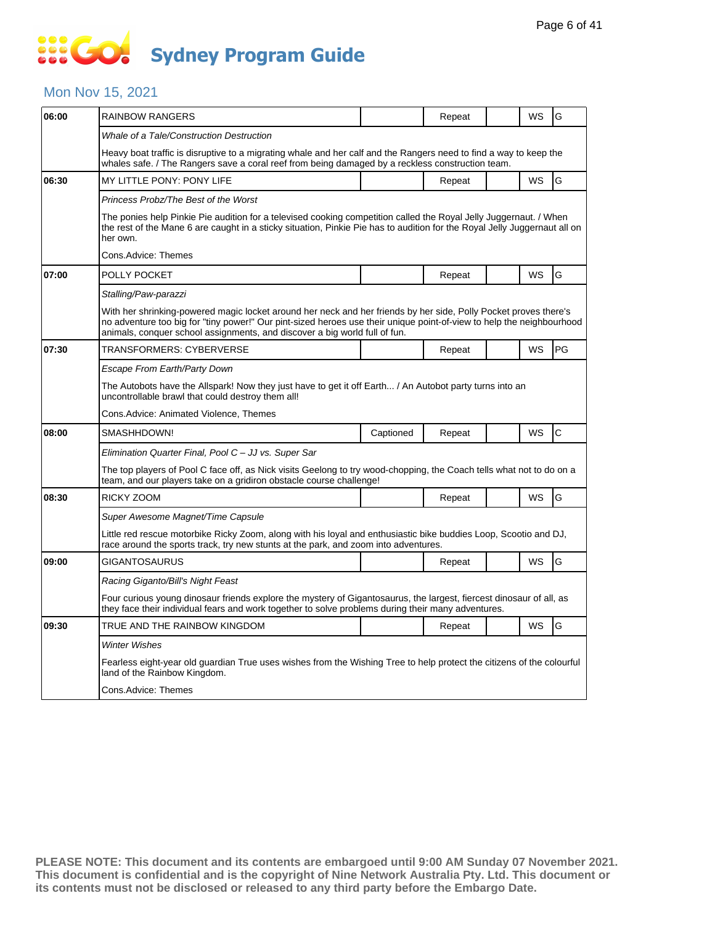### Mon Nov 15, 2021

| 06:00 | RAINBOW RANGERS                                                                                                                                                                                                                                                                                                         |           | Repeat |  | WS | G  |  |  |  |
|-------|-------------------------------------------------------------------------------------------------------------------------------------------------------------------------------------------------------------------------------------------------------------------------------------------------------------------------|-----------|--------|--|----|----|--|--|--|
|       | Whale of a Tale/Construction Destruction                                                                                                                                                                                                                                                                                |           |        |  |    |    |  |  |  |
|       | Heavy boat traffic is disruptive to a migrating whale and her calf and the Rangers need to find a way to keep the<br>whales safe. / The Rangers save a coral reef from being damaged by a reckless construction team.                                                                                                   |           |        |  |    |    |  |  |  |
| 06:30 | <b>MY LITTLE PONY: PONY LIFE</b>                                                                                                                                                                                                                                                                                        |           | Repeat |  | WS | G  |  |  |  |
|       | Princess Probz/The Best of the Worst                                                                                                                                                                                                                                                                                    |           |        |  |    |    |  |  |  |
|       | The ponies help Pinkie Pie audition for a televised cooking competition called the Royal Jelly Juggernaut. / When<br>the rest of the Mane 6 are caught in a sticky situation, Pinkie Pie has to audition for the Royal Jelly Juggernaut all on<br>her own.                                                              |           |        |  |    |    |  |  |  |
|       | Cons.Advice: Themes                                                                                                                                                                                                                                                                                                     |           |        |  |    |    |  |  |  |
| 07:00 | POLLY POCKET                                                                                                                                                                                                                                                                                                            |           | Repeat |  | WS | G  |  |  |  |
|       | Stalling/Paw-parazzi                                                                                                                                                                                                                                                                                                    |           |        |  |    |    |  |  |  |
|       | With her shrinking-powered magic locket around her neck and her friends by her side, Polly Pocket proves there's<br>no adventure too big for "tiny power!" Our pint-sized heroes use their unique point-of-view to help the neighbourhood<br>animals, conquer school assignments, and discover a big world full of fun. |           |        |  |    |    |  |  |  |
| 07:30 | TRANSFORMERS: CYBERVERSE                                                                                                                                                                                                                                                                                                |           | Repeat |  | WS | PG |  |  |  |
|       | <b>Escape From Earth/Party Down</b>                                                                                                                                                                                                                                                                                     |           |        |  |    |    |  |  |  |
|       | The Autobots have the Allspark! Now they just have to get it off Earth / An Autobot party turns into an<br>uncontrollable brawl that could destroy them all!                                                                                                                                                            |           |        |  |    |    |  |  |  |
|       | Cons.Advice: Animated Violence, Themes                                                                                                                                                                                                                                                                                  |           |        |  |    |    |  |  |  |
| 08:00 | SMASHHDOWN!                                                                                                                                                                                                                                                                                                             | Captioned | Repeat |  | WS | C  |  |  |  |
|       | Elimination Quarter Final, Pool C - JJ vs. Super Sar                                                                                                                                                                                                                                                                    |           |        |  |    |    |  |  |  |
|       | The top players of Pool C face off, as Nick visits Geelong to try wood-chopping, the Coach tells what not to do on a<br>team, and our players take on a gridiron obstacle course challenge!                                                                                                                             |           |        |  |    |    |  |  |  |
| 08:30 | RICKY ZOOM                                                                                                                                                                                                                                                                                                              |           | Repeat |  | WS | G  |  |  |  |
|       | Super Awesome Magnet/Time Capsule                                                                                                                                                                                                                                                                                       |           |        |  |    |    |  |  |  |
|       | Little red rescue motorbike Ricky Zoom, along with his loyal and enthusiastic bike buddies Loop, Scootio and DJ,<br>race around the sports track, try new stunts at the park, and zoom into adventures.                                                                                                                 |           |        |  |    |    |  |  |  |
| 09:00 | GIGANTOSAURUS                                                                                                                                                                                                                                                                                                           |           | Repeat |  | WS | G  |  |  |  |
|       | Racing Giganto/Bill's Night Feast                                                                                                                                                                                                                                                                                       |           |        |  |    |    |  |  |  |
|       | Four curious young dinosaur friends explore the mystery of Gigantosaurus, the largest, fiercest dinosaur of all, as<br>they face their individual fears and work together to solve problems during their many adventures.                                                                                               |           |        |  |    |    |  |  |  |
|       |                                                                                                                                                                                                                                                                                                                         |           |        |  |    |    |  |  |  |
| 09:30 | TRUE AND THE RAINBOW KINGDOM                                                                                                                                                                                                                                                                                            |           | Repeat |  | WS | G  |  |  |  |
|       | <b>Winter Wishes</b>                                                                                                                                                                                                                                                                                                    |           |        |  |    |    |  |  |  |
|       | Fearless eight-year old guardian True uses wishes from the Wishing Tree to help protect the citizens of the colourful<br>land of the Rainbow Kingdom.                                                                                                                                                                   |           |        |  |    |    |  |  |  |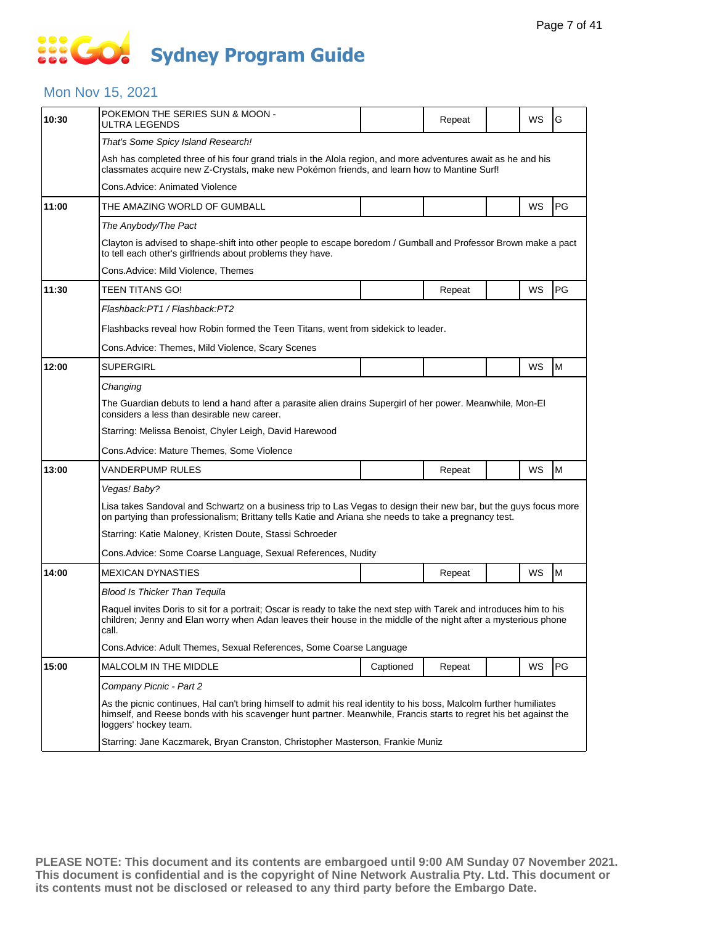# **SOCO Sydney Program Guide**

### Mon Nov 15, 2021

| 10:30 | POKEMON THE SERIES SUN & MOON -<br>ULTRA LEGENDS                                                                                                                                                                                                                  |           | Repeat |  | WS | G  |  |  |  |
|-------|-------------------------------------------------------------------------------------------------------------------------------------------------------------------------------------------------------------------------------------------------------------------|-----------|--------|--|----|----|--|--|--|
|       | That's Some Spicy Island Research!                                                                                                                                                                                                                                |           |        |  |    |    |  |  |  |
|       | Ash has completed three of his four grand trials in the Alola region, and more adventures await as he and his<br>classmates acquire new Z-Crystals, make new Pokémon friends, and learn how to Mantine Surf!                                                      |           |        |  |    |    |  |  |  |
|       | Cons.Advice: Animated Violence                                                                                                                                                                                                                                    |           |        |  |    |    |  |  |  |
| 11:00 | THE AMAZING WORLD OF GUMBALL                                                                                                                                                                                                                                      |           |        |  | WS | PG |  |  |  |
|       | The Anybody/The Pact                                                                                                                                                                                                                                              |           |        |  |    |    |  |  |  |
|       | Clayton is advised to shape-shift into other people to escape boredom / Gumball and Professor Brown make a pact<br>to tell each other's girlfriends about problems they have.                                                                                     |           |        |  |    |    |  |  |  |
|       | Cons.Advice: Mild Violence, Themes                                                                                                                                                                                                                                |           |        |  |    |    |  |  |  |
| 11:30 | TEEN TITANS GO!                                                                                                                                                                                                                                                   |           | Repeat |  | WS | PG |  |  |  |
|       | Flashback:PT1 / Flashback:PT2                                                                                                                                                                                                                                     |           |        |  |    |    |  |  |  |
|       | Flashbacks reveal how Robin formed the Teen Titans, went from sidekick to leader.                                                                                                                                                                                 |           |        |  |    |    |  |  |  |
|       | Cons.Advice: Themes, Mild Violence, Scary Scenes                                                                                                                                                                                                                  |           |        |  |    |    |  |  |  |
| 12:00 | <b>SUPERGIRL</b>                                                                                                                                                                                                                                                  |           |        |  | WS | M  |  |  |  |
|       | Changing                                                                                                                                                                                                                                                          |           |        |  |    |    |  |  |  |
|       | The Guardian debuts to lend a hand after a parasite alien drains Supergirl of her power. Meanwhile, Mon-El<br>considers a less than desirable new career.                                                                                                         |           |        |  |    |    |  |  |  |
|       | Starring: Melissa Benoist, Chyler Leigh, David Harewood                                                                                                                                                                                                           |           |        |  |    |    |  |  |  |
|       | Cons.Advice: Mature Themes, Some Violence                                                                                                                                                                                                                         |           |        |  |    |    |  |  |  |
| 13:00 | VANDERPUMP RULES                                                                                                                                                                                                                                                  |           | Repeat |  | WS | M  |  |  |  |
|       | Vegas! Baby?                                                                                                                                                                                                                                                      |           |        |  |    |    |  |  |  |
|       | Lisa takes Sandoval and Schwartz on a business trip to Las Vegas to design their new bar, but the guys focus more<br>on partying than professionalism; Brittany tells Katie and Ariana she needs to take a pregnancy test.                                        |           |        |  |    |    |  |  |  |
|       | Starring: Katie Maloney, Kristen Doute, Stassi Schroeder                                                                                                                                                                                                          |           |        |  |    |    |  |  |  |
|       | Cons.Advice: Some Coarse Language, Sexual References, Nudity                                                                                                                                                                                                      |           |        |  |    |    |  |  |  |
| 14:00 | <b>MEXICAN DYNASTIES</b>                                                                                                                                                                                                                                          |           | Repeat |  | WS | M  |  |  |  |
|       | <b>Blood Is Thicker Than Tequila</b>                                                                                                                                                                                                                              |           |        |  |    |    |  |  |  |
|       | Raquel invites Doris to sit for a portrait; Oscar is ready to take the next step with Tarek and introduces him to his<br>children; Jenny and Elan worry when Adan leaves their house in the middle of the night after a mysterious phone<br>call.                 |           |        |  |    |    |  |  |  |
|       | Cons.Advice: Adult Themes, Sexual References, Some Coarse Language                                                                                                                                                                                                |           |        |  |    |    |  |  |  |
| 15:00 | MALCOLM IN THE MIDDLE                                                                                                                                                                                                                                             | Captioned | Repeat |  | WS | PG |  |  |  |
|       | Company Picnic - Part 2                                                                                                                                                                                                                                           |           |        |  |    |    |  |  |  |
|       | As the picnic continues, Hal can't bring himself to admit his real identity to his boss, Malcolm further humiliates<br>himself, and Reese bonds with his scavenger hunt partner. Meanwhile, Francis starts to regret his bet against the<br>loggers' hockey team. |           |        |  |    |    |  |  |  |
|       | Starring: Jane Kaczmarek, Bryan Cranston, Christopher Masterson, Frankie Muniz                                                                                                                                                                                    |           |        |  |    |    |  |  |  |
|       |                                                                                                                                                                                                                                                                   |           |        |  |    |    |  |  |  |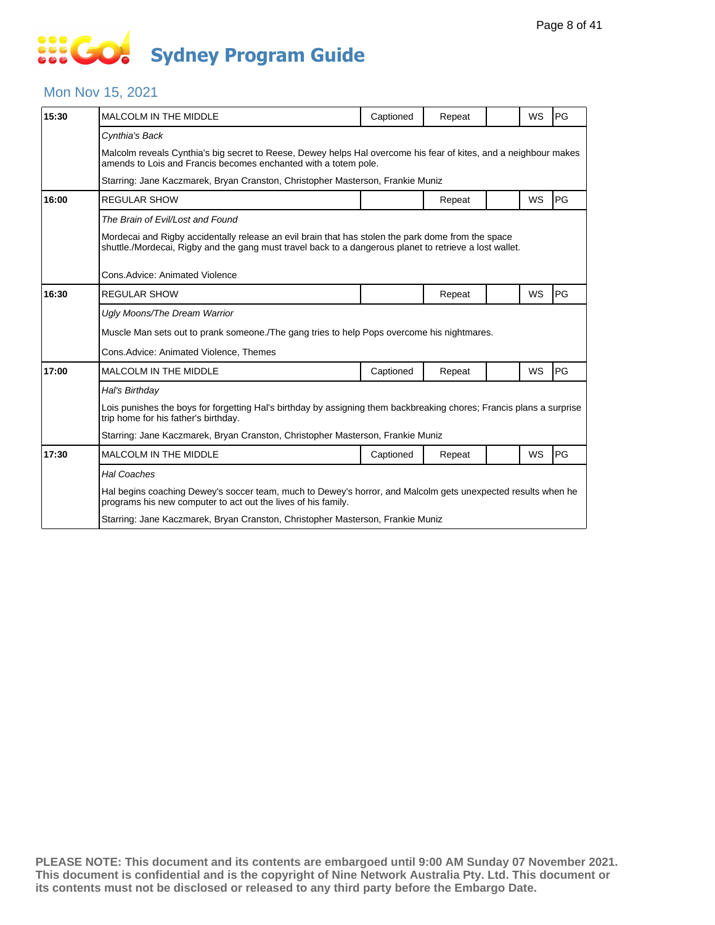# **... Go Sydney Program Guide**

### Mon Nov 15, 2021

| 15:30 | <b>MALCOLM IN THE MIDDLE</b>                                                                                                                                                                                  | Captioned | Repeat |  | <b>WS</b> | PG |  |  |  |
|-------|---------------------------------------------------------------------------------------------------------------------------------------------------------------------------------------------------------------|-----------|--------|--|-----------|----|--|--|--|
|       | Cynthia's Back                                                                                                                                                                                                |           |        |  |           |    |  |  |  |
|       | Malcolm reveals Cynthia's big secret to Reese, Dewey helps Hal overcome his fear of kites, and a neighbour makes<br>amends to Lois and Francis becomes enchanted with a totem pole.                           |           |        |  |           |    |  |  |  |
|       | Starring: Jane Kaczmarek, Bryan Cranston, Christopher Masterson, Frankie Muniz                                                                                                                                |           |        |  |           |    |  |  |  |
| 16:00 | <b>REGULAR SHOW</b>                                                                                                                                                                                           |           | Repeat |  | WS        | PG |  |  |  |
|       | The Brain of Evil/Lost and Found                                                                                                                                                                              |           |        |  |           |    |  |  |  |
|       | Mordecai and Rigby accidentally release an evil brain that has stolen the park dome from the space<br>shuttle./Mordecai, Rigby and the gang must travel back to a dangerous planet to retrieve a lost wallet. |           |        |  |           |    |  |  |  |
|       | Cons. Advice: Animated Violence                                                                                                                                                                               |           |        |  |           |    |  |  |  |
| 16:30 | <b>REGULAR SHOW</b>                                                                                                                                                                                           |           | Repeat |  | <b>WS</b> | PG |  |  |  |
|       | Ugly Moons/The Dream Warrior                                                                                                                                                                                  |           |        |  |           |    |  |  |  |
|       | Muscle Man sets out to prank someone. The gang tries to help Pops overcome his nightmares.                                                                                                                    |           |        |  |           |    |  |  |  |
|       | Cons.Advice: Animated Violence, Themes                                                                                                                                                                        |           |        |  |           |    |  |  |  |
| 17:00 | <b>MALCOLM IN THE MIDDLE</b>                                                                                                                                                                                  | Captioned | Repeat |  | WS        | PG |  |  |  |
|       | Hal's Birthday                                                                                                                                                                                                |           |        |  |           |    |  |  |  |
|       | Lois punishes the boys for forgetting Hal's birthday by assigning them backbreaking chores; Francis plans a surprise<br>trip home for his father's birthday.                                                  |           |        |  |           |    |  |  |  |
|       | Starring: Jane Kaczmarek, Bryan Cranston, Christopher Masterson, Frankie Muniz                                                                                                                                |           |        |  |           |    |  |  |  |
| 17:30 | <b>MALCOLM IN THE MIDDLE</b>                                                                                                                                                                                  | Captioned | Repeat |  | WS        | PG |  |  |  |
|       | <b>Hal Coaches</b>                                                                                                                                                                                            |           |        |  |           |    |  |  |  |
|       | Hal begins coaching Dewey's soccer team, much to Dewey's horror, and Malcolm gets unexpected results when he<br>programs his new computer to act out the lives of his family.                                 |           |        |  |           |    |  |  |  |
|       | Starring: Jane Kaczmarek, Bryan Cranston, Christopher Masterson, Frankie Muniz                                                                                                                                |           |        |  |           |    |  |  |  |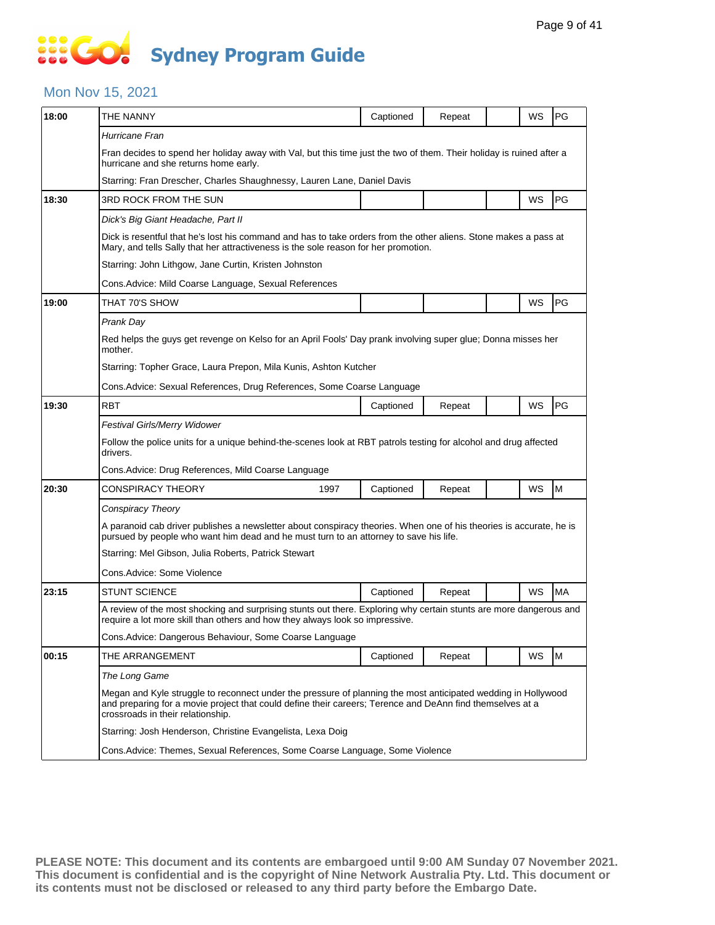# **SOC Sydney Program Guide**

### Mon Nov 15, 2021

| 18:00<br>18:30<br>19:00<br>19:30<br>20:30<br>23:15<br>00:15 | THE NANNY                                                                                                                                                                                                                                                       | Captioned | Repeat |  | WS | PG        |  |  |  |
|-------------------------------------------------------------|-----------------------------------------------------------------------------------------------------------------------------------------------------------------------------------------------------------------------------------------------------------------|-----------|--------|--|----|-----------|--|--|--|
|                                                             | Hurricane Fran                                                                                                                                                                                                                                                  |           |        |  |    |           |  |  |  |
|                                                             | Fran decides to spend her holiday away with Val, but this time just the two of them. Their holiday is ruined after a<br>hurricane and she returns home early.                                                                                                   |           |        |  |    |           |  |  |  |
|                                                             | Starring: Fran Drescher, Charles Shaughnessy, Lauren Lane, Daniel Davis                                                                                                                                                                                         |           |        |  |    |           |  |  |  |
|                                                             | 3RD ROCK FROM THE SUN                                                                                                                                                                                                                                           |           |        |  | WS | PG        |  |  |  |
|                                                             | Dick's Big Giant Headache, Part II                                                                                                                                                                                                                              |           |        |  |    |           |  |  |  |
|                                                             | Dick is resentful that he's lost his command and has to take orders from the other aliens. Stone makes a pass at<br>Mary, and tells Sally that her attractiveness is the sole reason for her promotion.                                                         |           |        |  |    |           |  |  |  |
|                                                             | Starring: John Lithgow, Jane Curtin, Kristen Johnston                                                                                                                                                                                                           |           |        |  |    |           |  |  |  |
|                                                             | Cons. Advice: Mild Coarse Language, Sexual References                                                                                                                                                                                                           |           |        |  |    |           |  |  |  |
|                                                             | THAT 70'S SHOW                                                                                                                                                                                                                                                  |           |        |  | WS | PG        |  |  |  |
|                                                             | Prank Day                                                                                                                                                                                                                                                       |           |        |  |    |           |  |  |  |
|                                                             | Red helps the guys get revenge on Kelso for an April Fools' Day prank involving super glue; Donna misses her<br>mother.                                                                                                                                         |           |        |  |    |           |  |  |  |
|                                                             | Starring: Topher Grace, Laura Prepon, Mila Kunis, Ashton Kutcher                                                                                                                                                                                                |           |        |  |    |           |  |  |  |
|                                                             | Cons. Advice: Sexual References, Drug References, Some Coarse Language                                                                                                                                                                                          |           |        |  |    |           |  |  |  |
|                                                             | <b>RBT</b>                                                                                                                                                                                                                                                      | Captioned | Repeat |  | WS | <b>PG</b> |  |  |  |
|                                                             | Festival Girls/Merry Widower                                                                                                                                                                                                                                    |           |        |  |    |           |  |  |  |
|                                                             | Follow the police units for a unique behind-the-scenes look at RBT patrols testing for alcohol and drug affected<br>drivers.                                                                                                                                    |           |        |  |    |           |  |  |  |
|                                                             | Cons. Advice: Drug References, Mild Coarse Language                                                                                                                                                                                                             |           |        |  |    |           |  |  |  |
|                                                             | CONSPIRACY THEORY<br>1997                                                                                                                                                                                                                                       | Captioned | Repeat |  | WS | M         |  |  |  |
|                                                             | Conspiracy Theory                                                                                                                                                                                                                                               |           |        |  |    |           |  |  |  |
|                                                             | A paranoid cab driver publishes a newsletter about conspiracy theories. When one of his theories is accurate, he is<br>pursued by people who want him dead and he must turn to an attorney to save his life.                                                    |           |        |  |    |           |  |  |  |
|                                                             | Starring: Mel Gibson, Julia Roberts, Patrick Stewart                                                                                                                                                                                                            |           |        |  |    |           |  |  |  |
|                                                             | Cons.Advice: Some Violence                                                                                                                                                                                                                                      |           |        |  |    |           |  |  |  |
|                                                             | <b>STUNT SCIENCE</b>                                                                                                                                                                                                                                            | Captioned | Repeat |  | WS | <b>MA</b> |  |  |  |
|                                                             | A review of the most shocking and surprising stunts out there. Exploring why certain stunts are more dangerous and<br>require a lot more skill than others and how they always look so impressive.                                                              |           |        |  |    |           |  |  |  |
|                                                             | Cons. Advice: Dangerous Behaviour, Some Coarse Language                                                                                                                                                                                                         |           |        |  |    |           |  |  |  |
|                                                             | THE ARRANGEMENT                                                                                                                                                                                                                                                 | Captioned | Repeat |  | WS | M         |  |  |  |
|                                                             | The Long Game                                                                                                                                                                                                                                                   |           |        |  |    |           |  |  |  |
|                                                             | Megan and Kyle struggle to reconnect under the pressure of planning the most anticipated wedding in Hollywood<br>and preparing for a movie project that could define their careers; Terence and DeAnn find themselves at a<br>crossroads in their relationship. |           |        |  |    |           |  |  |  |
|                                                             | Starring: Josh Henderson, Christine Evangelista, Lexa Doig                                                                                                                                                                                                      |           |        |  |    |           |  |  |  |
|                                                             | Cons. Advice: Themes, Sexual References, Some Coarse Language, Some Violence                                                                                                                                                                                    |           |        |  |    |           |  |  |  |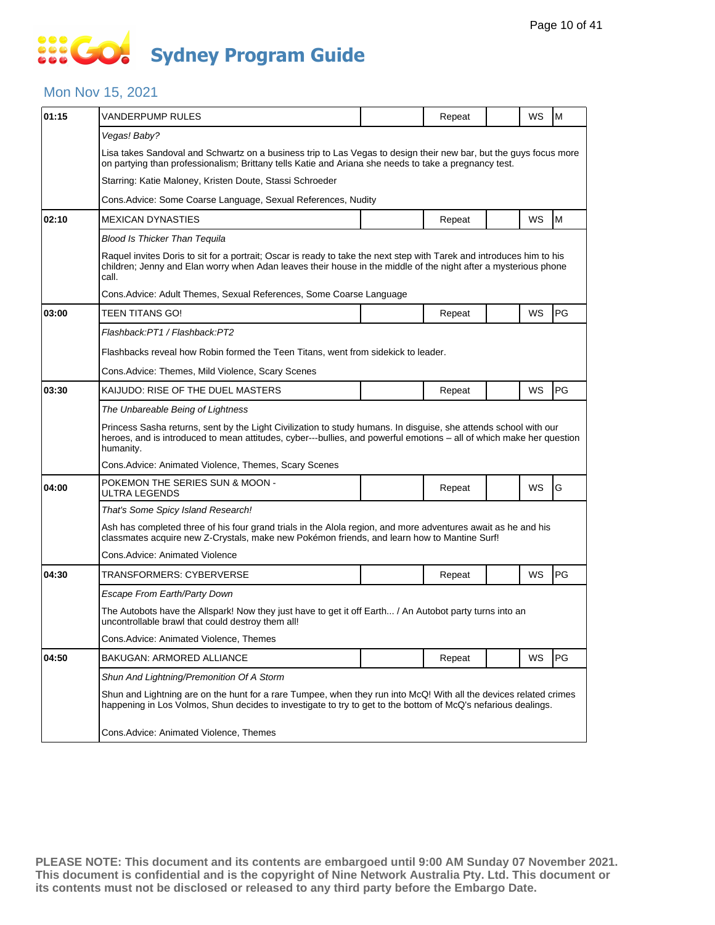### Mon Nov 15, 2021

| 01:15 | <b>VANDERPUMP RULES</b>                                                                                                                                                                                                                               |  | Repeat |  | WS | M  |  |  |  |
|-------|-------------------------------------------------------------------------------------------------------------------------------------------------------------------------------------------------------------------------------------------------------|--|--------|--|----|----|--|--|--|
|       | Vegas! Baby?                                                                                                                                                                                                                                          |  |        |  |    |    |  |  |  |
|       | Lisa takes Sandoval and Schwartz on a business trip to Las Vegas to design their new bar, but the guys focus more<br>on partying than professionalism; Brittany tells Katie and Ariana she needs to take a pregnancy test.                            |  |        |  |    |    |  |  |  |
|       | Starring: Katie Maloney, Kristen Doute, Stassi Schroeder                                                                                                                                                                                              |  |        |  |    |    |  |  |  |
|       | Cons. Advice: Some Coarse Language, Sexual References, Nudity                                                                                                                                                                                         |  |        |  |    |    |  |  |  |
| 02:10 | <b>MEXICAN DYNASTIES</b>                                                                                                                                                                                                                              |  | Repeat |  | WS | M  |  |  |  |
|       | Blood Is Thicker Than Tequila                                                                                                                                                                                                                         |  |        |  |    |    |  |  |  |
|       | Raquel invites Doris to sit for a portrait; Oscar is ready to take the next step with Tarek and introduces him to his<br>children; Jenny and Elan worry when Adan leaves their house in the middle of the night after a mysterious phone<br>call.     |  |        |  |    |    |  |  |  |
|       | Cons. Advice: Adult Themes, Sexual References, Some Coarse Language                                                                                                                                                                                   |  |        |  |    |    |  |  |  |
| 03:00 | TEEN TITANS GO!                                                                                                                                                                                                                                       |  | Repeat |  | WS | PG |  |  |  |
|       | Flashback:PT1 / Flashback:PT2                                                                                                                                                                                                                         |  |        |  |    |    |  |  |  |
|       | Flashbacks reveal how Robin formed the Teen Titans, went from sidekick to leader.                                                                                                                                                                     |  |        |  |    |    |  |  |  |
|       | Cons. Advice: Themes, Mild Violence, Scary Scenes                                                                                                                                                                                                     |  |        |  |    |    |  |  |  |
| 03:30 | KAIJUDO: RISE OF THE DUEL MASTERS                                                                                                                                                                                                                     |  | Repeat |  | WS | PG |  |  |  |
|       | The Unbareable Being of Lightness                                                                                                                                                                                                                     |  |        |  |    |    |  |  |  |
|       | Princess Sasha returns, sent by the Light Civilization to study humans. In disguise, she attends school with our<br>heroes, and is introduced to mean attitudes, cyber---bullies, and powerful emotions – all of which make her question<br>humanity. |  |        |  |    |    |  |  |  |
|       | Cons. Advice: Animated Violence, Themes, Scary Scenes                                                                                                                                                                                                 |  |        |  |    |    |  |  |  |
| 04:00 | POKEMON THE SERIES SUN & MOON -<br>ULTRA LEGENDS                                                                                                                                                                                                      |  | Repeat |  | WS | G  |  |  |  |
|       | That's Some Spicy Island Research!                                                                                                                                                                                                                    |  |        |  |    |    |  |  |  |
|       | Ash has completed three of his four grand trials in the Alola region, and more adventures await as he and his<br>classmates acquire new Z-Crystals, make new Pokémon friends, and learn how to Mantine Surf!                                          |  |        |  |    |    |  |  |  |
|       | Cons. Advice: Animated Violence                                                                                                                                                                                                                       |  |        |  |    |    |  |  |  |
| 04:30 | TRANSFORMERS: CYBERVERSE                                                                                                                                                                                                                              |  | Repeat |  | WS | PG |  |  |  |
|       | <b>Escape From Earth/Party Down</b>                                                                                                                                                                                                                   |  |        |  |    |    |  |  |  |
|       | The Autobots have the Allspark! Now they just have to get it off Earth / An Autobot party turns into an<br>uncontrollable brawl that could destroy them all!                                                                                          |  |        |  |    |    |  |  |  |
|       | Cons.Advice: Animated Violence, Themes                                                                                                                                                                                                                |  |        |  |    |    |  |  |  |
| 04:50 | BAKUGAN: ARMORED ALLIANCE                                                                                                                                                                                                                             |  | Repeat |  | WS | PG |  |  |  |
|       | Shun And Lightning/Premonition Of A Storm                                                                                                                                                                                                             |  |        |  |    |    |  |  |  |
|       | Shun and Lightning are on the hunt for a rare Tumpee, when they run into McQ! With all the devices related crimes<br>happening in Los Volmos, Shun decides to investigate to try to get to the bottom of McQ's nefarious dealings.                    |  |        |  |    |    |  |  |  |
|       | Cons.Advice: Animated Violence, Themes                                                                                                                                                                                                                |  |        |  |    |    |  |  |  |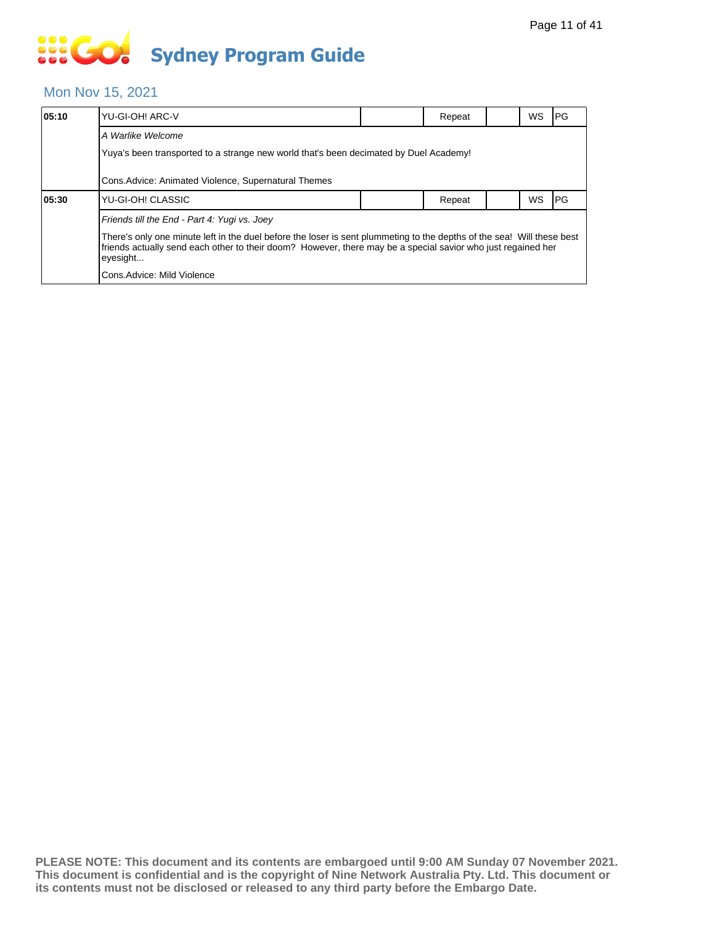# **... Go Sydney Program Guide**

### Mon Nov 15, 2021

| 05:10 | YU-GI-OH! ARC-V                                                                                                                                                                                                                                    |  | Repeat |  | <b>WS</b> | IPG. |  |  |
|-------|----------------------------------------------------------------------------------------------------------------------------------------------------------------------------------------------------------------------------------------------------|--|--------|--|-----------|------|--|--|
|       | A Warlike Welcome                                                                                                                                                                                                                                  |  |        |  |           |      |  |  |
|       | Yuya's been transported to a strange new world that's been decimated by Duel Academy!                                                                                                                                                              |  |        |  |           |      |  |  |
|       | Cons. Advice: Animated Violence, Supernatural Themes                                                                                                                                                                                               |  |        |  |           |      |  |  |
| 05:30 | YU-GI-OH! CLASSIC                                                                                                                                                                                                                                  |  | Repeat |  | <b>WS</b> | lPG  |  |  |
|       | Friends till the End - Part 4: Yugi vs. Joey                                                                                                                                                                                                       |  |        |  |           |      |  |  |
|       | There's only one minute left in the duel before the loser is sent plummeting to the depths of the sea! Will these best<br>friends actually send each other to their doom? However, there may be a special savior who just regained her<br>eyesight |  |        |  |           |      |  |  |
|       | Cons.Advice: Mild Violence                                                                                                                                                                                                                         |  |        |  |           |      |  |  |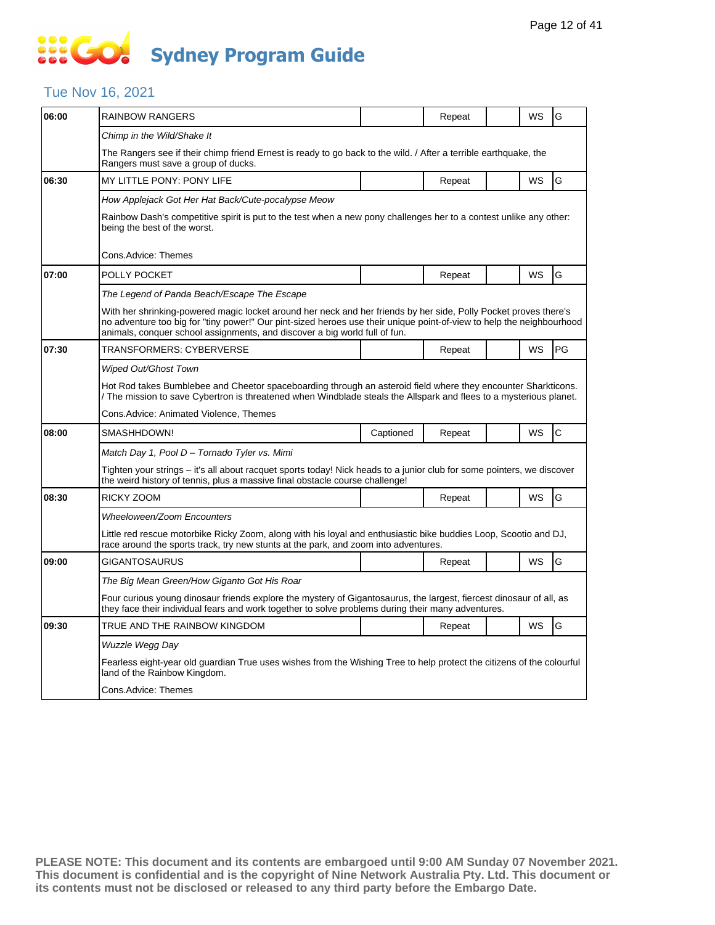### Tue Nov 16, 2021

| 06:00 | <b>RAINBOW RANGERS</b>                                                                                                                                                                                                                                                                                                  |           | Repeat |  | WS        | G  |  |  |  |
|-------|-------------------------------------------------------------------------------------------------------------------------------------------------------------------------------------------------------------------------------------------------------------------------------------------------------------------------|-----------|--------|--|-----------|----|--|--|--|
|       | Chimp in the Wild/Shake It                                                                                                                                                                                                                                                                                              |           |        |  |           |    |  |  |  |
|       | The Rangers see if their chimp friend Ernest is ready to go back to the wild. / After a terrible earthquake, the<br>Rangers must save a group of ducks.                                                                                                                                                                 |           |        |  |           |    |  |  |  |
| 06:30 | <b>MY LITTLE PONY: PONY LIFE</b>                                                                                                                                                                                                                                                                                        |           | Repeat |  | <b>WS</b> | G  |  |  |  |
|       | How Applejack Got Her Hat Back/Cute-pocalypse Meow                                                                                                                                                                                                                                                                      |           |        |  |           |    |  |  |  |
|       | Rainbow Dash's competitive spirit is put to the test when a new pony challenges her to a contest unlike any other:<br>being the best of the worst.                                                                                                                                                                      |           |        |  |           |    |  |  |  |
|       | Cons.Advice: Themes                                                                                                                                                                                                                                                                                                     |           |        |  |           |    |  |  |  |
| 07:00 | POLLY POCKET                                                                                                                                                                                                                                                                                                            |           | Repeat |  | WS        | G  |  |  |  |
|       | The Legend of Panda Beach/Escape The Escape                                                                                                                                                                                                                                                                             |           |        |  |           |    |  |  |  |
|       | With her shrinking-powered magic locket around her neck and her friends by her side, Polly Pocket proves there's<br>no adventure too big for "tiny power!" Our pint-sized heroes use their unique point-of-view to help the neighbourhood<br>animals, conquer school assignments, and discover a big world full of fun. |           |        |  |           |    |  |  |  |
| 07:30 | <b>TRANSFORMERS: CYBERVERSE</b>                                                                                                                                                                                                                                                                                         |           | Repeat |  | WS        | PG |  |  |  |
|       | <b>Wiped Out/Ghost Town</b>                                                                                                                                                                                                                                                                                             |           |        |  |           |    |  |  |  |
|       | Hot Rod takes Bumblebee and Cheetor spaceboarding through an asteroid field where they encounter Sharkticons.<br>/ The mission to save Cybertron is threatened when Windblade steals the Allspark and flees to a mysterious planet.                                                                                     |           |        |  |           |    |  |  |  |
|       | Cons.Advice: Animated Violence, Themes                                                                                                                                                                                                                                                                                  |           |        |  |           |    |  |  |  |
| 08:00 | SMASHHDOWN!                                                                                                                                                                                                                                                                                                             | Captioned | Repeat |  | WS        | Ċ  |  |  |  |
|       | Match Day 1, Pool D - Tornado Tyler vs. Mimi                                                                                                                                                                                                                                                                            |           |        |  |           |    |  |  |  |
|       | Tighten your strings – it's all about racquet sports today! Nick heads to a junior club for some pointers, we discover<br>the weird history of tennis, plus a massive final obstacle course challenge!                                                                                                                  |           |        |  |           |    |  |  |  |
| 08:30 | RICKY ZOOM                                                                                                                                                                                                                                                                                                              |           | Repeat |  | WS        | G  |  |  |  |
|       | Wheeloween/Zoom Encounters                                                                                                                                                                                                                                                                                              |           |        |  |           |    |  |  |  |
|       | Little red rescue motorbike Ricky Zoom, along with his loyal and enthusiastic bike buddies Loop, Scootio and DJ,<br>race around the sports track, try new stunts at the park, and zoom into adventures.                                                                                                                 |           |        |  |           |    |  |  |  |
| 09:00 | GIGANTOSAURUS                                                                                                                                                                                                                                                                                                           |           | Repeat |  | WS        | G  |  |  |  |
|       | The Big Mean Green/How Giganto Got His Roar                                                                                                                                                                                                                                                                             |           |        |  |           |    |  |  |  |
|       | Four curious young dinosaur friends explore the mystery of Gigantosaurus, the largest, fiercest dinosaur of all, as<br>they face their individual fears and work together to solve problems during their many adventures.                                                                                               |           |        |  |           |    |  |  |  |
| 09:30 | TRUE AND THE RAINBOW KINGDOM                                                                                                                                                                                                                                                                                            |           | Repeat |  | WS        | G  |  |  |  |
|       | Wuzzle Wegg Day                                                                                                                                                                                                                                                                                                         |           |        |  |           |    |  |  |  |
|       | Fearless eight-year old guardian True uses wishes from the Wishing Tree to help protect the citizens of the colourful<br>land of the Rainbow Kingdom.                                                                                                                                                                   |           |        |  |           |    |  |  |  |
|       | Cons.Advice: Themes                                                                                                                                                                                                                                                                                                     |           |        |  |           |    |  |  |  |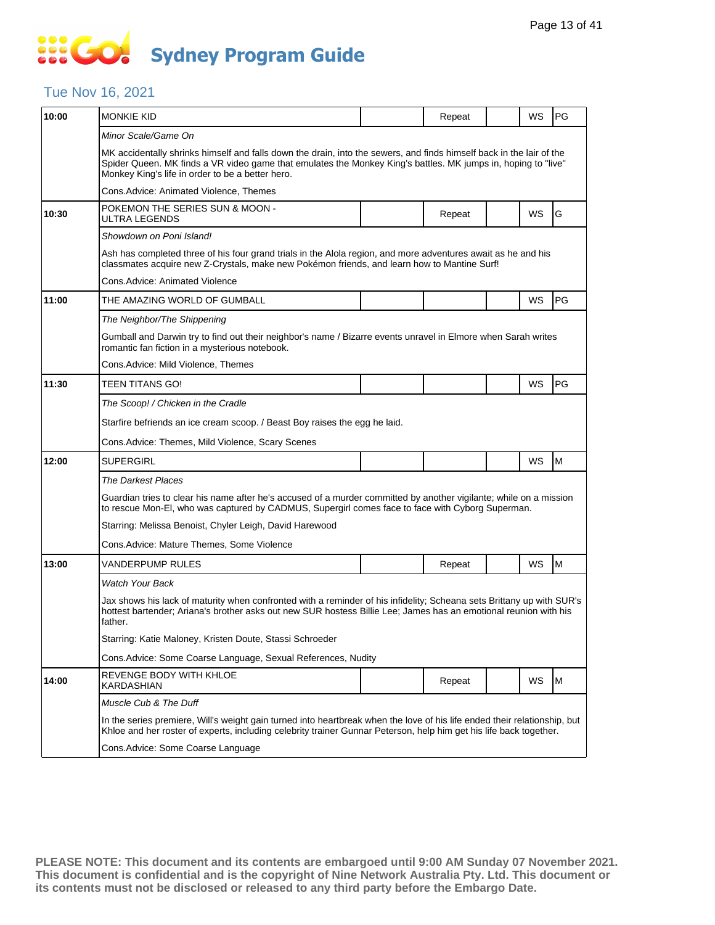# **SOCO Sydney Program Guide**

### Tue Nov 16, 2021

| 10:00 | <b>MONKIE KID</b>                                                                                                                                                                                                                                                                         |  | Repeat |  | WS        | <b>PG</b> |  |  |  |
|-------|-------------------------------------------------------------------------------------------------------------------------------------------------------------------------------------------------------------------------------------------------------------------------------------------|--|--------|--|-----------|-----------|--|--|--|
|       | Minor Scale/Game On                                                                                                                                                                                                                                                                       |  |        |  |           |           |  |  |  |
|       | MK accidentally shrinks himself and falls down the drain, into the sewers, and finds himself back in the lair of the<br>Spider Queen. MK finds a VR video game that emulates the Monkey King's battles. MK jumps in, hoping to "live"<br>Monkey King's life in order to be a better hero. |  |        |  |           |           |  |  |  |
|       | Cons.Advice: Animated Violence, Themes                                                                                                                                                                                                                                                    |  |        |  |           |           |  |  |  |
| 10:30 | POKEMON THE SERIES SUN & MOON -<br>ULTRA LEGENDS                                                                                                                                                                                                                                          |  | Repeat |  | WS        | G         |  |  |  |
|       | Showdown on Poni Island!                                                                                                                                                                                                                                                                  |  |        |  |           |           |  |  |  |
|       | Ash has completed three of his four grand trials in the Alola region, and more adventures await as he and his<br>classmates acquire new Z-Crystals, make new Pokémon friends, and learn how to Mantine Surf!                                                                              |  |        |  |           |           |  |  |  |
|       | Cons.Advice: Animated Violence                                                                                                                                                                                                                                                            |  |        |  |           |           |  |  |  |
| 11:00 | THE AMAZING WORLD OF GUMBALL                                                                                                                                                                                                                                                              |  |        |  | WS        | PG        |  |  |  |
|       | The Neighbor/The Shippening                                                                                                                                                                                                                                                               |  |        |  |           |           |  |  |  |
|       | Gumball and Darwin try to find out their neighbor's name / Bizarre events unravel in Elmore when Sarah writes<br>romantic fan fiction in a mysterious notebook.                                                                                                                           |  |        |  |           |           |  |  |  |
|       | Cons.Advice: Mild Violence, Themes                                                                                                                                                                                                                                                        |  |        |  |           |           |  |  |  |
| 11:30 | TEEN TITANS GO!                                                                                                                                                                                                                                                                           |  |        |  | WS        | PG        |  |  |  |
|       | The Scoop! / Chicken in the Cradle                                                                                                                                                                                                                                                        |  |        |  |           |           |  |  |  |
|       | Starfire befriends an ice cream scoop. / Beast Boy raises the egg he laid.                                                                                                                                                                                                                |  |        |  |           |           |  |  |  |
|       | Cons.Advice: Themes, Mild Violence, Scary Scenes                                                                                                                                                                                                                                          |  |        |  |           |           |  |  |  |
| 12:00 | <b>SUPERGIRL</b>                                                                                                                                                                                                                                                                          |  |        |  | WS        | M         |  |  |  |
|       | <b>The Darkest Places</b>                                                                                                                                                                                                                                                                 |  |        |  |           |           |  |  |  |
|       | Guardian tries to clear his name after he's accused of a murder committed by another vigilante; while on a mission<br>to rescue Mon-EI, who was captured by CADMUS, Supergirl comes face to face with Cyborg Superman.                                                                    |  |        |  |           |           |  |  |  |
|       | Starring: Melissa Benoist, Chyler Leigh, David Harewood                                                                                                                                                                                                                                   |  |        |  |           |           |  |  |  |
|       | Cons.Advice: Mature Themes, Some Violence                                                                                                                                                                                                                                                 |  |        |  |           |           |  |  |  |
| 13:00 | VANDERPUMP RULES                                                                                                                                                                                                                                                                          |  | Repeat |  | WS        | M         |  |  |  |
|       | <b>Watch Your Back</b>                                                                                                                                                                                                                                                                    |  |        |  |           |           |  |  |  |
|       | Jax shows his lack of maturity when confronted with a reminder of his infidelity; Scheana sets Brittany up with SUR's<br>hottest bartender; Ariana's brother asks out new SUR hostess Billie Lee; James has an emotional reunion with his<br>father.                                      |  |        |  |           |           |  |  |  |
|       | Starring: Katie Maloney, Kristen Doute, Stassi Schroeder                                                                                                                                                                                                                                  |  |        |  |           |           |  |  |  |
|       | Cons. Advice: Some Coarse Language, Sexual References, Nudity                                                                                                                                                                                                                             |  |        |  |           |           |  |  |  |
| 14:00 | REVENGE BODY WITH KHLOE<br>KARDASHIAN                                                                                                                                                                                                                                                     |  | Repeat |  | <b>WS</b> | M         |  |  |  |
|       | Muscle Cub & The Duff                                                                                                                                                                                                                                                                     |  |        |  |           |           |  |  |  |
|       | In the series premiere, Will's weight gain turned into heartbreak when the love of his life ended their relationship, but<br>Khloe and her roster of experts, including celebrity trainer Gunnar Peterson, help him get his life back together.                                           |  |        |  |           |           |  |  |  |
|       | Cons.Advice: Some Coarse Language                                                                                                                                                                                                                                                         |  |        |  |           |           |  |  |  |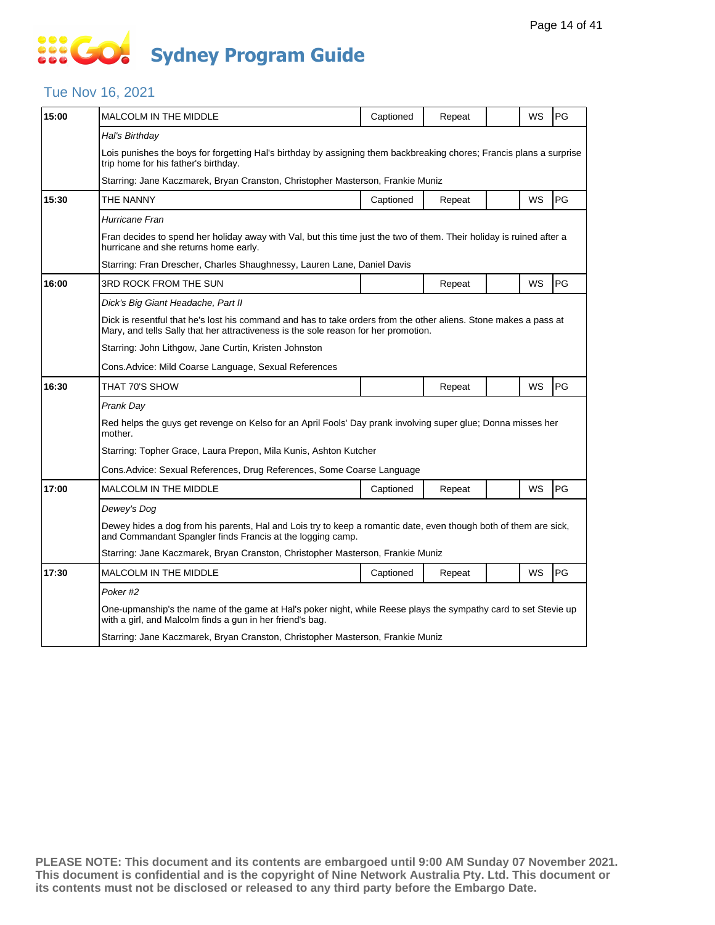### Tue Nov 16, 2021

| 15:00 | <b>MALCOLM IN THE MIDDLE</b>                                                                                                                                                                            | Captioned | Repeat |  | WS        | PG |  |  |  |
|-------|---------------------------------------------------------------------------------------------------------------------------------------------------------------------------------------------------------|-----------|--------|--|-----------|----|--|--|--|
|       | Hal's Birthday                                                                                                                                                                                          |           |        |  |           |    |  |  |  |
|       | Lois punishes the boys for forgetting Hal's birthday by assigning them backbreaking chores; Francis plans a surprise<br>trip home for his father's birthday.                                            |           |        |  |           |    |  |  |  |
|       | Starring: Jane Kaczmarek, Bryan Cranston, Christopher Masterson, Frankie Muniz                                                                                                                          |           |        |  |           |    |  |  |  |
| 15:30 | THE NANNY                                                                                                                                                                                               | Captioned | Repeat |  | WS        | PG |  |  |  |
|       | Hurricane Fran                                                                                                                                                                                          |           |        |  |           |    |  |  |  |
|       | Fran decides to spend her holiday away with Val, but this time just the two of them. Their holiday is ruined after a<br>hurricane and she returns home early.                                           |           |        |  |           |    |  |  |  |
|       | Starring: Fran Drescher, Charles Shaughnessy, Lauren Lane, Daniel Davis                                                                                                                                 |           |        |  |           |    |  |  |  |
| 16:00 | 3RD ROCK FROM THE SUN                                                                                                                                                                                   |           | Repeat |  | WS        | PG |  |  |  |
|       | Dick's Big Giant Headache, Part II                                                                                                                                                                      |           |        |  |           |    |  |  |  |
|       | Dick is resentful that he's lost his command and has to take orders from the other aliens. Stone makes a pass at<br>Mary, and tells Sally that her attractiveness is the sole reason for her promotion. |           |        |  |           |    |  |  |  |
|       | Starring: John Lithgow, Jane Curtin, Kristen Johnston                                                                                                                                                   |           |        |  |           |    |  |  |  |
|       | Cons.Advice: Mild Coarse Language, Sexual References                                                                                                                                                    |           |        |  |           |    |  |  |  |
| 16:30 | THAT 70'S SHOW                                                                                                                                                                                          |           | Repeat |  | <b>WS</b> | PG |  |  |  |
|       | Prank Day                                                                                                                                                                                               |           |        |  |           |    |  |  |  |
|       | Red helps the guys get revenge on Kelso for an April Fools' Day prank involving super glue; Donna misses her<br>mother.                                                                                 |           |        |  |           |    |  |  |  |
|       | Starring: Topher Grace, Laura Prepon, Mila Kunis, Ashton Kutcher                                                                                                                                        |           |        |  |           |    |  |  |  |
|       | Cons.Advice: Sexual References, Drug References, Some Coarse Language                                                                                                                                   |           |        |  |           |    |  |  |  |
| 17:00 | <b>MALCOLM IN THE MIDDLE</b>                                                                                                                                                                            | Captioned | Repeat |  | WS        | PG |  |  |  |
|       | Dewey's Dog                                                                                                                                                                                             |           |        |  |           |    |  |  |  |
|       | Dewey hides a dog from his parents, Hal and Lois try to keep a romantic date, even though both of them are sick,<br>and Commandant Spangler finds Francis at the logging camp.                          |           |        |  |           |    |  |  |  |
|       | Starring: Jane Kaczmarek, Bryan Cranston, Christopher Masterson, Frankie Muniz                                                                                                                          |           |        |  |           |    |  |  |  |
| 17:30 | <b>MALCOLM IN THE MIDDLE</b>                                                                                                                                                                            | Captioned | Repeat |  | WS        | PG |  |  |  |
|       | Poker #2                                                                                                                                                                                                |           |        |  |           |    |  |  |  |
|       | One-upmanship's the name of the game at Hal's poker night, while Reese plays the sympathy card to set Stevie up<br>with a girl, and Malcolm finds a gun in her friend's bag.                            |           |        |  |           |    |  |  |  |
|       |                                                                                                                                                                                                         |           |        |  |           |    |  |  |  |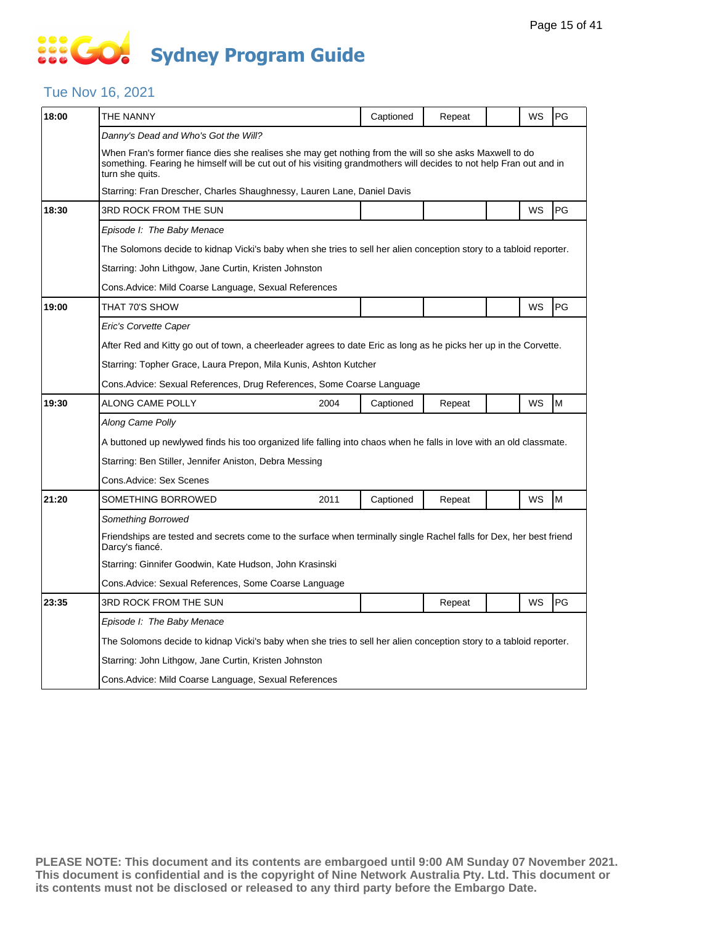# **SOCO Sydney Program Guide**

### Tue Nov 16, 2021

| 18:00 | THE NANNY                                                                                                                                                                                                                                         |                                                                                                                     | Captioned | Repeat |  | WS | PG |  |  |  |
|-------|---------------------------------------------------------------------------------------------------------------------------------------------------------------------------------------------------------------------------------------------------|---------------------------------------------------------------------------------------------------------------------|-----------|--------|--|----|----|--|--|--|
|       | Danny's Dead and Who's Got the Will?                                                                                                                                                                                                              |                                                                                                                     |           |        |  |    |    |  |  |  |
|       | When Fran's former fiance dies she realises she may get nothing from the will so she asks Maxwell to do<br>something. Fearing he himself will be cut out of his visiting grandmothers will decides to not help Fran out and in<br>turn she quits. |                                                                                                                     |           |        |  |    |    |  |  |  |
|       | Starring: Fran Drescher, Charles Shaughnessy, Lauren Lane, Daniel Davis                                                                                                                                                                           |                                                                                                                     |           |        |  |    |    |  |  |  |
| 18:30 | 3RD ROCK FROM THE SUN                                                                                                                                                                                                                             |                                                                                                                     |           |        |  | WS | PG |  |  |  |
|       | Episode I: The Baby Menace                                                                                                                                                                                                                        |                                                                                                                     |           |        |  |    |    |  |  |  |
|       | The Solomons decide to kidnap Vicki's baby when she tries to sell her alien conception story to a tabloid reporter.                                                                                                                               |                                                                                                                     |           |        |  |    |    |  |  |  |
|       | Starring: John Lithgow, Jane Curtin, Kristen Johnston                                                                                                                                                                                             |                                                                                                                     |           |        |  |    |    |  |  |  |
|       | Cons. Advice: Mild Coarse Language, Sexual References                                                                                                                                                                                             |                                                                                                                     |           |        |  |    |    |  |  |  |
| 19:00 | THAT 70'S SHOW                                                                                                                                                                                                                                    |                                                                                                                     |           |        |  | WS | PG |  |  |  |
|       | Eric's Corvette Caper                                                                                                                                                                                                                             |                                                                                                                     |           |        |  |    |    |  |  |  |
|       | After Red and Kitty go out of town, a cheerleader agrees to date Eric as long as he picks her up in the Corvette.                                                                                                                                 |                                                                                                                     |           |        |  |    |    |  |  |  |
|       | Starring: Topher Grace, Laura Prepon, Mila Kunis, Ashton Kutcher                                                                                                                                                                                  |                                                                                                                     |           |        |  |    |    |  |  |  |
|       | Cons.Advice: Sexual References, Drug References, Some Coarse Language                                                                                                                                                                             |                                                                                                                     |           |        |  |    |    |  |  |  |
| 19:30 | <b>ALONG CAME POLLY</b>                                                                                                                                                                                                                           | 2004                                                                                                                | Captioned | Repeat |  | WS | M  |  |  |  |
|       | Along Came Polly                                                                                                                                                                                                                                  |                                                                                                                     |           |        |  |    |    |  |  |  |
|       | A buttoned up newlywed finds his too organized life falling into chaos when he falls in love with an old classmate.                                                                                                                               |                                                                                                                     |           |        |  |    |    |  |  |  |
|       | Starring: Ben Stiller, Jennifer Aniston, Debra Messing                                                                                                                                                                                            |                                                                                                                     |           |        |  |    |    |  |  |  |
|       | Cons.Advice: Sex Scenes                                                                                                                                                                                                                           |                                                                                                                     |           |        |  |    |    |  |  |  |
| 21:20 | SOMETHING BORROWED                                                                                                                                                                                                                                | 2011                                                                                                                | Captioned | Repeat |  | WS | M  |  |  |  |
|       | Something Borrowed                                                                                                                                                                                                                                |                                                                                                                     |           |        |  |    |    |  |  |  |
|       | Darcy's fiancé.                                                                                                                                                                                                                                   | Friendships are tested and secrets come to the surface when terminally single Rachel falls for Dex, her best friend |           |        |  |    |    |  |  |  |
|       | Starring: Ginnifer Goodwin, Kate Hudson, John Krasinski                                                                                                                                                                                           |                                                                                                                     |           |        |  |    |    |  |  |  |
|       | Cons.Advice: Sexual References, Some Coarse Language                                                                                                                                                                                              |                                                                                                                     |           |        |  |    |    |  |  |  |
| 23:35 | 3RD ROCK FROM THE SUN                                                                                                                                                                                                                             |                                                                                                                     |           | Repeat |  | WS | PG |  |  |  |
|       | Episode I: The Baby Menace                                                                                                                                                                                                                        |                                                                                                                     |           |        |  |    |    |  |  |  |
|       | The Solomons decide to kidnap Vicki's baby when she tries to sell her alien conception story to a tabloid reporter.                                                                                                                               |                                                                                                                     |           |        |  |    |    |  |  |  |
|       | Starring: John Lithgow, Jane Curtin, Kristen Johnston                                                                                                                                                                                             |                                                                                                                     |           |        |  |    |    |  |  |  |
|       | Cons.Advice: Mild Coarse Language, Sexual References                                                                                                                                                                                              |                                                                                                                     |           |        |  |    |    |  |  |  |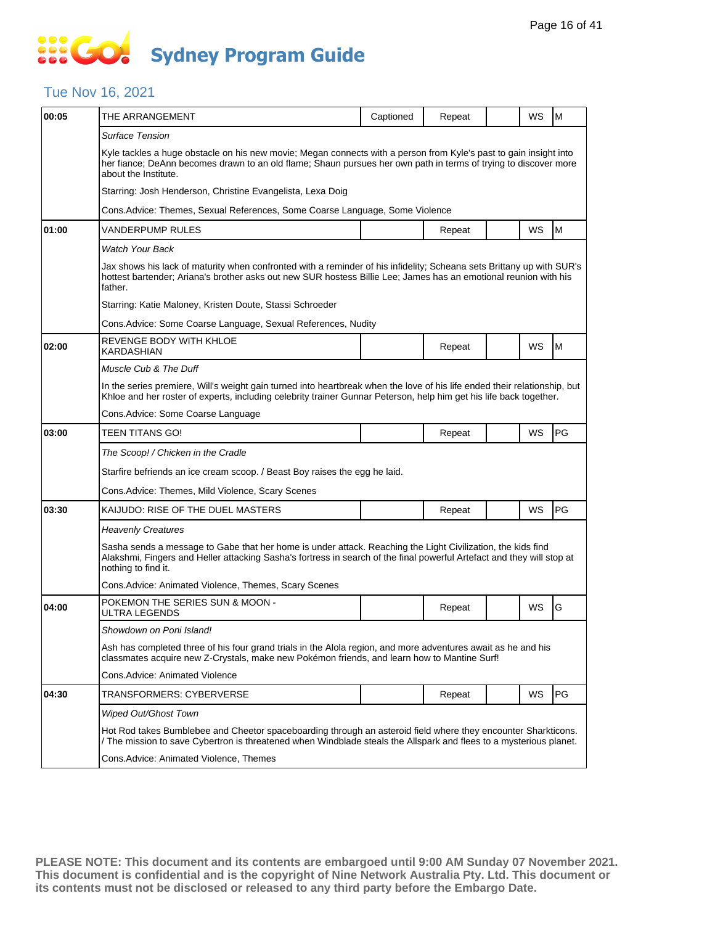### Tue Nov 16, 2021

| 00:05 | THE ARRANGEMENT                                                                                                                                                                                                                                              | Captioned | Repeat |  | WS | M         |  |  |  |
|-------|--------------------------------------------------------------------------------------------------------------------------------------------------------------------------------------------------------------------------------------------------------------|-----------|--------|--|----|-----------|--|--|--|
|       | Surface Tension                                                                                                                                                                                                                                              |           |        |  |    |           |  |  |  |
|       | Kyle tackles a huge obstacle on his new movie; Megan connects with a person from Kyle's past to gain insight into<br>her fiance; DeAnn becomes drawn to an old flame; Shaun pursues her own path in terms of trying to discover more<br>about the Institute. |           |        |  |    |           |  |  |  |
|       | Starring: Josh Henderson, Christine Evangelista, Lexa Doig                                                                                                                                                                                                   |           |        |  |    |           |  |  |  |
|       | Cons. Advice: Themes, Sexual References, Some Coarse Language, Some Violence                                                                                                                                                                                 |           |        |  |    |           |  |  |  |
| 01:00 | VANDERPUMP RULES                                                                                                                                                                                                                                             |           | Repeat |  | WS | ${\sf M}$ |  |  |  |
|       | <b>Watch Your Back</b>                                                                                                                                                                                                                                       |           |        |  |    |           |  |  |  |
|       | Jax shows his lack of maturity when confronted with a reminder of his infidelity; Scheana sets Brittany up with SUR's<br>hottest bartender; Ariana's brother asks out new SUR hostess Billie Lee; James has an emotional reunion with his<br>father.         |           |        |  |    |           |  |  |  |
|       | Starring: Katie Maloney, Kristen Doute, Stassi Schroeder                                                                                                                                                                                                     |           |        |  |    |           |  |  |  |
|       | Cons. Advice: Some Coarse Language, Sexual References, Nudity                                                                                                                                                                                                |           |        |  |    |           |  |  |  |
| 02:00 | REVENGE BODY WITH KHLOE<br><b>KARDASHIAN</b>                                                                                                                                                                                                                 |           | Repeat |  | WS | M         |  |  |  |
|       | Muscle Cub & The Duff                                                                                                                                                                                                                                        |           |        |  |    |           |  |  |  |
|       | In the series premiere, Will's weight gain turned into heartbreak when the love of his life ended their relationship, but<br>Khloe and her roster of experts, including celebrity trainer Gunnar Peterson, help him get his life back together.              |           |        |  |    |           |  |  |  |
|       | Cons. Advice: Some Coarse Language                                                                                                                                                                                                                           |           |        |  |    |           |  |  |  |
| 03:00 | TEEN TITANS GO!                                                                                                                                                                                                                                              |           | Repeat |  | WS | PG        |  |  |  |
|       | The Scoop! / Chicken in the Cradle                                                                                                                                                                                                                           |           |        |  |    |           |  |  |  |
|       | Starfire befriends an ice cream scoop. / Beast Boy raises the egg he laid.                                                                                                                                                                                   |           |        |  |    |           |  |  |  |
|       | Cons. Advice: Themes, Mild Violence, Scary Scenes                                                                                                                                                                                                            |           |        |  |    |           |  |  |  |
| 03:30 | KAIJUDO: RISE OF THE DUEL MASTERS                                                                                                                                                                                                                            |           | Repeat |  | WS | PG        |  |  |  |
|       | <b>Heavenly Creatures</b>                                                                                                                                                                                                                                    |           |        |  |    |           |  |  |  |
|       | Sasha sends a message to Gabe that her home is under attack. Reaching the Light Civilization, the kids find<br>Alakshmi, Fingers and Heller attacking Sasha's fortress in search of the final powerful Artefact and they will stop at<br>nothing to find it. |           |        |  |    |           |  |  |  |
|       | Cons. Advice: Animated Violence, Themes, Scary Scenes                                                                                                                                                                                                        |           |        |  |    |           |  |  |  |
| 04:00 | POKEMON THE SERIES SUN & MOON -<br><b>ULTRA LEGENDS</b>                                                                                                                                                                                                      |           | Repeat |  | WS | G         |  |  |  |
|       | Showdown on Poni Island!                                                                                                                                                                                                                                     |           |        |  |    |           |  |  |  |
|       | Ash has completed three of his four grand trials in the Alola region, and more adventures await as he and his<br>classmates acquire new Z-Crystals, make new Pokémon friends, and learn how to Mantine Surf!                                                 |           |        |  |    |           |  |  |  |
|       | Cons. Advice: Animated Violence                                                                                                                                                                                                                              |           |        |  |    |           |  |  |  |
| 04:30 | TRANSFORMERS: CYBERVERSE                                                                                                                                                                                                                                     |           | Repeat |  | WS | PG        |  |  |  |
|       | <b>Wiped Out/Ghost Town</b>                                                                                                                                                                                                                                  |           |        |  |    |           |  |  |  |
|       | Hot Rod takes Bumblebee and Cheetor spaceboarding through an asteroid field where they encounter Sharkticons.<br>/ The mission to save Cybertron is threatened when Windblade steals the Allspark and flees to a mysterious planet.                          |           |        |  |    |           |  |  |  |
|       | Cons. Advice: Animated Violence, Themes                                                                                                                                                                                                                      |           |        |  |    |           |  |  |  |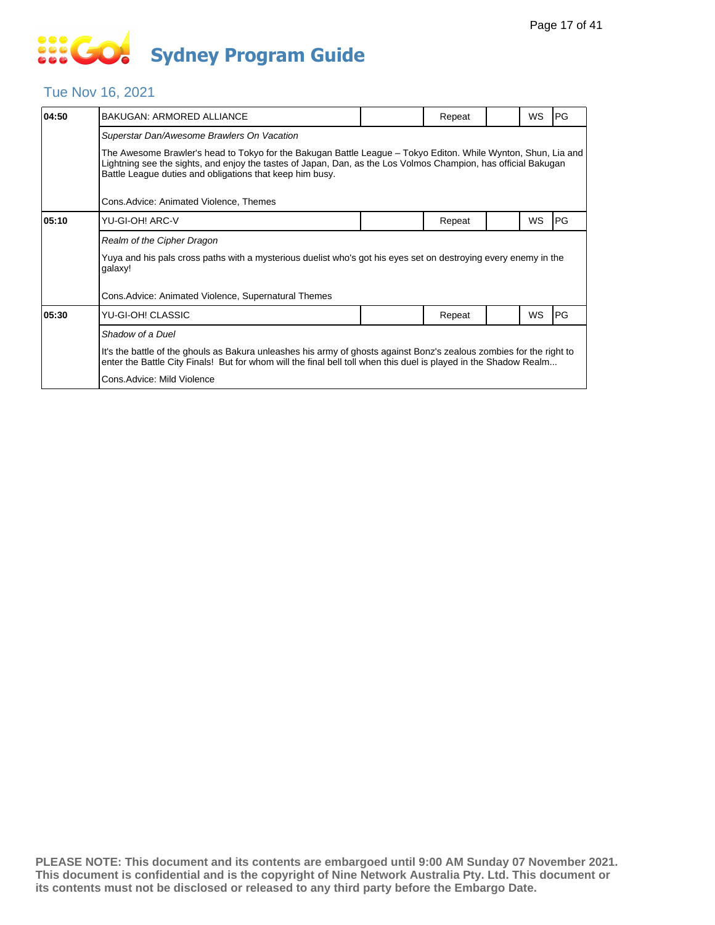### Tue Nov 16, 2021

| 04:50 | <b>BAKUGAN: ARMORED ALLIANCE</b>                                                                                                                                                                                                                                                            |  | Repeat |  | <b>WS</b> | PG         |  |  |  |
|-------|---------------------------------------------------------------------------------------------------------------------------------------------------------------------------------------------------------------------------------------------------------------------------------------------|--|--------|--|-----------|------------|--|--|--|
|       | Superstar Dan/Awesome Brawlers On Vacation                                                                                                                                                                                                                                                  |  |        |  |           |            |  |  |  |
|       | The Awesome Brawler's head to Tokyo for the Bakugan Battle League – Tokyo Editon. While Wynton, Shun, Lia and<br>Lightning see the sights, and enjoy the tastes of Japan, Dan, as the Los Volmos Champion, has official Bakugan<br>Battle League duties and obligations that keep him busy. |  |        |  |           |            |  |  |  |
|       | Cons.Advice: Animated Violence, Themes                                                                                                                                                                                                                                                      |  |        |  |           |            |  |  |  |
| 05:10 | YU-GI-OH! ARC-V                                                                                                                                                                                                                                                                             |  | Repeat |  | WS        | <b>IPG</b> |  |  |  |
|       | Realm of the Cipher Dragon                                                                                                                                                                                                                                                                  |  |        |  |           |            |  |  |  |
|       | Yuya and his pals cross paths with a mysterious duelist who's got his eyes set on destroying every enemy in the<br>galaxy!                                                                                                                                                                  |  |        |  |           |            |  |  |  |
|       | Cons.Advice: Animated Violence, Supernatural Themes                                                                                                                                                                                                                                         |  |        |  |           |            |  |  |  |
| 05:30 | YU-GI-OH! CLASSIC                                                                                                                                                                                                                                                                           |  | Repeat |  | WS        | PG         |  |  |  |
|       | Shadow of a Duel                                                                                                                                                                                                                                                                            |  |        |  |           |            |  |  |  |
|       | It's the battle of the ghouls as Bakura unleashes his army of ghosts against Bonz's zealous zombies for the right to<br>enter the Battle City Finals! But for whom will the final bell toll when this duel is played in the Shadow Realm                                                    |  |        |  |           |            |  |  |  |
|       | Cons.Advice: Mild Violence                                                                                                                                                                                                                                                                  |  |        |  |           |            |  |  |  |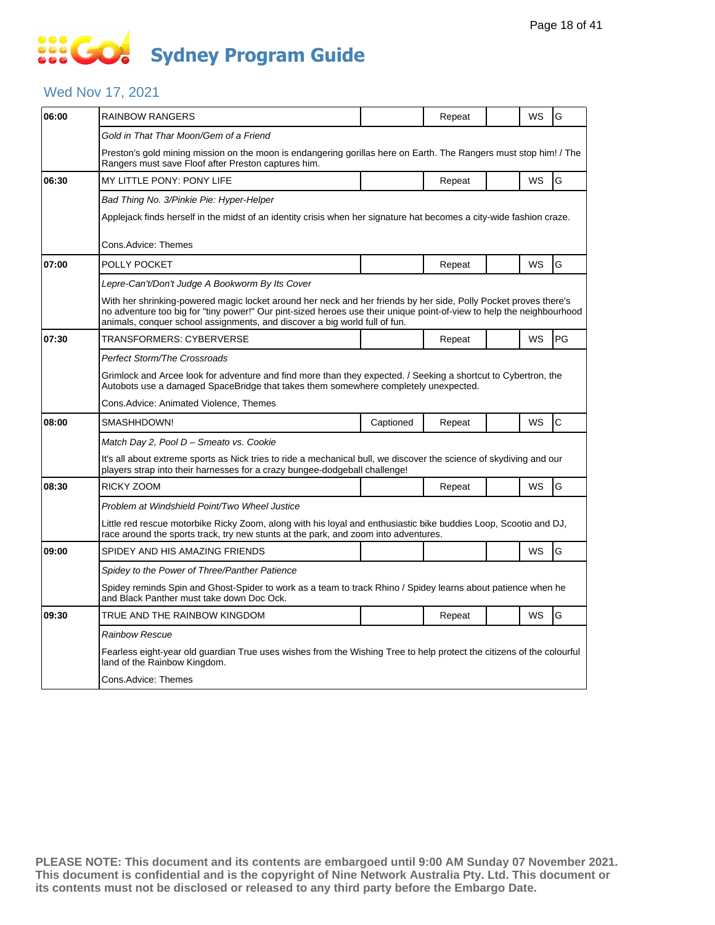### Wed Nov 17, 2021

| 06:00 | <b>RAINBOW RANGERS</b>                                                                                                                                                                                                                                                                                                  |           | Repeat |  | WS | G  |  |  |  |
|-------|-------------------------------------------------------------------------------------------------------------------------------------------------------------------------------------------------------------------------------------------------------------------------------------------------------------------------|-----------|--------|--|----|----|--|--|--|
|       | Gold in That Thar Moon/Gem of a Friend                                                                                                                                                                                                                                                                                  |           |        |  |    |    |  |  |  |
|       | Preston's gold mining mission on the moon is endangering gorillas here on Earth. The Rangers must stop him! / The<br>Rangers must save Floof after Preston captures him.                                                                                                                                                |           |        |  |    |    |  |  |  |
| 06:30 | MY LITTLE PONY: PONY LIFE                                                                                                                                                                                                                                                                                               |           | Repeat |  | WS | G  |  |  |  |
|       | Bad Thing No. 3/Pinkie Pie: Hyper-Helper                                                                                                                                                                                                                                                                                |           |        |  |    |    |  |  |  |
|       | Applejack finds herself in the midst of an identity crisis when her signature hat becomes a city-wide fashion craze.                                                                                                                                                                                                    |           |        |  |    |    |  |  |  |
|       | Cons.Advice: Themes                                                                                                                                                                                                                                                                                                     |           |        |  |    |    |  |  |  |
| 07:00 | POLLY POCKET                                                                                                                                                                                                                                                                                                            |           | Repeat |  | WS | G  |  |  |  |
|       | Lepre-Can't/Don't Judge A Bookworm By Its Cover                                                                                                                                                                                                                                                                         |           |        |  |    |    |  |  |  |
|       | With her shrinking-powered magic locket around her neck and her friends by her side, Polly Pocket proves there's<br>no adventure too big for "tiny power!" Our pint-sized heroes use their unique point-of-view to help the neighbourhood<br>animals, conquer school assignments, and discover a big world full of fun. |           |        |  |    |    |  |  |  |
| 07:30 | TRANSFORMERS: CYBERVERSE                                                                                                                                                                                                                                                                                                |           | Repeat |  | WS | PG |  |  |  |
|       | Perfect Storm/The Crossroads                                                                                                                                                                                                                                                                                            |           |        |  |    |    |  |  |  |
|       | Grimlock and Arcee look for adventure and find more than they expected. / Seeking a shortcut to Cybertron, the<br>Autobots use a damaged SpaceBridge that takes them somewhere completely unexpected.                                                                                                                   |           |        |  |    |    |  |  |  |
|       | Cons.Advice: Animated Violence, Themes                                                                                                                                                                                                                                                                                  |           |        |  |    |    |  |  |  |
| 08:00 | SMASHHDOWN!                                                                                                                                                                                                                                                                                                             | Captioned | Repeat |  | WS | C  |  |  |  |
|       | Match Day 2, Pool D – Smeato vs. Cookie                                                                                                                                                                                                                                                                                 |           |        |  |    |    |  |  |  |
|       | It's all about extreme sports as Nick tries to ride a mechanical bull, we discover the science of skydiving and our<br>players strap into their harnesses for a crazy bungee-dodgeball challenge!                                                                                                                       |           |        |  |    |    |  |  |  |
| 08:30 | RICKY ZOOM                                                                                                                                                                                                                                                                                                              |           | Repeat |  | WS | G  |  |  |  |
|       | Problem at Windshield Point/Two Wheel Justice                                                                                                                                                                                                                                                                           |           |        |  |    |    |  |  |  |
|       | Little red rescue motorbike Ricky Zoom, along with his loyal and enthusiastic bike buddies Loop, Scootio and DJ,<br>race around the sports track, try new stunts at the park, and zoom into adventures.                                                                                                                 |           |        |  |    |    |  |  |  |
| 09:00 | SPIDEY AND HIS AMAZING FRIENDS                                                                                                                                                                                                                                                                                          |           |        |  | WS | G  |  |  |  |
|       | Spidey to the Power of Three/Panther Patience                                                                                                                                                                                                                                                                           |           |        |  |    |    |  |  |  |
|       | Spidey reminds Spin and Ghost-Spider to work as a team to track Rhino / Spidey learns about patience when he<br>and Black Panther must take down Doc Ock.                                                                                                                                                               |           |        |  |    |    |  |  |  |
| 09:30 | TRUE AND THE RAINBOW KINGDOM                                                                                                                                                                                                                                                                                            |           | Repeat |  | WS | G  |  |  |  |
|       | <b>Rainbow Rescue</b>                                                                                                                                                                                                                                                                                                   |           |        |  |    |    |  |  |  |
|       | Fearless eight-year old guardian True uses wishes from the Wishing Tree to help protect the citizens of the colourful<br>land of the Rainbow Kingdom.                                                                                                                                                                   |           |        |  |    |    |  |  |  |
|       | Cons.Advice: Themes                                                                                                                                                                                                                                                                                                     |           |        |  |    |    |  |  |  |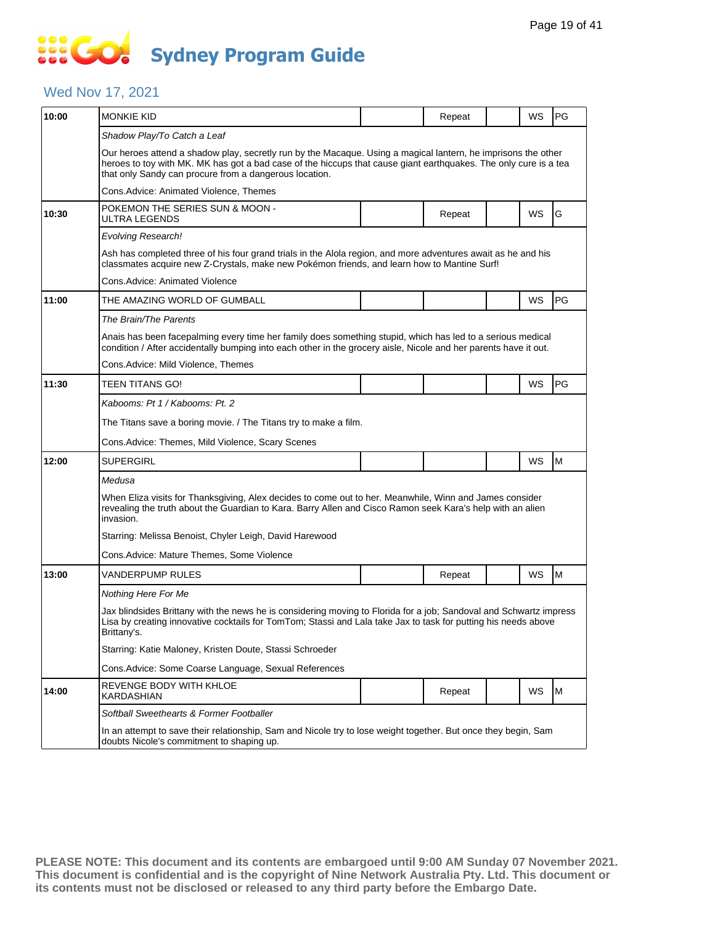# 888 **Sydney Program Guide**

### Wed Nov 17, 2021

| 10:00 | <b>MONKIE KID</b>                                                                                                                                                                                                                                                                           |  | Repeat |  | WS | <b>PG</b> |  |  |  |  |
|-------|---------------------------------------------------------------------------------------------------------------------------------------------------------------------------------------------------------------------------------------------------------------------------------------------|--|--------|--|----|-----------|--|--|--|--|
|       | Shadow Play/To Catch a Leaf                                                                                                                                                                                                                                                                 |  |        |  |    |           |  |  |  |  |
|       | Our heroes attend a shadow play, secretly run by the Macaque. Using a magical lantern, he imprisons the other<br>heroes to toy with MK. MK has got a bad case of the hiccups that cause giant earthquakes. The only cure is a tea<br>that only Sandy can procure from a dangerous location. |  |        |  |    |           |  |  |  |  |
|       | Cons.Advice: Animated Violence, Themes                                                                                                                                                                                                                                                      |  |        |  |    |           |  |  |  |  |
| 10:30 | POKEMON THE SERIES SUN & MOON -<br>ULTRA LEGENDS                                                                                                                                                                                                                                            |  | Repeat |  | WS | G         |  |  |  |  |
|       | Evolving Research!                                                                                                                                                                                                                                                                          |  |        |  |    |           |  |  |  |  |
|       | Ash has completed three of his four grand trials in the Alola region, and more adventures await as he and his<br>classmates acquire new Z-Crystals, make new Pokémon friends, and learn how to Mantine Surf!                                                                                |  |        |  |    |           |  |  |  |  |
|       | Cons.Advice: Animated Violence                                                                                                                                                                                                                                                              |  |        |  |    |           |  |  |  |  |
| 11:00 | THE AMAZING WORLD OF GUMBALL                                                                                                                                                                                                                                                                |  |        |  | WS | <b>PG</b> |  |  |  |  |
|       | The Brain/The Parents                                                                                                                                                                                                                                                                       |  |        |  |    |           |  |  |  |  |
|       | Anais has been facepalming every time her family does something stupid, which has led to a serious medical<br>condition / After accidentally bumping into each other in the grocery aisle, Nicole and her parents have it out.                                                              |  |        |  |    |           |  |  |  |  |
|       | Cons.Advice: Mild Violence, Themes                                                                                                                                                                                                                                                          |  |        |  |    |           |  |  |  |  |
| 11:30 | TEEN TITANS GO!                                                                                                                                                                                                                                                                             |  |        |  | WS | PG        |  |  |  |  |
|       | Kabooms: Pt 1 / Kabooms: Pt. 2                                                                                                                                                                                                                                                              |  |        |  |    |           |  |  |  |  |
|       | The Titans save a boring movie. / The Titans try to make a film.                                                                                                                                                                                                                            |  |        |  |    |           |  |  |  |  |
|       | Cons.Advice: Themes, Mild Violence, Scary Scenes                                                                                                                                                                                                                                            |  |        |  |    |           |  |  |  |  |
| 12:00 | <b>SUPERGIRL</b>                                                                                                                                                                                                                                                                            |  |        |  | WS | M         |  |  |  |  |
|       | Medusa                                                                                                                                                                                                                                                                                      |  |        |  |    |           |  |  |  |  |
|       | When Eliza visits for Thanksgiving, Alex decides to come out to her. Meanwhile, Winn and James consider<br>revealing the truth about the Guardian to Kara. Barry Allen and Cisco Ramon seek Kara's help with an alien<br>invasion.                                                          |  |        |  |    |           |  |  |  |  |
|       | Starring: Melissa Benoist, Chyler Leigh, David Harewood                                                                                                                                                                                                                                     |  |        |  |    |           |  |  |  |  |
|       | Cons.Advice: Mature Themes, Some Violence                                                                                                                                                                                                                                                   |  |        |  |    |           |  |  |  |  |
| 13:00 | VANDERPUMP RULES                                                                                                                                                                                                                                                                            |  | Repeat |  | WS | M         |  |  |  |  |
|       | Nothing Here For Me                                                                                                                                                                                                                                                                         |  |        |  |    |           |  |  |  |  |
|       | Jax blindsides Brittany with the news he is considering moving to Florida for a job; Sandoval and Schwartz impress<br>Lisa by creating innovative cocktails for TomTom; Stassi and Lala take Jax to task for putting his needs above<br>Brittany's.                                         |  |        |  |    |           |  |  |  |  |
|       | Starring: Katie Maloney, Kristen Doute, Stassi Schroeder                                                                                                                                                                                                                                    |  |        |  |    |           |  |  |  |  |
|       | Cons. Advice: Some Coarse Language, Sexual References                                                                                                                                                                                                                                       |  |        |  |    |           |  |  |  |  |
| 14:00 | REVENGE BODY WITH KHLOE<br><b>KARDASHIAN</b>                                                                                                                                                                                                                                                |  | Repeat |  | WS | M         |  |  |  |  |
|       | Softball Sweethearts & Former Footballer                                                                                                                                                                                                                                                    |  |        |  |    |           |  |  |  |  |
|       | In an attempt to save their relationship, Sam and Nicole try to lose weight together. But once they begin, Sam<br>doubts Nicole's commitment to shaping up.                                                                                                                                 |  |        |  |    |           |  |  |  |  |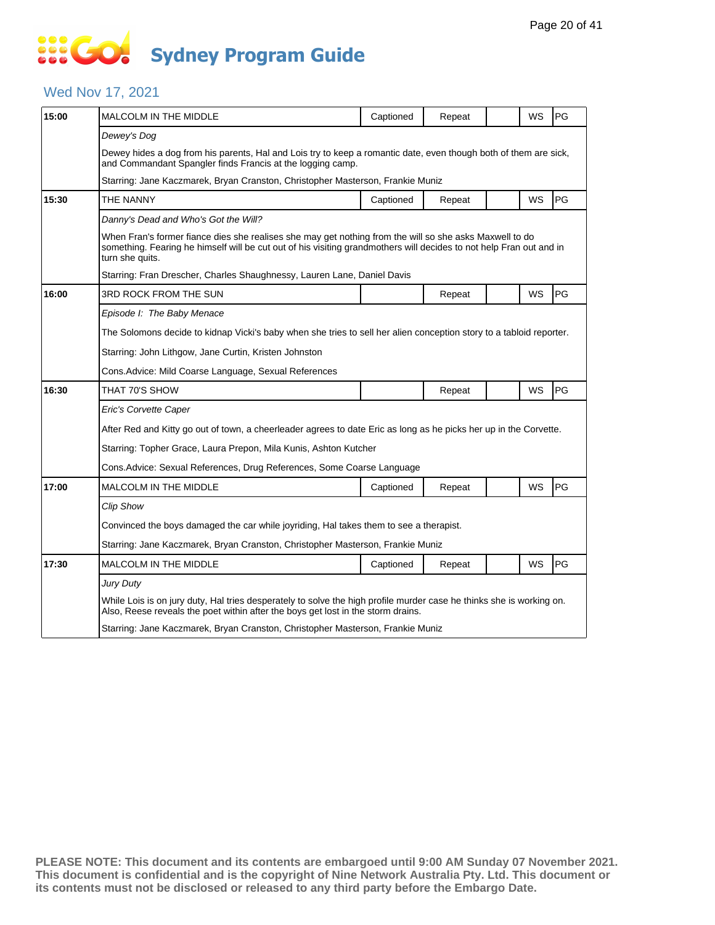### Wed Nov 17, 2021

| 15:00 | <b>MALCOLM IN THE MIDDLE</b>                                                                                                                                                                                                                      | Captioned                                                                              | Repeat |  | <b>WS</b> | PG |  |  |  |
|-------|---------------------------------------------------------------------------------------------------------------------------------------------------------------------------------------------------------------------------------------------------|----------------------------------------------------------------------------------------|--------|--|-----------|----|--|--|--|
|       | Dewey's Dog                                                                                                                                                                                                                                       |                                                                                        |        |  |           |    |  |  |  |
|       | Dewey hides a dog from his parents, Hal and Lois try to keep a romantic date, even though both of them are sick,<br>and Commandant Spangler finds Francis at the logging camp.                                                                    |                                                                                        |        |  |           |    |  |  |  |
|       | Starring: Jane Kaczmarek, Bryan Cranston, Christopher Masterson, Frankie Muniz                                                                                                                                                                    |                                                                                        |        |  |           |    |  |  |  |
| 15:30 | THE NANNY                                                                                                                                                                                                                                         | Captioned                                                                              | Repeat |  | WS        | PG |  |  |  |
|       | Danny's Dead and Who's Got the Will?                                                                                                                                                                                                              |                                                                                        |        |  |           |    |  |  |  |
|       | When Fran's former fiance dies she realises she may get nothing from the will so she asks Maxwell to do<br>something. Fearing he himself will be cut out of his visiting grandmothers will decides to not help Fran out and in<br>turn she quits. |                                                                                        |        |  |           |    |  |  |  |
|       | Starring: Fran Drescher, Charles Shaughnessy, Lauren Lane, Daniel Davis                                                                                                                                                                           |                                                                                        |        |  |           |    |  |  |  |
| 16:00 | 3RD ROCK FROM THE SUN                                                                                                                                                                                                                             |                                                                                        | Repeat |  | WS        | PG |  |  |  |
|       | Episode I: The Baby Menace                                                                                                                                                                                                                        |                                                                                        |        |  |           |    |  |  |  |
|       | The Solomons decide to kidnap Vicki's baby when she tries to sell her alien conception story to a tabloid reporter.                                                                                                                               |                                                                                        |        |  |           |    |  |  |  |
|       | Starring: John Lithgow, Jane Curtin, Kristen Johnston                                                                                                                                                                                             |                                                                                        |        |  |           |    |  |  |  |
|       | Cons.Advice: Mild Coarse Language, Sexual References                                                                                                                                                                                              |                                                                                        |        |  |           |    |  |  |  |
| 16:30 | THAT 70'S SHOW                                                                                                                                                                                                                                    |                                                                                        | Repeat |  | WS        | PG |  |  |  |
|       | Eric's Corvette Caper                                                                                                                                                                                                                             |                                                                                        |        |  |           |    |  |  |  |
|       | After Red and Kitty go out of town, a cheerleader agrees to date Eric as long as he picks her up in the Corvette.                                                                                                                                 |                                                                                        |        |  |           |    |  |  |  |
|       | Starring: Topher Grace, Laura Prepon, Mila Kunis, Ashton Kutcher                                                                                                                                                                                  |                                                                                        |        |  |           |    |  |  |  |
|       | Cons.Advice: Sexual References, Drug References, Some Coarse Language                                                                                                                                                                             |                                                                                        |        |  |           |    |  |  |  |
| 17:00 | MALCOLM IN THE MIDDLE                                                                                                                                                                                                                             | Captioned                                                                              | Repeat |  | WS        | PG |  |  |  |
|       | <b>Clip Show</b>                                                                                                                                                                                                                                  |                                                                                        |        |  |           |    |  |  |  |
|       |                                                                                                                                                                                                                                                   | Convinced the boys damaged the car while joyriding, Hal takes them to see a therapist. |        |  |           |    |  |  |  |
|       | Starring: Jane Kaczmarek, Bryan Cranston, Christopher Masterson, Frankie Muniz                                                                                                                                                                    |                                                                                        |        |  |           |    |  |  |  |
| 17:30 | <b>MALCOLM IN THE MIDDLE</b>                                                                                                                                                                                                                      | Captioned                                                                              | Repeat |  | WS        | PG |  |  |  |
|       | Jury Duty                                                                                                                                                                                                                                         |                                                                                        |        |  |           |    |  |  |  |
|       | While Lois is on jury duty, Hal tries desperately to solve the high profile murder case he thinks she is working on.<br>Also, Reese reveals the poet within after the boys get lost in the storm drains.                                          |                                                                                        |        |  |           |    |  |  |  |
|       | Starring: Jane Kaczmarek, Bryan Cranston, Christopher Masterson, Frankie Muniz                                                                                                                                                                    |                                                                                        |        |  |           |    |  |  |  |
|       |                                                                                                                                                                                                                                                   |                                                                                        |        |  |           |    |  |  |  |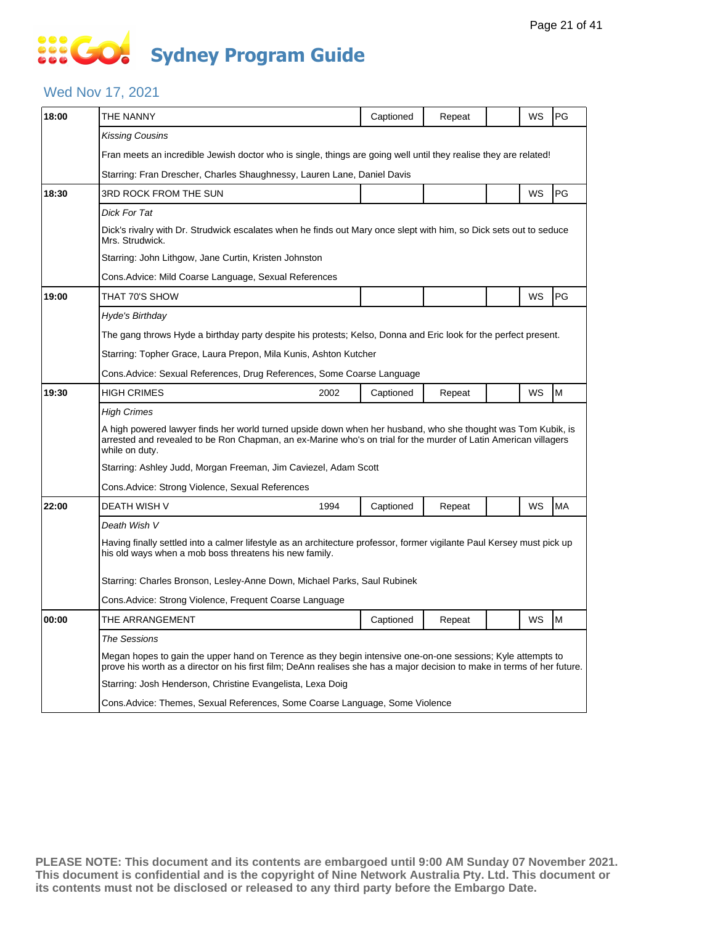# **SOCO Sydney Program Guide**

### Wed Nov 17, 2021

| 18:00 | THE NANNY                                                                                                                                                                                                                                         | Captioned                                                                                                              | Repeat |  | WS | PG        |  |  |  |
|-------|---------------------------------------------------------------------------------------------------------------------------------------------------------------------------------------------------------------------------------------------------|------------------------------------------------------------------------------------------------------------------------|--------|--|----|-----------|--|--|--|
|       | Kissing Cousins                                                                                                                                                                                                                                   |                                                                                                                        |        |  |    |           |  |  |  |
|       | Fran meets an incredible Jewish doctor who is single, things are going well until they realise they are related!                                                                                                                                  |                                                                                                                        |        |  |    |           |  |  |  |
|       | Starring: Fran Drescher, Charles Shaughnessy, Lauren Lane, Daniel Davis                                                                                                                                                                           |                                                                                                                        |        |  |    |           |  |  |  |
| 18:30 | 3RD ROCK FROM THE SUN                                                                                                                                                                                                                             |                                                                                                                        |        |  | WS | PG        |  |  |  |
|       | Dick For Tat                                                                                                                                                                                                                                      |                                                                                                                        |        |  |    |           |  |  |  |
|       | Dick's rivalry with Dr. Strudwick escalates when he finds out Mary once slept with him, so Dick sets out to seduce<br>Mrs. Strudwick.                                                                                                             |                                                                                                                        |        |  |    |           |  |  |  |
|       | Starring: John Lithgow, Jane Curtin, Kristen Johnston                                                                                                                                                                                             |                                                                                                                        |        |  |    |           |  |  |  |
|       | Cons.Advice: Mild Coarse Language, Sexual References                                                                                                                                                                                              |                                                                                                                        |        |  |    |           |  |  |  |
| 19:00 | THAT 70'S SHOW                                                                                                                                                                                                                                    |                                                                                                                        |        |  | WS | PG        |  |  |  |
|       | Hyde's Birthday                                                                                                                                                                                                                                   |                                                                                                                        |        |  |    |           |  |  |  |
|       | The gang throws Hyde a birthday party despite his protests; Kelso, Donna and Eric look for the perfect present.                                                                                                                                   |                                                                                                                        |        |  |    |           |  |  |  |
|       | Starring: Topher Grace, Laura Prepon, Mila Kunis, Ashton Kutcher                                                                                                                                                                                  |                                                                                                                        |        |  |    |           |  |  |  |
|       | Cons.Advice: Sexual References, Drug References, Some Coarse Language                                                                                                                                                                             |                                                                                                                        |        |  |    |           |  |  |  |
| 19:30 | <b>HIGH CRIMES</b><br>2002                                                                                                                                                                                                                        | Captioned                                                                                                              | Repeat |  | WS | M         |  |  |  |
|       | High Crimes                                                                                                                                                                                                                                       |                                                                                                                        |        |  |    |           |  |  |  |
|       | A high powered lawyer finds her world turned upside down when her husband, who she thought was Tom Kubik, is<br>arrested and revealed to be Ron Chapman, an ex-Marine who's on trial for the murder of Latin American villagers<br>while on duty. |                                                                                                                        |        |  |    |           |  |  |  |
|       | Starring: Ashley Judd, Morgan Freeman, Jim Caviezel, Adam Scott                                                                                                                                                                                   |                                                                                                                        |        |  |    |           |  |  |  |
|       | Cons.Advice: Strong Violence, Sexual References                                                                                                                                                                                                   |                                                                                                                        |        |  |    |           |  |  |  |
| 22:00 | <b>DEATH WISH V</b><br>1994                                                                                                                                                                                                                       | Captioned                                                                                                              | Repeat |  | WS | <b>MA</b> |  |  |  |
|       | Death Wish V                                                                                                                                                                                                                                      |                                                                                                                        |        |  |    |           |  |  |  |
|       | his old ways when a mob boss threatens his new family.                                                                                                                                                                                            | Having finally settled into a calmer lifestyle as an architecture professor, former vigilante Paul Kersey must pick up |        |  |    |           |  |  |  |
|       | Starring: Charles Bronson, Lesley-Anne Down, Michael Parks, Saul Rubinek                                                                                                                                                                          |                                                                                                                        |        |  |    |           |  |  |  |
|       | Cons.Advice: Strong Violence, Frequent Coarse Language                                                                                                                                                                                            |                                                                                                                        |        |  |    |           |  |  |  |
| 00:00 | THE ARRANGEMENT                                                                                                                                                                                                                                   | Captioned                                                                                                              | Repeat |  | WS | M         |  |  |  |
|       | <b>The Sessions</b>                                                                                                                                                                                                                               |                                                                                                                        |        |  |    |           |  |  |  |
|       | Megan hopes to gain the upper hand on Terence as they begin intensive one-on-one sessions; Kyle attempts to<br>prove his worth as a director on his first film; DeAnn realises she has a major decision to make in terms of her future.           |                                                                                                                        |        |  |    |           |  |  |  |
|       | Starring: Josh Henderson, Christine Evangelista, Lexa Doig                                                                                                                                                                                        |                                                                                                                        |        |  |    |           |  |  |  |
|       | Cons.Advice: Themes, Sexual References, Some Coarse Language, Some Violence                                                                                                                                                                       |                                                                                                                        |        |  |    |           |  |  |  |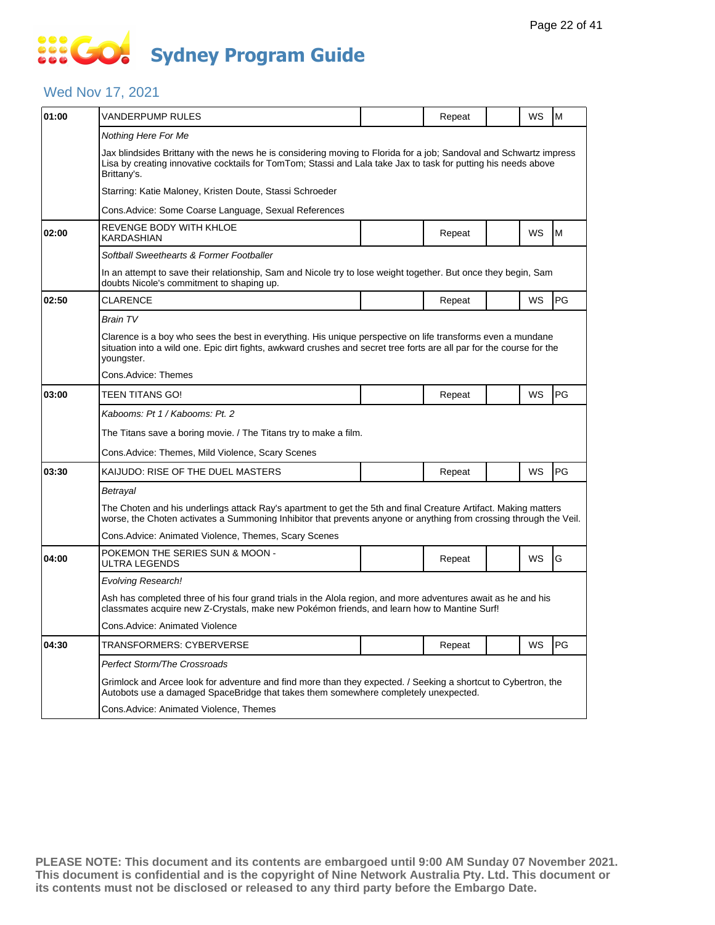### Wed Nov 17, 2021

| 01:00 | VANDERPUMP RULES                                                                                                                                                                                                                                    |  | Repeat |  | WS | M   |  |  |  |
|-------|-----------------------------------------------------------------------------------------------------------------------------------------------------------------------------------------------------------------------------------------------------|--|--------|--|----|-----|--|--|--|
|       | Nothing Here For Me                                                                                                                                                                                                                                 |  |        |  |    |     |  |  |  |
|       | Jax blindsides Brittany with the news he is considering moving to Florida for a job; Sandoval and Schwartz impress<br>Lisa by creating innovative cocktails for TomTom; Stassi and Lala take Jax to task for putting his needs above<br>Brittany's. |  |        |  |    |     |  |  |  |
|       | Starring: Katie Maloney, Kristen Doute, Stassi Schroeder                                                                                                                                                                                            |  |        |  |    |     |  |  |  |
|       | Cons.Advice: Some Coarse Language, Sexual References                                                                                                                                                                                                |  |        |  |    |     |  |  |  |
| 02:00 | REVENGE BODY WITH KHLOE<br>KARDASHIAN                                                                                                                                                                                                               |  | Repeat |  | WS | M   |  |  |  |
|       | Softball Sweethearts & Former Footballer                                                                                                                                                                                                            |  |        |  |    |     |  |  |  |
|       | In an attempt to save their relationship, Sam and Nicole try to lose weight together. But once they begin, Sam<br>doubts Nicole's commitment to shaping up.                                                                                         |  |        |  |    |     |  |  |  |
| 02:50 | <b>CLARENCE</b>                                                                                                                                                                                                                                     |  | Repeat |  | WS | PG  |  |  |  |
|       | <b>Brain TV</b>                                                                                                                                                                                                                                     |  |        |  |    |     |  |  |  |
|       | Clarence is a boy who sees the best in everything. His unique perspective on life transforms even a mundane<br>situation into a wild one. Epic dirt fights, awkward crushes and secret tree forts are all par for the course for the<br>youngster.  |  |        |  |    |     |  |  |  |
|       | Cons.Advice: Themes                                                                                                                                                                                                                                 |  |        |  |    |     |  |  |  |
| 03:00 | TEEN TITANS GO!                                                                                                                                                                                                                                     |  | Repeat |  | WS | PG  |  |  |  |
|       | Kabooms: Pt 1 / Kabooms: Pt. 2                                                                                                                                                                                                                      |  |        |  |    |     |  |  |  |
|       | The Titans save a boring movie. / The Titans try to make a film.                                                                                                                                                                                    |  |        |  |    |     |  |  |  |
|       | Cons.Advice: Themes, Mild Violence, Scary Scenes                                                                                                                                                                                                    |  |        |  |    |     |  |  |  |
| 03:30 | KAIJUDO: RISE OF THE DUEL MASTERS                                                                                                                                                                                                                   |  | Repeat |  | WS | PG  |  |  |  |
|       | Betrayal                                                                                                                                                                                                                                            |  |        |  |    |     |  |  |  |
|       | The Choten and his underlings attack Ray's apartment to get the 5th and final Creature Artifact. Making matters<br>worse, the Choten activates a Summoning Inhibitor that prevents anyone or anything from crossing through the Veil.               |  |        |  |    |     |  |  |  |
|       | Cons.Advice: Animated Violence, Themes, Scary Scenes                                                                                                                                                                                                |  |        |  |    |     |  |  |  |
| 04:00 | POKEMON THE SERIES SUN & MOON -<br><b>ULTRA LEGENDS</b>                                                                                                                                                                                             |  | Repeat |  | WS | G   |  |  |  |
|       | <b>Evolving Research!</b>                                                                                                                                                                                                                           |  |        |  |    |     |  |  |  |
|       | Ash has completed three of his four grand trials in the Alola region, and more adventures await as he and his<br>classmates acquire new Z-Crystals, make new Pokémon friends, and learn how to Mantine Surf!                                        |  |        |  |    |     |  |  |  |
|       | Cons.Advice: Animated Violence                                                                                                                                                                                                                      |  |        |  |    |     |  |  |  |
| 04:30 | TRANSFORMERS: CYBERVERSE                                                                                                                                                                                                                            |  | Repeat |  | WS | PG. |  |  |  |
|       | Perfect Storm/The Crossroads                                                                                                                                                                                                                        |  |        |  |    |     |  |  |  |
|       | Grimlock and Arcee look for adventure and find more than they expected. / Seeking a shortcut to Cybertron, the<br>Autobots use a damaged SpaceBridge that takes them somewhere completely unexpected.                                               |  |        |  |    |     |  |  |  |
|       | Cons.Advice: Animated Violence, Themes                                                                                                                                                                                                              |  |        |  |    |     |  |  |  |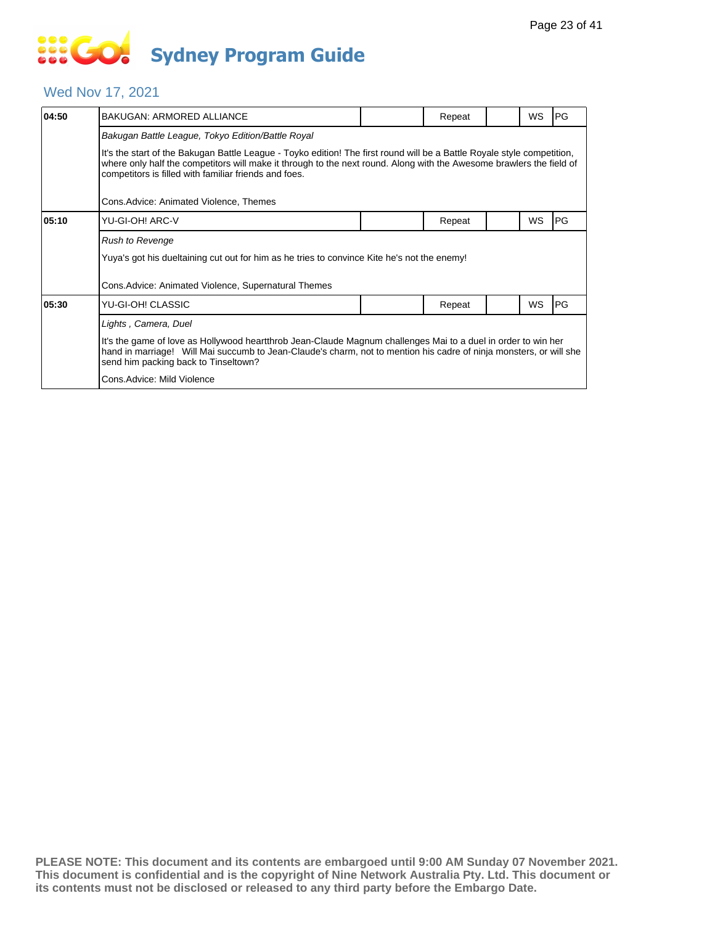#### Wed Nov 17, 2021

| 04:50 | <b>BAKUGAN: ARMORED ALLIANCE</b>                                                                                                                                                                                                                                                                         |  | Repeat |  | WS | PG        |  |  |  |
|-------|----------------------------------------------------------------------------------------------------------------------------------------------------------------------------------------------------------------------------------------------------------------------------------------------------------|--|--------|--|----|-----------|--|--|--|
|       | Bakugan Battle League, Tokyo Edition/Battle Royal                                                                                                                                                                                                                                                        |  |        |  |    |           |  |  |  |
|       | It's the start of the Bakugan Battle League - Toyko edition! The first round will be a Battle Royale style competition,<br>where only half the competitors will make it through to the next round. Along with the Awesome brawlers the field of<br>competitors is filled with familiar friends and foes. |  |        |  |    |           |  |  |  |
|       | Cons.Advice: Animated Violence, Themes                                                                                                                                                                                                                                                                   |  |        |  |    |           |  |  |  |
| 05:10 | YU-GI-OH! ARC-V                                                                                                                                                                                                                                                                                          |  | Repeat |  | WS | <b>PG</b> |  |  |  |
|       | <b>Rush to Revenge</b>                                                                                                                                                                                                                                                                                   |  |        |  |    |           |  |  |  |
|       | Yuya's got his dueltaining cut out for him as he tries to convince Kite he's not the enemy!                                                                                                                                                                                                              |  |        |  |    |           |  |  |  |
|       | Cons.Advice: Animated Violence, Supernatural Themes                                                                                                                                                                                                                                                      |  |        |  |    |           |  |  |  |
| 05:30 | YU-GI-OH! CLASSIC                                                                                                                                                                                                                                                                                        |  | Repeat |  | WS | PG        |  |  |  |
|       | Lights, Camera, Duel                                                                                                                                                                                                                                                                                     |  |        |  |    |           |  |  |  |
|       | It's the game of love as Hollywood heartthrob Jean-Claude Magnum challenges Mai to a duel in order to win her<br>hand in marriage! Will Mai succumb to Jean-Claude's charm, not to mention his cadre of ninja monsters, or will she<br>send him packing back to Tinseltown?                              |  |        |  |    |           |  |  |  |
|       | Cons.Advice: Mild Violence                                                                                                                                                                                                                                                                               |  |        |  |    |           |  |  |  |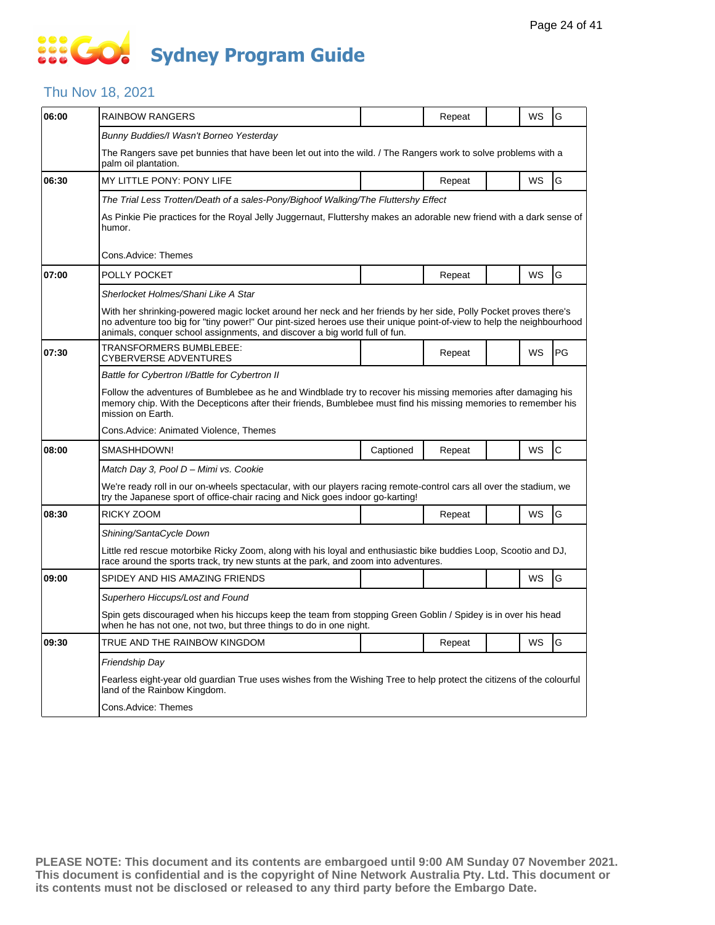# **SOCOL Sydney Program Guide**

### Thu Nov 18, 2021

| 06:00 | <b>RAINBOW RANGERS</b>                                                                                                                                                                                                                                                                                                  |           | Repeat |  | WS        | G            |  |  |  |
|-------|-------------------------------------------------------------------------------------------------------------------------------------------------------------------------------------------------------------------------------------------------------------------------------------------------------------------------|-----------|--------|--|-----------|--------------|--|--|--|
|       | Bunny Buddies/I Wasn't Borneo Yesterday                                                                                                                                                                                                                                                                                 |           |        |  |           |              |  |  |  |
|       | The Rangers save pet bunnies that have been let out into the wild. / The Rangers work to solve problems with a<br>palm oil plantation.                                                                                                                                                                                  |           |        |  |           |              |  |  |  |
| 06:30 | MY LITTLE PONY: PONY LIFE                                                                                                                                                                                                                                                                                               |           | Repeat |  | WS        | G            |  |  |  |
|       | The Trial Less Trotten/Death of a sales-Pony/Bighoof Walking/The Fluttershy Effect                                                                                                                                                                                                                                      |           |        |  |           |              |  |  |  |
|       | As Pinkie Pie practices for the Royal Jelly Juggernaut, Fluttershy makes an adorable new friend with a dark sense of<br>humor.                                                                                                                                                                                          |           |        |  |           |              |  |  |  |
|       | Cons.Advice: Themes                                                                                                                                                                                                                                                                                                     |           |        |  |           |              |  |  |  |
| 07:00 | POLLY POCKET                                                                                                                                                                                                                                                                                                            |           | Repeat |  | WS        | G            |  |  |  |
|       | Sherlocket Holmes/Shani Like A Star                                                                                                                                                                                                                                                                                     |           |        |  |           |              |  |  |  |
|       | With her shrinking-powered magic locket around her neck and her friends by her side, Polly Pocket proves there's<br>no adventure too big for "tiny power!" Our pint-sized heroes use their unique point-of-view to help the neighbourhood<br>animals, conquer school assignments, and discover a big world full of fun. |           |        |  |           |              |  |  |  |
| 07:30 | TRANSFORMERS BUMBLEBEE:<br><b>CYBERVERSE ADVENTURES</b>                                                                                                                                                                                                                                                                 |           | Repeat |  | WS        | PG           |  |  |  |
|       | Battle for Cybertron I/Battle for Cybertron II                                                                                                                                                                                                                                                                          |           |        |  |           |              |  |  |  |
|       | Follow the adventures of Bumblebee as he and Windblade try to recover his missing memories after damaging his<br>memory chip. With the Decepticons after their friends, Bumblebee must find his missing memories to remember his<br>mission on Earth.                                                                   |           |        |  |           |              |  |  |  |
|       | Cons. Advice: Animated Violence, Themes                                                                                                                                                                                                                                                                                 |           |        |  |           |              |  |  |  |
| 08:00 | SMASHHDOWN!                                                                                                                                                                                                                                                                                                             | Captioned | Repeat |  | WS        | $\mathsf{C}$ |  |  |  |
|       | Match Day 3, Pool D - Mimi vs. Cookie                                                                                                                                                                                                                                                                                   |           |        |  |           |              |  |  |  |
|       | We're ready roll in our on-wheels spectacular, with our players racing remote-control cars all over the stadium, we<br>try the Japanese sport of office-chair racing and Nick goes indoor go-karting!                                                                                                                   |           |        |  |           |              |  |  |  |
| 08:30 | RICKY ZOOM                                                                                                                                                                                                                                                                                                              |           | Repeat |  | <b>WS</b> | G            |  |  |  |
|       | Shining/SantaCycle Down                                                                                                                                                                                                                                                                                                 |           |        |  |           |              |  |  |  |
|       | Little red rescue motorbike Ricky Zoom, along with his loyal and enthusiastic bike buddies Loop, Scootio and DJ,<br>race around the sports track, try new stunts at the park, and zoom into adventures.                                                                                                                 |           |        |  |           |              |  |  |  |
| 09:00 | SPIDEY AND HIS AMAZING FRIENDS                                                                                                                                                                                                                                                                                          |           |        |  | WS        | G            |  |  |  |
|       | Superhero Hiccups/Lost and Found                                                                                                                                                                                                                                                                                        |           |        |  |           |              |  |  |  |
|       | Spin gets discouraged when his hiccups keep the team from stopping Green Goblin / Spidey is in over his head<br>when he has not one, not two, but three things to do in one night.                                                                                                                                      |           |        |  |           |              |  |  |  |
| 09:30 | TRUE AND THE RAINBOW KINGDOM                                                                                                                                                                                                                                                                                            |           | Repeat |  | WS        | G            |  |  |  |
|       | Friendship Day                                                                                                                                                                                                                                                                                                          |           |        |  |           |              |  |  |  |
|       | Fearless eight-year old guardian True uses wishes from the Wishing Tree to help protect the citizens of the colourful<br>land of the Rainbow Kingdom.                                                                                                                                                                   |           |        |  |           |              |  |  |  |
|       | Cons.Advice: Themes                                                                                                                                                                                                                                                                                                     |           |        |  |           |              |  |  |  |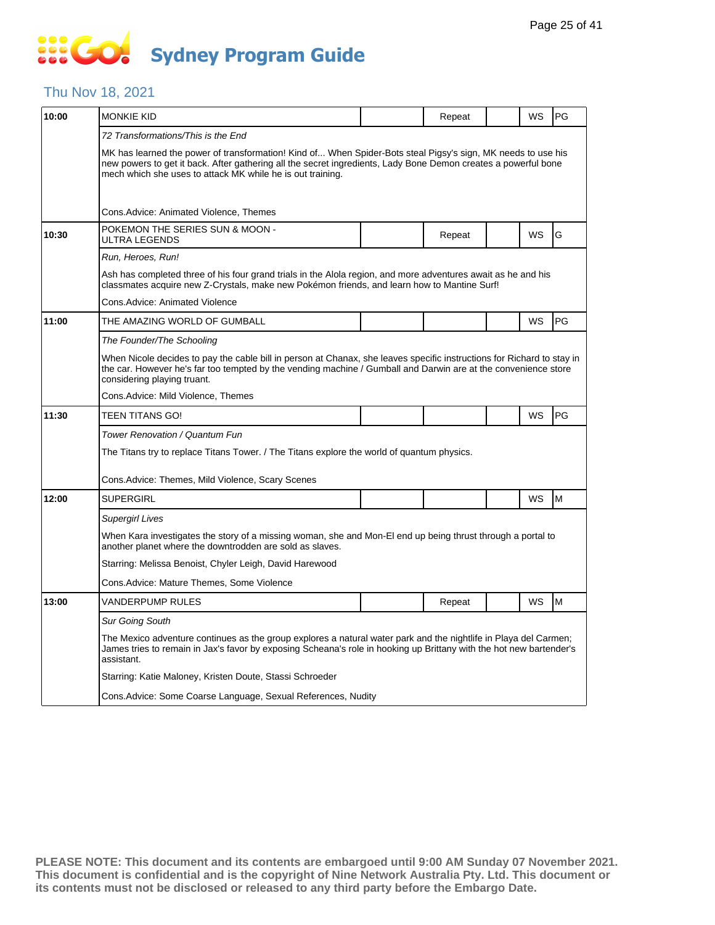### Thu Nov 18, 2021

| 10:00 | <b>MONKIE KID</b>                                                                                                                                                                                                                                                                            |  | Repeat |  | WS        | <b>PG</b> |  |  |  |
|-------|----------------------------------------------------------------------------------------------------------------------------------------------------------------------------------------------------------------------------------------------------------------------------------------------|--|--------|--|-----------|-----------|--|--|--|
|       | 72 Transformations/This is the End                                                                                                                                                                                                                                                           |  |        |  |           |           |  |  |  |
|       | MK has learned the power of transformation! Kind of When Spider-Bots steal Pigsy's sign, MK needs to use his<br>new powers to get it back. After gathering all the secret ingredients, Lady Bone Demon creates a powerful bone<br>mech which she uses to attack MK while he is out training. |  |        |  |           |           |  |  |  |
|       | Cons.Advice: Animated Violence, Themes                                                                                                                                                                                                                                                       |  |        |  |           |           |  |  |  |
| 10:30 | POKEMON THE SERIES SUN & MOON -<br>ULTRA LEGENDS                                                                                                                                                                                                                                             |  | Repeat |  | WS        | G         |  |  |  |
|       | Run, Heroes, Run!                                                                                                                                                                                                                                                                            |  |        |  |           |           |  |  |  |
|       | Ash has completed three of his four grand trials in the Alola region, and more adventures await as he and his<br>classmates acquire new Z-Crystals, make new Pokémon friends, and learn how to Mantine Surf!                                                                                 |  |        |  |           |           |  |  |  |
|       | Cons.Advice: Animated Violence                                                                                                                                                                                                                                                               |  |        |  |           |           |  |  |  |
| 11:00 | THE AMAZING WORLD OF GUMBALL                                                                                                                                                                                                                                                                 |  |        |  | WS        | <b>PG</b> |  |  |  |
|       | The Founder/The Schooling                                                                                                                                                                                                                                                                    |  |        |  |           |           |  |  |  |
|       | When Nicole decides to pay the cable bill in person at Chanax, she leaves specific instructions for Richard to stay in<br>the car. However he's far too tempted by the vending machine / Gumball and Darwin are at the convenience store<br>considering playing truant.                      |  |        |  |           |           |  |  |  |
|       | Cons.Advice: Mild Violence, Themes                                                                                                                                                                                                                                                           |  |        |  |           |           |  |  |  |
| 11:30 | <b>TEEN TITANS GO!</b>                                                                                                                                                                                                                                                                       |  |        |  | <b>WS</b> | PG        |  |  |  |
|       | Tower Renovation / Quantum Fun                                                                                                                                                                                                                                                               |  |        |  |           |           |  |  |  |
|       | The Titans try to replace Titans Tower. / The Titans explore the world of quantum physics.                                                                                                                                                                                                   |  |        |  |           |           |  |  |  |
|       | Cons.Advice: Themes, Mild Violence, Scary Scenes                                                                                                                                                                                                                                             |  |        |  |           |           |  |  |  |
| 12:00 | <b>SUPERGIRL</b>                                                                                                                                                                                                                                                                             |  |        |  | WS        | M         |  |  |  |
|       | Supergirl Lives                                                                                                                                                                                                                                                                              |  |        |  |           |           |  |  |  |
|       | When Kara investigates the story of a missing woman, she and Mon-El end up being thrust through a portal to<br>another planet where the downtrodden are sold as slaves.                                                                                                                      |  |        |  |           |           |  |  |  |
|       | Starring: Melissa Benoist, Chyler Leigh, David Harewood                                                                                                                                                                                                                                      |  |        |  |           |           |  |  |  |
|       | Cons.Advice: Mature Themes, Some Violence                                                                                                                                                                                                                                                    |  |        |  |           |           |  |  |  |
| 13:00 | VANDERPUMP RULES                                                                                                                                                                                                                                                                             |  | Repeat |  | WS        | M         |  |  |  |
|       | Sur Going South                                                                                                                                                                                                                                                                              |  |        |  |           |           |  |  |  |
|       | The Mexico adventure continues as the group explores a natural water park and the nightlife in Playa del Carmen;<br>James tries to remain in Jax's favor by exposing Scheana's role in hooking up Brittany with the hot new bartender's<br>assistant.                                        |  |        |  |           |           |  |  |  |
|       | Starring: Katie Maloney, Kristen Doute, Stassi Schroeder                                                                                                                                                                                                                                     |  |        |  |           |           |  |  |  |
|       | Cons.Advice: Some Coarse Language, Sexual References, Nudity                                                                                                                                                                                                                                 |  |        |  |           |           |  |  |  |
|       |                                                                                                                                                                                                                                                                                              |  |        |  |           |           |  |  |  |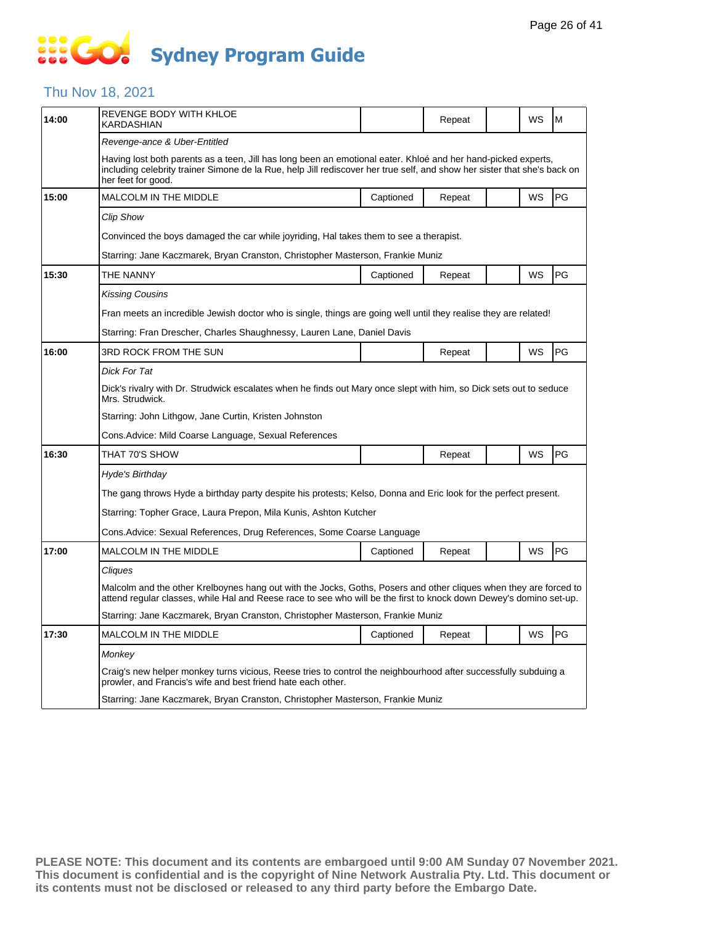### Thu Nov 18, 2021

| 14:00 | REVENGE BODY WITH KHLOE<br>KARDASHIAN                                                                                                                                                                                                                           |           | Repeat |  | WS        | M  |  |  |
|-------|-----------------------------------------------------------------------------------------------------------------------------------------------------------------------------------------------------------------------------------------------------------------|-----------|--------|--|-----------|----|--|--|
|       | Revenge-ance & Uber-Entitled                                                                                                                                                                                                                                    |           |        |  |           |    |  |  |
|       | Having lost both parents as a teen, Jill has long been an emotional eater. Khloé and her hand-picked experts,<br>including celebrity trainer Simone de la Rue, help Jill rediscover her true self, and show her sister that she's back on<br>her feet for good. |           |        |  |           |    |  |  |
| 15:00 | <b>MALCOLM IN THE MIDDLE</b>                                                                                                                                                                                                                                    | Captioned | Repeat |  | WS        | PG |  |  |
|       | <b>Clip Show</b>                                                                                                                                                                                                                                                |           |        |  |           |    |  |  |
|       | Convinced the boys damaged the car while joyriding, Hal takes them to see a therapist.                                                                                                                                                                          |           |        |  |           |    |  |  |
|       | Starring: Jane Kaczmarek, Bryan Cranston, Christopher Masterson, Frankie Muniz                                                                                                                                                                                  |           |        |  |           |    |  |  |
| 15:30 | THE NANNY                                                                                                                                                                                                                                                       | Captioned | Repeat |  | WS        | PG |  |  |
|       | <b>Kissing Cousins</b>                                                                                                                                                                                                                                          |           |        |  |           |    |  |  |
|       | Fran meets an incredible Jewish doctor who is single, things are going well until they realise they are related!                                                                                                                                                |           |        |  |           |    |  |  |
|       | Starring: Fran Drescher, Charles Shaughnessy, Lauren Lane, Daniel Davis                                                                                                                                                                                         |           |        |  |           |    |  |  |
| 16:00 | <b>3RD ROCK FROM THE SUN</b>                                                                                                                                                                                                                                    |           | Repeat |  | WS        | PG |  |  |
|       | Dick For Tat                                                                                                                                                                                                                                                    |           |        |  |           |    |  |  |
|       | Dick's rivalry with Dr. Strudwick escalates when he finds out Mary once slept with him, so Dick sets out to seduce<br>Mrs. Strudwick.                                                                                                                           |           |        |  |           |    |  |  |
|       | Starring: John Lithgow, Jane Curtin, Kristen Johnston                                                                                                                                                                                                           |           |        |  |           |    |  |  |
|       | Cons. Advice: Mild Coarse Language, Sexual References                                                                                                                                                                                                           |           |        |  |           |    |  |  |
| 16:30 | THAT 70'S SHOW                                                                                                                                                                                                                                                  |           | Repeat |  | WS        | PG |  |  |
|       | Hyde's Birthday                                                                                                                                                                                                                                                 |           |        |  |           |    |  |  |
|       | The gang throws Hyde a birthday party despite his protests; Kelso, Donna and Eric look for the perfect present.                                                                                                                                                 |           |        |  |           |    |  |  |
|       | Starring: Topher Grace, Laura Prepon, Mila Kunis, Ashton Kutcher                                                                                                                                                                                                |           |        |  |           |    |  |  |
|       | Cons. Advice: Sexual References, Drug References, Some Coarse Language                                                                                                                                                                                          |           |        |  |           |    |  |  |
| 17:00 | <b>MALCOLM IN THE MIDDLE</b>                                                                                                                                                                                                                                    | Captioned | Repeat |  | <b>WS</b> | PG |  |  |
|       | Cliques                                                                                                                                                                                                                                                         |           |        |  |           |    |  |  |
|       | Malcolm and the other Krelboynes hang out with the Jocks, Goths, Posers and other cliques when they are forced to<br>attend regular classes, while Hal and Reese race to see who will be the first to knock down Dewey's domino set-up.                         |           |        |  |           |    |  |  |
|       | Starring: Jane Kaczmarek, Bryan Cranston, Christopher Masterson, Frankie Muniz                                                                                                                                                                                  |           |        |  |           |    |  |  |
| 17:30 | <b>MALCOLM IN THE MIDDLE</b>                                                                                                                                                                                                                                    | Captioned | Repeat |  | WS        | PG |  |  |
|       | Monkey                                                                                                                                                                                                                                                          |           |        |  |           |    |  |  |
|       | Craig's new helper monkey turns vicious, Reese tries to control the neighbourhood after successfully subduing a<br>prowler, and Francis's wife and best friend hate each other.                                                                                 |           |        |  |           |    |  |  |
|       | Starring: Jane Kaczmarek, Bryan Cranston, Christopher Masterson, Frankie Muniz                                                                                                                                                                                  |           |        |  |           |    |  |  |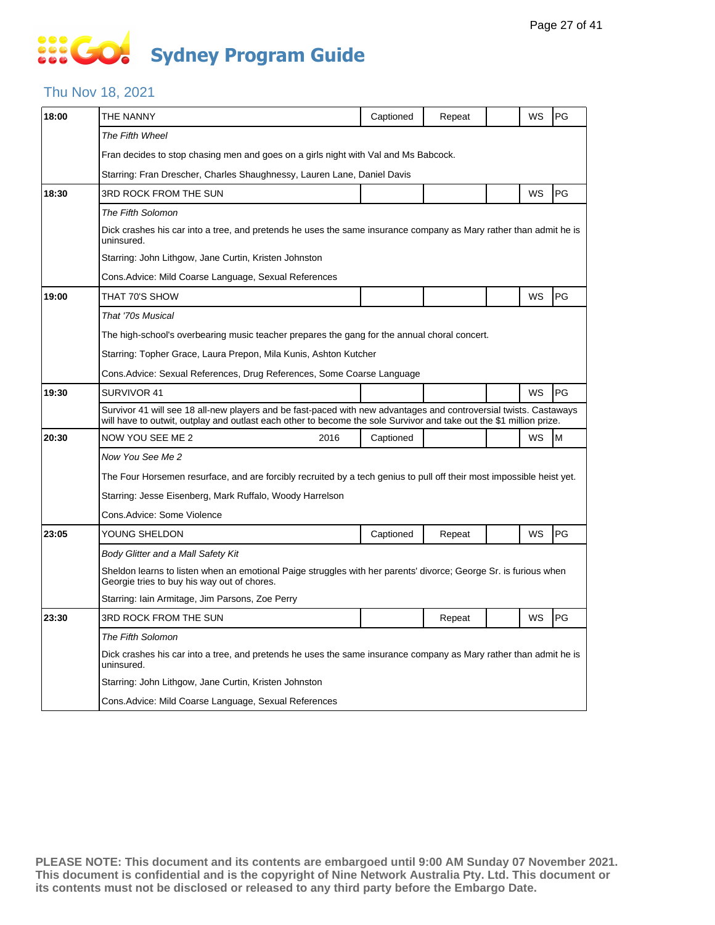# **SOCOL Sydney Program Guide**

### Thu Nov 18, 2021

| 18:00 | THE NANNY                                                                                                                                                                                                                                | Captioned | Repeat |  | WS | PG |  |  |  |
|-------|------------------------------------------------------------------------------------------------------------------------------------------------------------------------------------------------------------------------------------------|-----------|--------|--|----|----|--|--|--|
|       | The Fifth Wheel                                                                                                                                                                                                                          |           |        |  |    |    |  |  |  |
|       | Fran decides to stop chasing men and goes on a girls night with Val and Ms Babcock.                                                                                                                                                      |           |        |  |    |    |  |  |  |
|       | Starring: Fran Drescher, Charles Shaughnessy, Lauren Lane, Daniel Davis                                                                                                                                                                  |           |        |  |    |    |  |  |  |
| 18:30 | 3RD ROCK FROM THE SUN                                                                                                                                                                                                                    |           |        |  | WS | PG |  |  |  |
|       | The Fifth Solomon                                                                                                                                                                                                                        |           |        |  |    |    |  |  |  |
|       | Dick crashes his car into a tree, and pretends he uses the same insurance company as Mary rather than admit he is<br>uninsured.                                                                                                          |           |        |  |    |    |  |  |  |
|       | Starring: John Lithgow, Jane Curtin, Kristen Johnston                                                                                                                                                                                    |           |        |  |    |    |  |  |  |
|       | Cons. Advice: Mild Coarse Language, Sexual References                                                                                                                                                                                    |           |        |  |    |    |  |  |  |
| 19:00 | THAT 70'S SHOW                                                                                                                                                                                                                           |           |        |  | WS | PG |  |  |  |
|       | That '70s Musical                                                                                                                                                                                                                        |           |        |  |    |    |  |  |  |
|       | The high-school's overbearing music teacher prepares the gang for the annual choral concert.                                                                                                                                             |           |        |  |    |    |  |  |  |
|       | Starring: Topher Grace, Laura Prepon, Mila Kunis, Ashton Kutcher                                                                                                                                                                         |           |        |  |    |    |  |  |  |
|       | Cons. Advice: Sexual References, Drug References, Some Coarse Language                                                                                                                                                                   |           |        |  |    |    |  |  |  |
| 19:30 | SURVIVOR 41                                                                                                                                                                                                                              |           |        |  | WS | PG |  |  |  |
|       | Survivor 41 will see 18 all-new players and be fast-paced with new advantages and controversial twists. Castaways<br>will have to outwit, outplay and outlast each other to become the sole Survivor and take out the \$1 million prize. |           |        |  |    |    |  |  |  |
| 20:30 | NOW YOU SEE ME 2<br>2016                                                                                                                                                                                                                 | Captioned |        |  | WS | M  |  |  |  |
|       | Now You See Me 2                                                                                                                                                                                                                         |           |        |  |    |    |  |  |  |
|       | The Four Horsemen resurface, and are forcibly recruited by a tech genius to pull off their most impossible heist yet.                                                                                                                    |           |        |  |    |    |  |  |  |
|       | Starring: Jesse Eisenberg, Mark Ruffalo, Woody Harrelson                                                                                                                                                                                 |           |        |  |    |    |  |  |  |
|       | Cons.Advice: Some Violence                                                                                                                                                                                                               |           |        |  |    |    |  |  |  |
| 23:05 | YOUNG SHELDON                                                                                                                                                                                                                            | Captioned | Repeat |  | WS | PG |  |  |  |
|       | Body Glitter and a Mall Safety Kit                                                                                                                                                                                                       |           |        |  |    |    |  |  |  |
|       | Sheldon learns to listen when an emotional Paige struggles with her parents' divorce; George Sr. is furious when<br>Georgie tries to buy his way out of chores.                                                                          |           |        |  |    |    |  |  |  |
|       | Starring: Iain Armitage, Jim Parsons, Zoe Perry                                                                                                                                                                                          |           |        |  |    |    |  |  |  |
| 23:30 | 3RD ROCK FROM THE SUN                                                                                                                                                                                                                    |           | Repeat |  | WS | PG |  |  |  |
|       | The Fifth Solomon                                                                                                                                                                                                                        |           |        |  |    |    |  |  |  |
|       | Dick crashes his car into a tree, and pretends he uses the same insurance company as Mary rather than admit he is<br>uninsured.                                                                                                          |           |        |  |    |    |  |  |  |
|       | Starring: John Lithgow, Jane Curtin, Kristen Johnston                                                                                                                                                                                    |           |        |  |    |    |  |  |  |
|       | Cons. Advice: Mild Coarse Language, Sexual References                                                                                                                                                                                    |           |        |  |    |    |  |  |  |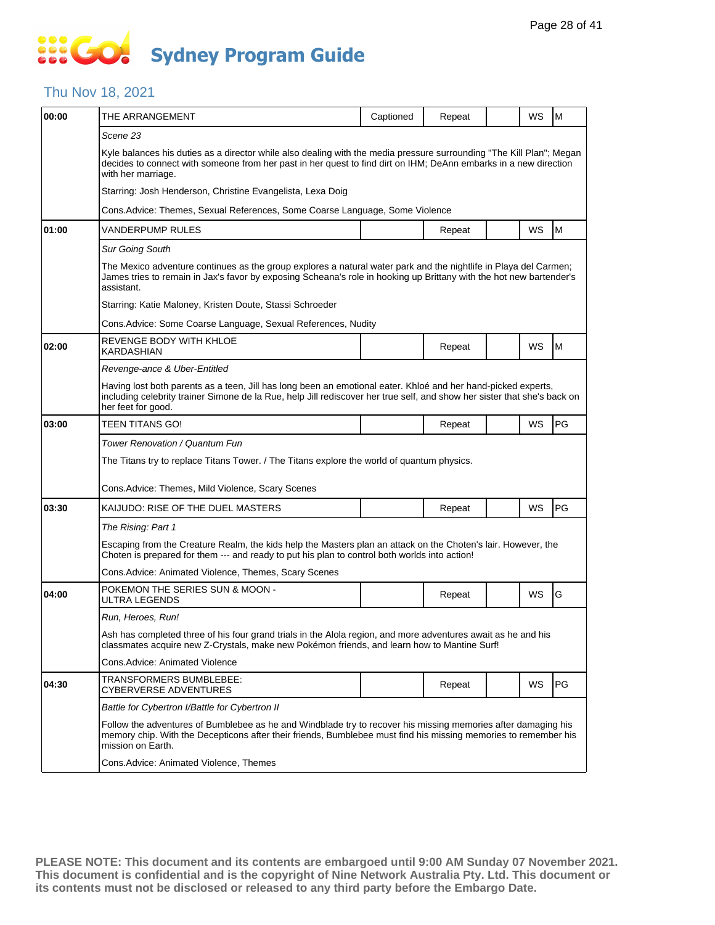### Thu Nov 18, 2021

| 00:00 | THE ARRANGEMENT                                                                                                                                                                                                                                                 | Captioned | Repeat |  | WS        | M  |  |  |  |
|-------|-----------------------------------------------------------------------------------------------------------------------------------------------------------------------------------------------------------------------------------------------------------------|-----------|--------|--|-----------|----|--|--|--|
|       | Scene 23                                                                                                                                                                                                                                                        |           |        |  |           |    |  |  |  |
|       | Kyle balances his duties as a director while also dealing with the media pressure surrounding "The Kill Plan"; Megan<br>decides to connect with someone from her past in her quest to find dirt on IHM; DeAnn embarks in a new direction<br>with her marriage.  |           |        |  |           |    |  |  |  |
|       | Starring: Josh Henderson, Christine Evangelista, Lexa Doig                                                                                                                                                                                                      |           |        |  |           |    |  |  |  |
|       | Cons. Advice: Themes, Sexual References, Some Coarse Language, Some Violence                                                                                                                                                                                    |           |        |  |           |    |  |  |  |
| 01:00 | VANDERPUMP RULES                                                                                                                                                                                                                                                |           | Repeat |  | <b>WS</b> | M  |  |  |  |
|       | <b>Sur Going South</b>                                                                                                                                                                                                                                          |           |        |  |           |    |  |  |  |
|       | The Mexico adventure continues as the group explores a natural water park and the nightlife in Playa del Carmen;<br>James tries to remain in Jax's favor by exposing Scheana's role in hooking up Brittany with the hot new bartender's<br>assistant.           |           |        |  |           |    |  |  |  |
|       | Starring: Katie Maloney, Kristen Doute, Stassi Schroeder                                                                                                                                                                                                        |           |        |  |           |    |  |  |  |
|       | Cons.Advice: Some Coarse Language, Sexual References, Nudity                                                                                                                                                                                                    |           |        |  |           |    |  |  |  |
| 02:00 | REVENGE BODY WITH KHLOE<br><b>KARDASHIAN</b>                                                                                                                                                                                                                    |           | Repeat |  | WS        | M  |  |  |  |
|       | Revenge-ance & Uber-Entitled                                                                                                                                                                                                                                    |           |        |  |           |    |  |  |  |
|       | Having lost both parents as a teen, Jill has long been an emotional eater. Khloé and her hand-picked experts,<br>including celebrity trainer Simone de la Rue, help Jill rediscover her true self, and show her sister that she's back on<br>her feet for good. |           |        |  |           |    |  |  |  |
| 03:00 | <b>TEEN TITANS GO!</b>                                                                                                                                                                                                                                          |           | Repeat |  | WS        | PG |  |  |  |
|       | Tower Renovation / Quantum Fun                                                                                                                                                                                                                                  |           |        |  |           |    |  |  |  |
|       | The Titans try to replace Titans Tower. / The Titans explore the world of quantum physics.                                                                                                                                                                      |           |        |  |           |    |  |  |  |
|       | Cons. Advice: Themes, Mild Violence, Scary Scenes                                                                                                                                                                                                               |           |        |  |           |    |  |  |  |
| 03:30 | KAIJUDO: RISE OF THE DUEL MASTERS                                                                                                                                                                                                                               |           | Repeat |  | WS        | PG |  |  |  |
|       | The Rising: Part 1                                                                                                                                                                                                                                              |           |        |  |           |    |  |  |  |
|       | Escaping from the Creature Realm, the kids help the Masters plan an attack on the Choten's lair. However, the<br>Choten is prepared for them --- and ready to put his plan to control both worlds into action!                                                  |           |        |  |           |    |  |  |  |
|       | Cons. Advice: Animated Violence, Themes, Scary Scenes                                                                                                                                                                                                           |           |        |  |           |    |  |  |  |
| 04:00 | POKEMON THE SERIES SUN & MOON -<br>ULTRA LEGENDS                                                                                                                                                                                                                |           | Repeat |  | WS        | G  |  |  |  |
|       | Run, Heroes, Run!                                                                                                                                                                                                                                               |           |        |  |           |    |  |  |  |
|       | Ash has completed three of his four grand trials in the Alola region, and more adventures await as he and his<br>classmates acquire new Z-Crystals, make new Pokémon friends, and learn how to Mantine Surf!                                                    |           |        |  |           |    |  |  |  |
|       | Cons.Advice: Animated Violence                                                                                                                                                                                                                                  |           |        |  |           |    |  |  |  |
| 04:30 | TRANSFORMERS BUMBLEBEE:<br>CYBERVERSE ADVENTURES                                                                                                                                                                                                                |           | Repeat |  | WS        | PG |  |  |  |
|       | Battle for Cybertron I/Battle for Cybertron II                                                                                                                                                                                                                  |           |        |  |           |    |  |  |  |
|       | Follow the adventures of Bumblebee as he and Windblade try to recover his missing memories after damaging his<br>memory chip. With the Decepticons after their friends, Bumblebee must find his missing memories to remember his<br>mission on Earth.           |           |        |  |           |    |  |  |  |
|       | Cons.Advice: Animated Violence, Themes                                                                                                                                                                                                                          |           |        |  |           |    |  |  |  |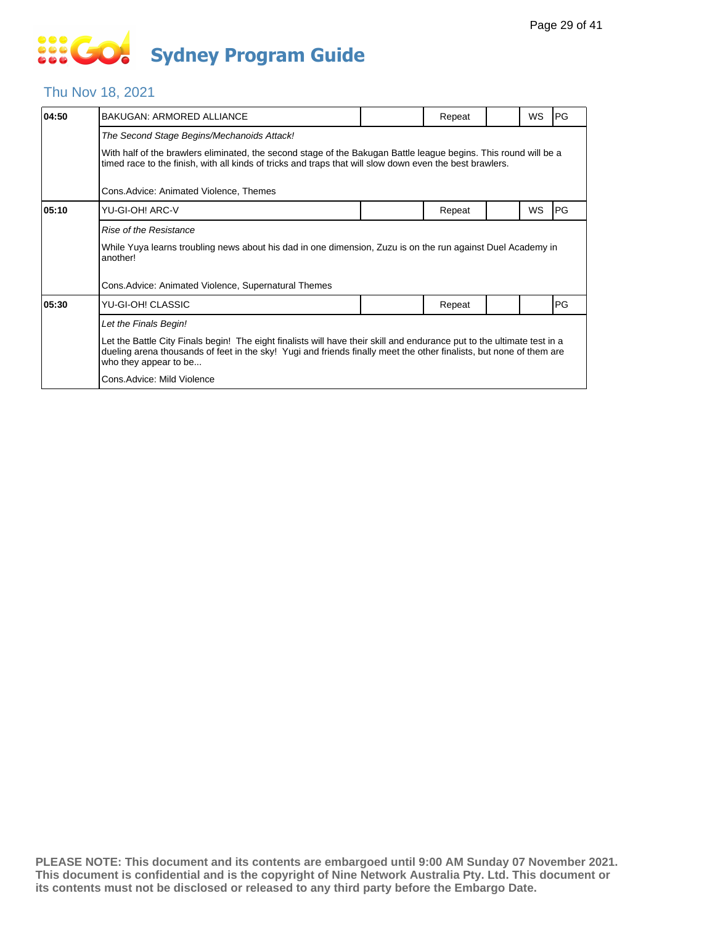### Thu Nov 18, 2021

| 04:50 | <b>BAKUGAN: ARMORED ALLIANCE</b>                                                                                                                                                                                                                                        |  | Repeat |  | <b>WS</b> | PG |  |  |  |
|-------|-------------------------------------------------------------------------------------------------------------------------------------------------------------------------------------------------------------------------------------------------------------------------|--|--------|--|-----------|----|--|--|--|
|       | The Second Stage Begins/Mechanoids Attack!                                                                                                                                                                                                                              |  |        |  |           |    |  |  |  |
|       | With half of the brawlers eliminated, the second stage of the Bakugan Battle league begins. This round will be a<br>timed race to the finish, with all kinds of tricks and traps that will slow down even the best brawlers.                                            |  |        |  |           |    |  |  |  |
|       | Cons.Advice: Animated Violence, Themes                                                                                                                                                                                                                                  |  |        |  |           |    |  |  |  |
| 05:10 | YU-GI-OH! ARC-V                                                                                                                                                                                                                                                         |  | Repeat |  | <b>WS</b> | PG |  |  |  |
|       | Rise of the Resistance                                                                                                                                                                                                                                                  |  |        |  |           |    |  |  |  |
|       | While Yuya learns troubling news about his dad in one dimension, Zuzu is on the run against Duel Academy in<br>another!                                                                                                                                                 |  |        |  |           |    |  |  |  |
|       | Cons.Advice: Animated Violence, Supernatural Themes                                                                                                                                                                                                                     |  |        |  |           |    |  |  |  |
| 05:30 | YU-GI-OH! CLASSIC                                                                                                                                                                                                                                                       |  | Repeat |  |           | PG |  |  |  |
|       | Let the Finals Begin!                                                                                                                                                                                                                                                   |  |        |  |           |    |  |  |  |
|       | Let the Battle City Finals begin! The eight finalists will have their skill and endurance put to the ultimate test in a<br>dueling arena thousands of feet in the sky! Yugi and friends finally meet the other finalists, but none of them are<br>who they appear to be |  |        |  |           |    |  |  |  |
|       | Cons.Advice: Mild Violence                                                                                                                                                                                                                                              |  |        |  |           |    |  |  |  |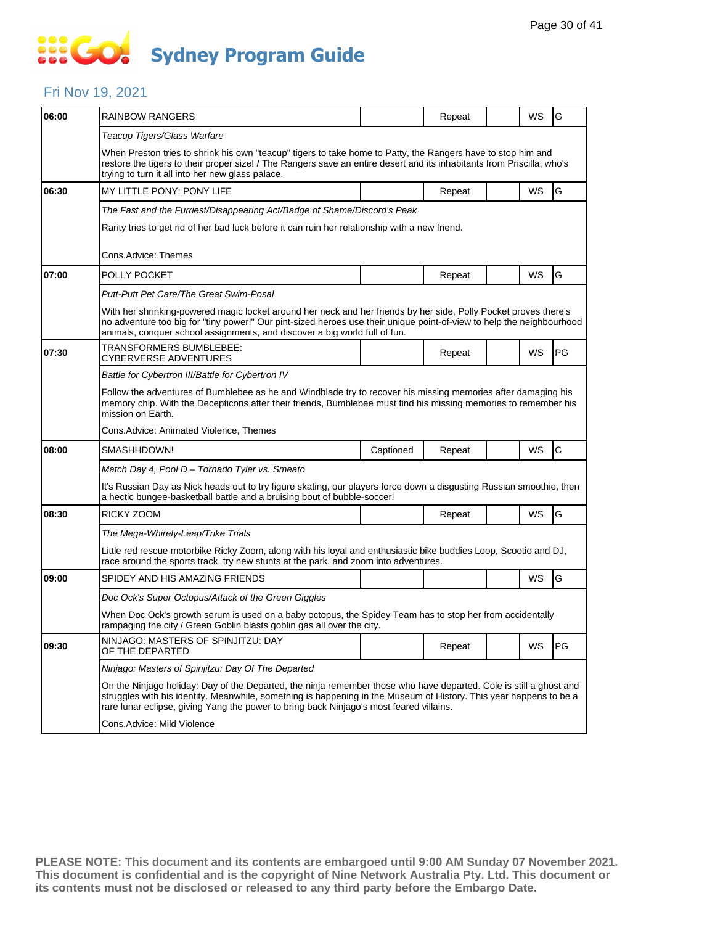### Fri Nov 19, 2021

| 06:00 | RAINBOW RANGERS                                                                                                                                                                                                                                                                                                                     |           | Repeat |  | WS | G            |  |  |
|-------|-------------------------------------------------------------------------------------------------------------------------------------------------------------------------------------------------------------------------------------------------------------------------------------------------------------------------------------|-----------|--------|--|----|--------------|--|--|
|       | Teacup Tigers/Glass Warfare                                                                                                                                                                                                                                                                                                         |           |        |  |    |              |  |  |
|       | When Preston tries to shrink his own "teacup" tigers to take home to Patty, the Rangers have to stop him and<br>restore the tigers to their proper size! / The Rangers save an entire desert and its inhabitants from Priscilla, who's<br>trying to turn it all into her new glass palace.                                          |           |        |  |    |              |  |  |
| 06:30 | MY LITTLE PONY: PONY LIFE                                                                                                                                                                                                                                                                                                           |           | Repeat |  | WS | G            |  |  |
|       | The Fast and the Furriest/Disappearing Act/Badge of Shame/Discord's Peak                                                                                                                                                                                                                                                            |           |        |  |    |              |  |  |
|       | Rarity tries to get rid of her bad luck before it can ruin her relationship with a new friend.                                                                                                                                                                                                                                      |           |        |  |    |              |  |  |
|       | Cons.Advice: Themes                                                                                                                                                                                                                                                                                                                 |           |        |  |    |              |  |  |
| 07:00 | POLLY POCKET                                                                                                                                                                                                                                                                                                                        |           | Repeat |  | WS | G            |  |  |
|       | Putt-Putt Pet Care/The Great Swim-Posal                                                                                                                                                                                                                                                                                             |           |        |  |    |              |  |  |
|       | With her shrinking-powered magic locket around her neck and her friends by her side, Polly Pocket proves there's<br>no adventure too big for "tiny power!" Our pint-sized heroes use their unique point-of-view to help the neighbourhood<br>animals, conquer school assignments, and discover a big world full of fun.             |           |        |  |    |              |  |  |
| 07:30 | TRANSFORMERS BUMBLEBEE:<br><b>CYBERVERSE ADVENTURES</b>                                                                                                                                                                                                                                                                             |           | Repeat |  | WS | PG           |  |  |
|       | Battle for Cybertron III/Battle for Cybertron IV                                                                                                                                                                                                                                                                                    |           |        |  |    |              |  |  |
|       | Follow the adventures of Bumblebee as he and Windblade try to recover his missing memories after damaging his<br>memory chip. With the Decepticons after their friends, Bumblebee must find his missing memories to remember his<br>mission on Earth.                                                                               |           |        |  |    |              |  |  |
|       | Cons. Advice: Animated Violence, Themes                                                                                                                                                                                                                                                                                             |           |        |  |    |              |  |  |
| 08:00 | SMASHHDOWN!                                                                                                                                                                                                                                                                                                                         | Captioned | Repeat |  | WS | $\mathsf{C}$ |  |  |
|       | Match Day 4, Pool D - Tornado Tyler vs. Smeato                                                                                                                                                                                                                                                                                      |           |        |  |    |              |  |  |
|       | It's Russian Day as Nick heads out to try figure skating, our players force down a disgusting Russian smoothie, then<br>a hectic bungee-basketball battle and a bruising bout of bubble-soccer!                                                                                                                                     |           |        |  |    |              |  |  |
| 08:30 | RICKY ZOOM                                                                                                                                                                                                                                                                                                                          |           | Repeat |  | WS | G            |  |  |
|       | The Mega-Whirely-Leap/Trike Trials                                                                                                                                                                                                                                                                                                  |           |        |  |    |              |  |  |
|       | Little red rescue motorbike Ricky Zoom, along with his loyal and enthusiastic bike buddies Loop, Scootio and DJ,<br>race around the sports track, try new stunts at the park, and zoom into adventures.                                                                                                                             |           |        |  |    |              |  |  |
| 09:00 | SPIDEY AND HIS AMAZING FRIENDS                                                                                                                                                                                                                                                                                                      |           |        |  | WS | G            |  |  |
|       | Doc Ock's Super Octopus/Attack of the Green Giggles                                                                                                                                                                                                                                                                                 |           |        |  |    |              |  |  |
|       | When Doc Ock's growth serum is used on a baby octopus, the Spidey Team has to stop her from accidentally<br>rampaging the city / Green Goblin blasts goblin gas all over the city.                                                                                                                                                  |           |        |  |    |              |  |  |
| 09:30 | NINJAGO: MASTERS OF SPINJITZU: DAY<br>OF THE DEPARTED                                                                                                                                                                                                                                                                               |           | Repeat |  | WS | PG.          |  |  |
|       | Ninjago: Masters of Spinjitzu: Day Of The Departed                                                                                                                                                                                                                                                                                  |           |        |  |    |              |  |  |
|       | On the Ninjago holiday: Day of the Departed, the ninja remember those who have departed. Cole is still a ghost and<br>struggles with his identity. Meanwhile, something is happening in the Museum of History. This year happens to be a<br>rare lunar eclipse, giving Yang the power to bring back Ninjago's most feared villains. |           |        |  |    |              |  |  |
|       | Cons.Advice: Mild Violence                                                                                                                                                                                                                                                                                                          |           |        |  |    |              |  |  |
|       |                                                                                                                                                                                                                                                                                                                                     |           |        |  |    |              |  |  |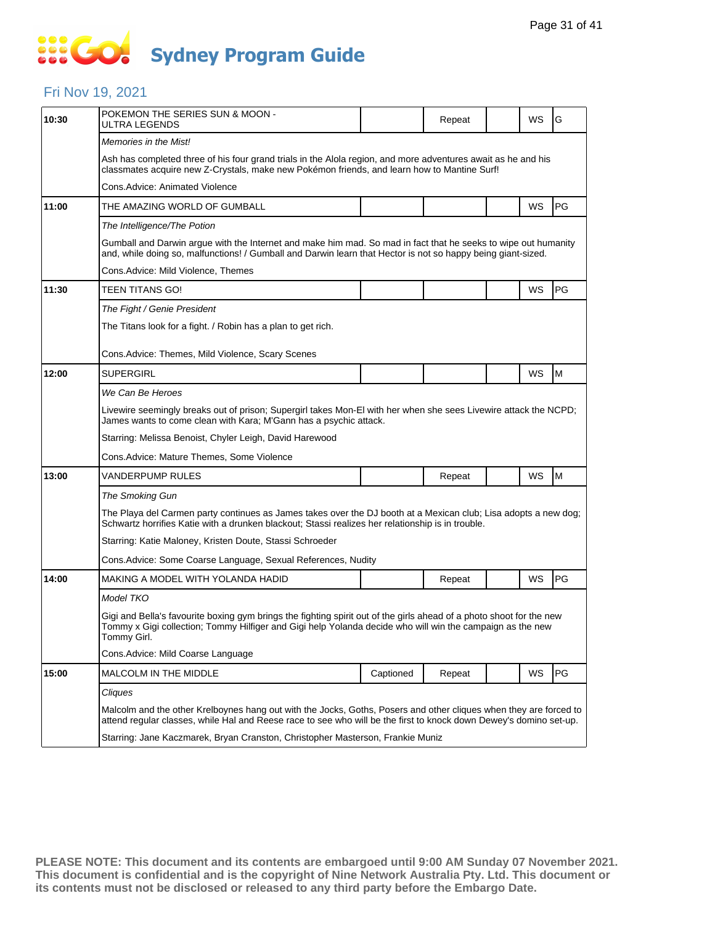# **SEC Sydney Program Guide**

### Fri Nov 19, 2021

| 10:30 | POKEMON THE SERIES SUN & MOON -<br>ULTRA LEGENDS                                                                                                                                                                                                 |           | Repeat |  | WS | G  |  |  |
|-------|--------------------------------------------------------------------------------------------------------------------------------------------------------------------------------------------------------------------------------------------------|-----------|--------|--|----|----|--|--|
|       | <i>Memories in the Mist!</i>                                                                                                                                                                                                                     |           |        |  |    |    |  |  |
|       | Ash has completed three of his four grand trials in the Alola region, and more adventures await as he and his<br>classmates acquire new Z-Crystals, make new Pokémon friends, and learn how to Mantine Surf!                                     |           |        |  |    |    |  |  |
|       | Cons.Advice: Animated Violence                                                                                                                                                                                                                   |           |        |  |    |    |  |  |
| 11:00 | THE AMAZING WORLD OF GUMBALL                                                                                                                                                                                                                     |           |        |  | WS | PG |  |  |
|       | The Intelligence/The Potion                                                                                                                                                                                                                      |           |        |  |    |    |  |  |
|       | Gumball and Darwin argue with the Internet and make him mad. So mad in fact that he seeks to wipe out humanity<br>and, while doing so, malfunctions! / Gumball and Darwin learn that Hector is not so happy being giant-sized.                   |           |        |  |    |    |  |  |
|       | Cons.Advice: Mild Violence, Themes                                                                                                                                                                                                               |           |        |  |    |    |  |  |
| 11:30 | TEEN TITANS GO!                                                                                                                                                                                                                                  |           |        |  | WS | PG |  |  |
|       | The Fight / Genie President                                                                                                                                                                                                                      |           |        |  |    |    |  |  |
|       | The Titans look for a fight. / Robin has a plan to get rich.                                                                                                                                                                                     |           |        |  |    |    |  |  |
|       | Cons.Advice: Themes, Mild Violence, Scary Scenes                                                                                                                                                                                                 |           |        |  |    |    |  |  |
| 12:00 | SUPERGIRL                                                                                                                                                                                                                                        |           |        |  | WS | M  |  |  |
|       | We Can Be Heroes                                                                                                                                                                                                                                 |           |        |  |    |    |  |  |
|       | Livewire seemingly breaks out of prison; Supergirl takes Mon-El with her when she sees Livewire attack the NCPD;<br>James wants to come clean with Kara; M'Gann has a psychic attack.                                                            |           |        |  |    |    |  |  |
|       | Starring: Melissa Benoist, Chyler Leigh, David Harewood                                                                                                                                                                                          |           |        |  |    |    |  |  |
|       | Cons.Advice: Mature Themes, Some Violence                                                                                                                                                                                                        |           |        |  |    |    |  |  |
| 13:00 | VANDERPUMP RULES                                                                                                                                                                                                                                 |           | Repeat |  | WS | M  |  |  |
|       | <b>The Smoking Gun</b>                                                                                                                                                                                                                           |           |        |  |    |    |  |  |
|       | The Playa del Carmen party continues as James takes over the DJ booth at a Mexican club; Lisa adopts a new dog;<br>Schwartz horrifies Katie with a drunken blackout; Stassi realizes her relationship is in trouble.                             |           |        |  |    |    |  |  |
|       | Starring: Katie Maloney, Kristen Doute, Stassi Schroeder                                                                                                                                                                                         |           |        |  |    |    |  |  |
|       | Cons. Advice: Some Coarse Language, Sexual References, Nudity                                                                                                                                                                                    |           |        |  |    |    |  |  |
| 14:00 | MAKING A MODEL WITH YOLANDA HADID                                                                                                                                                                                                                |           | Repeat |  | WS | PG |  |  |
|       | Model TKO                                                                                                                                                                                                                                        |           |        |  |    |    |  |  |
|       | Gigi and Bella's favourite boxing gym brings the fighting spirit out of the girls ahead of a photo shoot for the new<br>Tommy x Gigi collection; Tommy Hilfiger and Gigi help Yolanda decide who will win the campaign as the new<br>Tommy Girl. |           |        |  |    |    |  |  |
|       | Cons.Advice: Mild Coarse Language                                                                                                                                                                                                                |           |        |  |    |    |  |  |
| 15:00 | MALCOLM IN THE MIDDLE                                                                                                                                                                                                                            | Captioned | Repeat |  | WS | PG |  |  |
|       | Cliques                                                                                                                                                                                                                                          |           |        |  |    |    |  |  |
|       | Malcolm and the other Krelboynes hang out with the Jocks, Goths, Posers and other cliques when they are forced to<br>attend regular classes, while Hal and Reese race to see who will be the first to knock down Dewey's domino set-up.          |           |        |  |    |    |  |  |
|       | Starring: Jane Kaczmarek, Bryan Cranston, Christopher Masterson, Frankie Muniz                                                                                                                                                                   |           |        |  |    |    |  |  |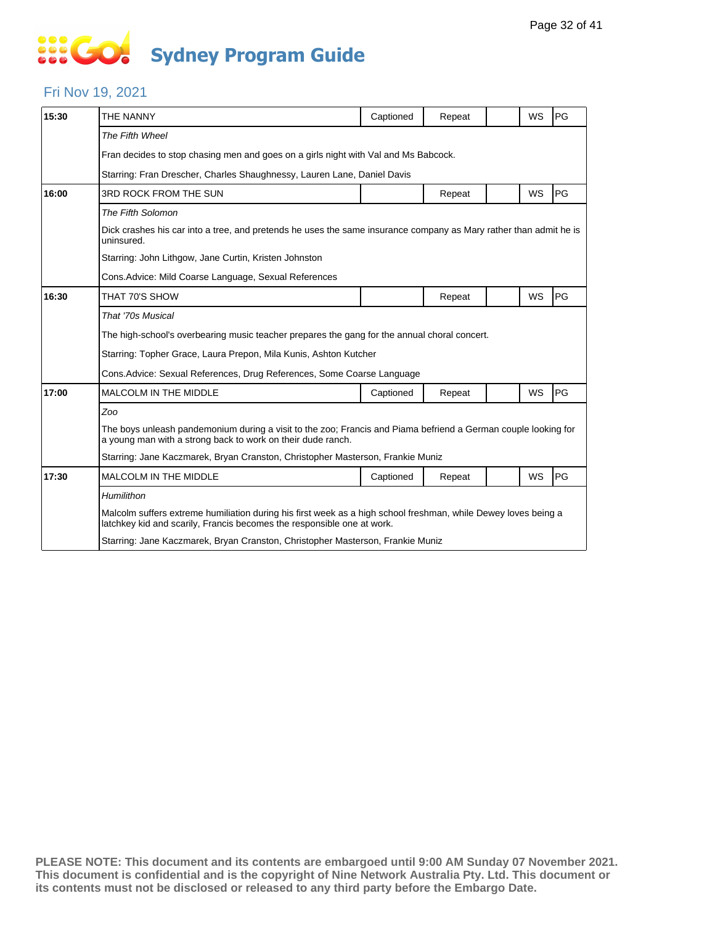# **... Go Sydney Program Guide**

### Fri Nov 19, 2021

| 15:30 | THE NANNY                                                                                                                                                                                | Captioned | Repeat |  | <b>WS</b> | PG |  |  |
|-------|------------------------------------------------------------------------------------------------------------------------------------------------------------------------------------------|-----------|--------|--|-----------|----|--|--|
|       | The Fifth Wheel                                                                                                                                                                          |           |        |  |           |    |  |  |
|       | Fran decides to stop chasing men and goes on a girls night with Val and Ms Babcock.                                                                                                      |           |        |  |           |    |  |  |
|       | Starring: Fran Drescher, Charles Shaughnessy, Lauren Lane, Daniel Davis                                                                                                                  |           |        |  |           |    |  |  |
| 16:00 | 3RD ROCK FROM THE SUN                                                                                                                                                                    |           | Repeat |  | WS        | PG |  |  |
|       | The Fifth Solomon                                                                                                                                                                        |           |        |  |           |    |  |  |
|       | Dick crashes his car into a tree, and pretends he uses the same insurance company as Mary rather than admit he is<br>uninsured.                                                          |           |        |  |           |    |  |  |
|       | Starring: John Lithgow, Jane Curtin, Kristen Johnston                                                                                                                                    |           |        |  |           |    |  |  |
|       | Cons. Advice: Mild Coarse Language, Sexual References                                                                                                                                    |           |        |  |           |    |  |  |
| 16:30 | THAT 70'S SHOW                                                                                                                                                                           |           | Repeat |  | WS        | PG |  |  |
|       | That '70s Musical                                                                                                                                                                        |           |        |  |           |    |  |  |
|       | The high-school's overbearing music teacher prepares the gang for the annual choral concert.                                                                                             |           |        |  |           |    |  |  |
|       | Starring: Topher Grace, Laura Prepon, Mila Kunis, Ashton Kutcher                                                                                                                         |           |        |  |           |    |  |  |
|       | Cons. Advice: Sexual References, Drug References, Some Coarse Language                                                                                                                   |           |        |  |           |    |  |  |
| 17:00 | <b>MALCOLM IN THE MIDDLE</b>                                                                                                                                                             | Captioned | Repeat |  | WS        | PG |  |  |
|       | Zoo                                                                                                                                                                                      |           |        |  |           |    |  |  |
|       | The boys unleash pandemonium during a visit to the zoo; Francis and Piama befriend a German couple looking for<br>a young man with a strong back to work on their dude ranch.            |           |        |  |           |    |  |  |
|       | Starring: Jane Kaczmarek, Bryan Cranston, Christopher Masterson, Frankie Muniz                                                                                                           |           |        |  |           |    |  |  |
| 17:30 | <b>MALCOLM IN THE MIDDLE</b>                                                                                                                                                             | Captioned | Repeat |  | WS        | PG |  |  |
|       | Humilithon                                                                                                                                                                               |           |        |  |           |    |  |  |
|       | Malcolm suffers extreme humiliation during his first week as a high school freshman, while Dewey loves being a<br>latchkey kid and scarily, Francis becomes the responsible one at work. |           |        |  |           |    |  |  |
|       | Starring: Jane Kaczmarek, Bryan Cranston, Christopher Masterson, Frankie Muniz                                                                                                           |           |        |  |           |    |  |  |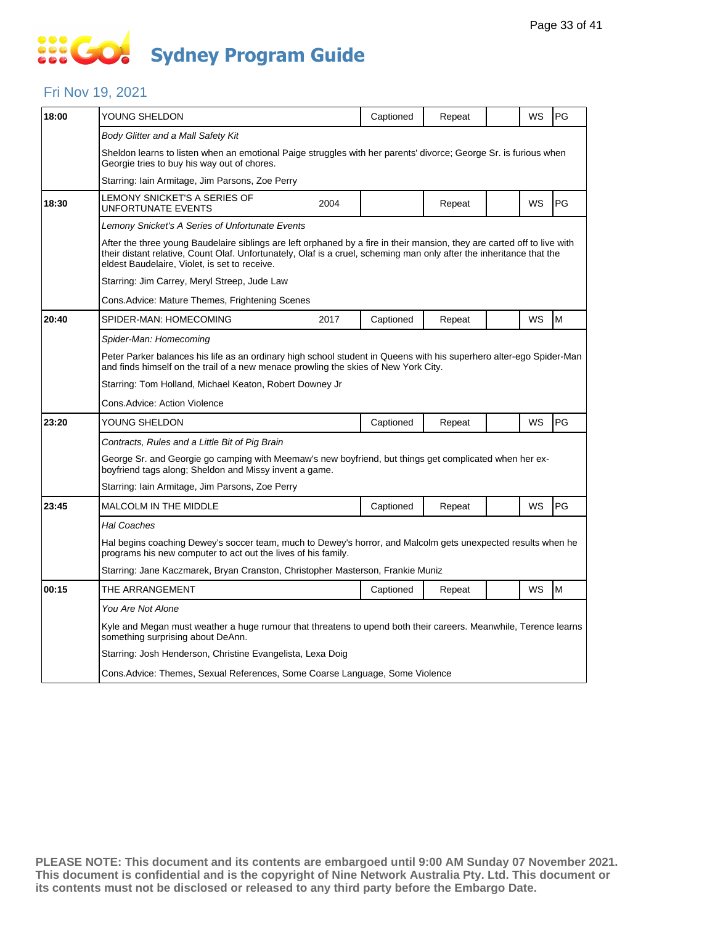### Fri Nov 19, 2021

| 18:00 | YOUNG SHELDON                                                                                                                                                                                                                                                                                     |      | Captioned | Repeat |  | WS | PG |  |  |
|-------|---------------------------------------------------------------------------------------------------------------------------------------------------------------------------------------------------------------------------------------------------------------------------------------------------|------|-----------|--------|--|----|----|--|--|
|       | Body Glitter and a Mall Safety Kit                                                                                                                                                                                                                                                                |      |           |        |  |    |    |  |  |
|       | Sheldon learns to listen when an emotional Paige struggles with her parents' divorce; George Sr. is furious when<br>Georgie tries to buy his way out of chores.                                                                                                                                   |      |           |        |  |    |    |  |  |
|       | Starring: Iain Armitage, Jim Parsons, Zoe Perry                                                                                                                                                                                                                                                   |      |           |        |  |    |    |  |  |
| 18:30 | LEMONY SNICKET'S A SERIES OF<br>UNFORTUNATE EVENTS                                                                                                                                                                                                                                                | 2004 |           | Repeat |  | WS | PG |  |  |
|       | Lemony Snicket's A Series of Unfortunate Events                                                                                                                                                                                                                                                   |      |           |        |  |    |    |  |  |
|       | After the three young Baudelaire siblings are left orphaned by a fire in their mansion, they are carted off to live with<br>their distant relative, Count Olaf. Unfortunately, Olaf is a cruel, scheming man only after the inheritance that the<br>eldest Baudelaire, Violet, is set to receive. |      |           |        |  |    |    |  |  |
|       | Starring: Jim Carrey, Meryl Streep, Jude Law                                                                                                                                                                                                                                                      |      |           |        |  |    |    |  |  |
|       | Cons.Advice: Mature Themes, Frightening Scenes                                                                                                                                                                                                                                                    |      |           |        |  |    |    |  |  |
| 20:40 | SPIDER-MAN: HOMECOMING                                                                                                                                                                                                                                                                            | 2017 | Captioned | Repeat |  | WS | M  |  |  |
|       | Spider-Man: Homecoming                                                                                                                                                                                                                                                                            |      |           |        |  |    |    |  |  |
|       | Peter Parker balances his life as an ordinary high school student in Queens with his superhero alter-ego Spider-Man<br>and finds himself on the trail of a new menace prowling the skies of New York City.                                                                                        |      |           |        |  |    |    |  |  |
|       | Starring: Tom Holland, Michael Keaton, Robert Downey Jr                                                                                                                                                                                                                                           |      |           |        |  |    |    |  |  |
|       | <b>Cons.Advice: Action Violence</b>                                                                                                                                                                                                                                                               |      |           |        |  |    |    |  |  |
| 23:20 | YOUNG SHELDON                                                                                                                                                                                                                                                                                     |      | Captioned | Repeat |  | WS | PG |  |  |
|       | Contracts, Rules and a Little Bit of Pig Brain                                                                                                                                                                                                                                                    |      |           |        |  |    |    |  |  |
|       | George Sr. and Georgie go camping with Meemaw's new boyfriend, but things get complicated when her ex-<br>boyfriend tags along; Sheldon and Missy invent a game.                                                                                                                                  |      |           |        |  |    |    |  |  |
|       | Starring: Iain Armitage, Jim Parsons, Zoe Perry                                                                                                                                                                                                                                                   |      |           |        |  |    |    |  |  |
| 23:45 | <b>MALCOLM IN THE MIDDLE</b>                                                                                                                                                                                                                                                                      |      | Captioned | Repeat |  | WS | PG |  |  |
|       | <b>Hal Coaches</b>                                                                                                                                                                                                                                                                                |      |           |        |  |    |    |  |  |
|       | Hal begins coaching Dewey's soccer team, much to Dewey's horror, and Malcolm gets unexpected results when he<br>programs his new computer to act out the lives of his family.                                                                                                                     |      |           |        |  |    |    |  |  |
|       | Starring: Jane Kaczmarek, Bryan Cranston, Christopher Masterson, Frankie Muniz                                                                                                                                                                                                                    |      |           |        |  |    |    |  |  |
| 00:15 | THE ARRANGEMENT                                                                                                                                                                                                                                                                                   |      | Captioned | Repeat |  | WS | M  |  |  |
|       | You Are Not Alone                                                                                                                                                                                                                                                                                 |      |           |        |  |    |    |  |  |
|       | Kyle and Megan must weather a huge rumour that threatens to upend both their careers. Meanwhile, Terence learns<br>something surprising about DeAnn.                                                                                                                                              |      |           |        |  |    |    |  |  |
|       | Starring: Josh Henderson, Christine Evangelista, Lexa Doig                                                                                                                                                                                                                                        |      |           |        |  |    |    |  |  |
|       | Cons. Advice: Themes, Sexual References, Some Coarse Language, Some Violence                                                                                                                                                                                                                      |      |           |        |  |    |    |  |  |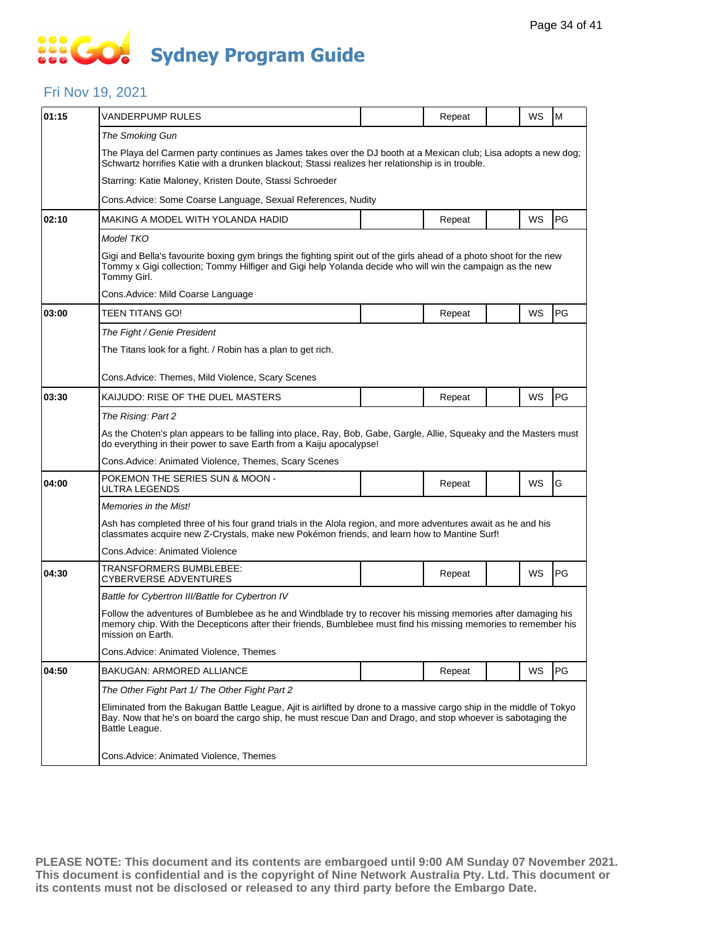### Fri Nov 19, 2021

| 01:15 | VANDERPUMP RULES                                                                                                                                                                                                                                       |  | Repeat |  | WS | M  |  |  |  |
|-------|--------------------------------------------------------------------------------------------------------------------------------------------------------------------------------------------------------------------------------------------------------|--|--------|--|----|----|--|--|--|
|       | The Smoking Gun                                                                                                                                                                                                                                        |  |        |  |    |    |  |  |  |
|       | The Playa del Carmen party continues as James takes over the DJ booth at a Mexican club; Lisa adopts a new dog;<br>Schwartz horrifies Katie with a drunken blackout; Stassi realizes her relationship is in trouble.                                   |  |        |  |    |    |  |  |  |
|       | Starring: Katie Maloney, Kristen Doute, Stassi Schroeder                                                                                                                                                                                               |  |        |  |    |    |  |  |  |
|       | Cons. Advice: Some Coarse Language, Sexual References, Nudity                                                                                                                                                                                          |  |        |  |    |    |  |  |  |
| 02:10 | MAKING A MODEL WITH YOLANDA HADID                                                                                                                                                                                                                      |  | Repeat |  | WS | PG |  |  |  |
|       | Model TKO                                                                                                                                                                                                                                              |  |        |  |    |    |  |  |  |
|       | Gigi and Bella's favourite boxing gym brings the fighting spirit out of the girls ahead of a photo shoot for the new<br>Tommy x Gigi collection; Tommy Hilfiger and Gigi help Yolanda decide who will win the campaign as the new<br>Tommy Girl.       |  |        |  |    |    |  |  |  |
|       | Cons. Advice: Mild Coarse Language                                                                                                                                                                                                                     |  |        |  |    |    |  |  |  |
| 03:00 | TEEN TITANS GO!                                                                                                                                                                                                                                        |  | Repeat |  | WS | PG |  |  |  |
|       | The Fight / Genie President                                                                                                                                                                                                                            |  |        |  |    |    |  |  |  |
|       | The Titans look for a fight. / Robin has a plan to get rich.                                                                                                                                                                                           |  |        |  |    |    |  |  |  |
|       | Cons.Advice: Themes, Mild Violence, Scary Scenes                                                                                                                                                                                                       |  |        |  |    |    |  |  |  |
| 03:30 | KAIJUDO: RISE OF THE DUEL MASTERS                                                                                                                                                                                                                      |  |        |  | WS | PG |  |  |  |
|       | The Rising: Part 2                                                                                                                                                                                                                                     |  | Repeat |  |    |    |  |  |  |
|       | As the Choten's plan appears to be falling into place, Ray, Bob, Gabe, Gargle, Allie, Squeaky and the Masters must                                                                                                                                     |  |        |  |    |    |  |  |  |
|       | do everything in their power to save Earth from a Kaiju apocalypse!                                                                                                                                                                                    |  |        |  |    |    |  |  |  |
|       | Cons.Advice: Animated Violence, Themes, Scary Scenes                                                                                                                                                                                                   |  |        |  |    |    |  |  |  |
| 04:00 | POKEMON THE SERIES SUN & MOON -<br>ULTRA LEGENDS                                                                                                                                                                                                       |  | Repeat |  | WS | G  |  |  |  |
|       | Memories in the Mist!                                                                                                                                                                                                                                  |  |        |  |    |    |  |  |  |
|       | Ash has completed three of his four grand trials in the Alola region, and more adventures await as he and his<br>classmates acquire new Z-Crystals, make new Pokémon friends, and learn how to Mantine Surf!                                           |  |        |  |    |    |  |  |  |
|       | Cons.Advice: Animated Violence                                                                                                                                                                                                                         |  |        |  |    |    |  |  |  |
| 04:30 | TRANSFORMERS BUMBLEBEE:<br>CYBERVERSE ADVENTURES                                                                                                                                                                                                       |  | Repeat |  | WS | PG |  |  |  |
|       | Battle for Cybertron III/Battle for Cybertron IV                                                                                                                                                                                                       |  |        |  |    |    |  |  |  |
|       | Follow the adventures of Bumblebee as he and Windblade try to recover his missing memories after damaging his<br>memory chip. With the Decepticons after their friends, Bumblebee must find his missing memories to remember his<br>mission on Earth.  |  |        |  |    |    |  |  |  |
|       | Cons. Advice: Animated Violence, Themes                                                                                                                                                                                                                |  |        |  |    |    |  |  |  |
| 04:50 | BAKUGAN: ARMORED ALLIANCE                                                                                                                                                                                                                              |  | Repeat |  | WS | PG |  |  |  |
|       | The Other Fight Part 1/ The Other Fight Part 2                                                                                                                                                                                                         |  |        |  |    |    |  |  |  |
|       | Eliminated from the Bakugan Battle League, Ajit is airlifted by drone to a massive cargo ship in the middle of Tokyo<br>Bay. Now that he's on board the cargo ship, he must rescue Dan and Drago, and stop whoever is sabotaging the<br>Battle League. |  |        |  |    |    |  |  |  |
|       | Cons. Advice: Animated Violence, Themes                                                                                                                                                                                                                |  |        |  |    |    |  |  |  |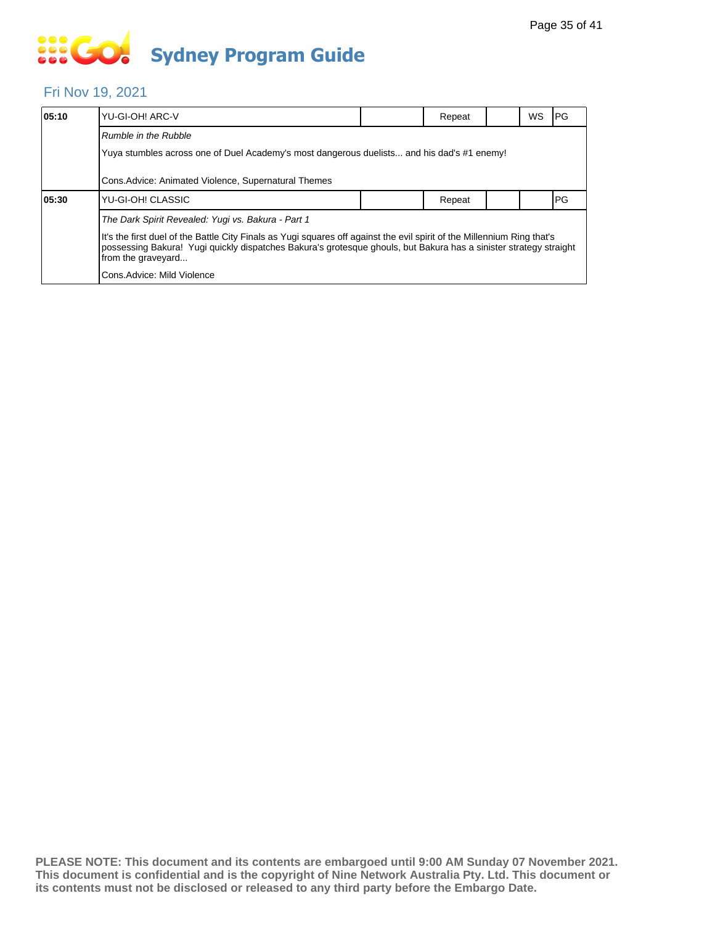# **... Go Sydney Program Guide**

### Fri Nov 19, 2021

| 05:10 | YU-GI-OH! ARC-V                                                                                                                                                                                                                                                    |  | Repeat |  | <b>WS</b> | IPG. |  |  |  |
|-------|--------------------------------------------------------------------------------------------------------------------------------------------------------------------------------------------------------------------------------------------------------------------|--|--------|--|-----------|------|--|--|--|
|       | Rumble in the Rubble                                                                                                                                                                                                                                               |  |        |  |           |      |  |  |  |
|       | Yuya stumbles across one of Duel Academy's most dangerous duelists and his dad's #1 enemy!                                                                                                                                                                         |  |        |  |           |      |  |  |  |
|       | Cons. Advice: Animated Violence, Supernatural Themes                                                                                                                                                                                                               |  |        |  |           |      |  |  |  |
| 05:30 | YU-GI-OH! CLASSIC                                                                                                                                                                                                                                                  |  | Repeat |  |           | PG   |  |  |  |
|       | The Dark Spirit Revealed: Yugi vs. Bakura - Part 1                                                                                                                                                                                                                 |  |        |  |           |      |  |  |  |
|       | It's the first duel of the Battle City Finals as Yugi squares off against the evil spirit of the Millennium Ring that's<br>possessing Bakura! Yugi guickly dispatches Bakura's grotesque ghouls, but Bakura has a sinister strategy straight<br>from the graveyard |  |        |  |           |      |  |  |  |
|       | Cons.Advice: Mild Violence                                                                                                                                                                                                                                         |  |        |  |           |      |  |  |  |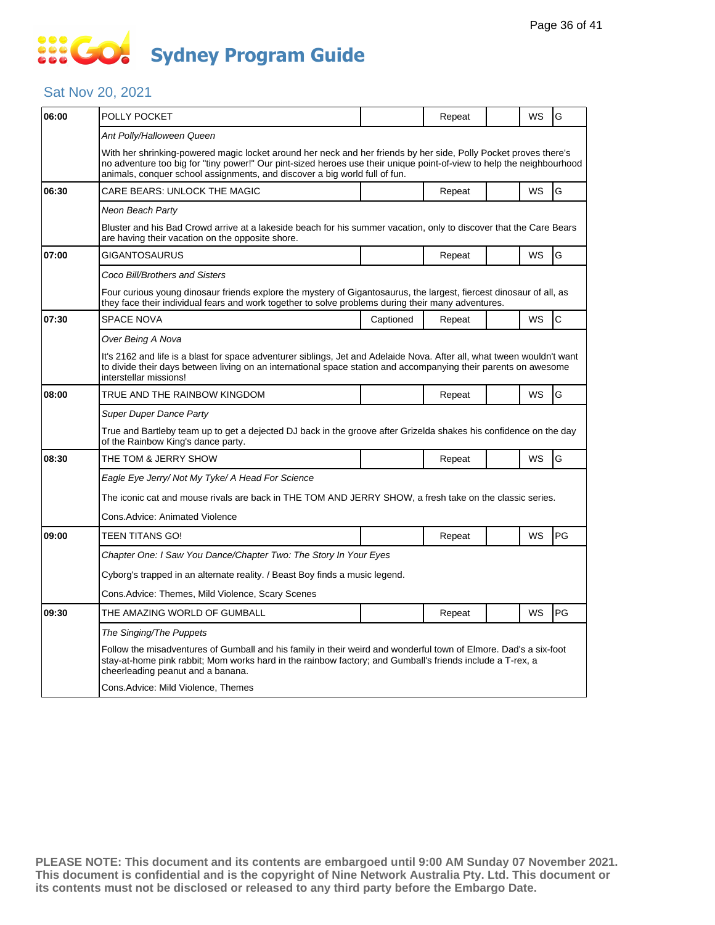### Sat Nov 20, 2021

| 06:00 | POLLY POCKET                                                                                                                                                                                                                                                                                                            |           | Repeat |  | WS        | G            |  |  |
|-------|-------------------------------------------------------------------------------------------------------------------------------------------------------------------------------------------------------------------------------------------------------------------------------------------------------------------------|-----------|--------|--|-----------|--------------|--|--|
|       | Ant Polly/Halloween Queen                                                                                                                                                                                                                                                                                               |           |        |  |           |              |  |  |
|       | With her shrinking-powered magic locket around her neck and her friends by her side, Polly Pocket proves there's<br>no adventure too big for "tiny power!" Our pint-sized heroes use their unique point-of-view to help the neighbourhood<br>animals, conquer school assignments, and discover a big world full of fun. |           |        |  |           |              |  |  |
| 06:30 | CARE BEARS: UNLOCK THE MAGIC                                                                                                                                                                                                                                                                                            |           | Repeat |  | WS        | G            |  |  |
|       | Neon Beach Party                                                                                                                                                                                                                                                                                                        |           |        |  |           |              |  |  |
|       | Bluster and his Bad Crowd arrive at a lakeside beach for his summer vacation, only to discover that the Care Bears<br>are having their vacation on the opposite shore.                                                                                                                                                  |           |        |  |           |              |  |  |
| 07:00 | GIGANTOSAURUS                                                                                                                                                                                                                                                                                                           |           | Repeat |  | WS        | G            |  |  |
|       | Coco Bill/Brothers and Sisters                                                                                                                                                                                                                                                                                          |           |        |  |           |              |  |  |
|       | Four curious young dinosaur friends explore the mystery of Gigantosaurus, the largest, fiercest dinosaur of all, as<br>they face their individual fears and work together to solve problems during their many adventures.                                                                                               |           |        |  |           |              |  |  |
| 07:30 | <b>SPACE NOVA</b>                                                                                                                                                                                                                                                                                                       | Captioned | Repeat |  | <b>WS</b> | $\mathsf{C}$ |  |  |
|       | Over Being A Nova                                                                                                                                                                                                                                                                                                       |           |        |  |           |              |  |  |
|       | It's 2162 and life is a blast for space adventurer siblings, Jet and Adelaide Nova. After all, what tween wouldn't want<br>to divide their days between living on an international space station and accompanying their parents on awesome<br>interstellar missions!                                                    |           |        |  |           |              |  |  |
| 08:00 | TRUE AND THE RAINBOW KINGDOM                                                                                                                                                                                                                                                                                            |           | Repeat |  | <b>WS</b> | G            |  |  |
|       | <b>Super Duper Dance Party</b>                                                                                                                                                                                                                                                                                          |           |        |  |           |              |  |  |
|       | True and Bartleby team up to get a dejected DJ back in the groove after Grizelda shakes his confidence on the day<br>of the Rainbow King's dance party.                                                                                                                                                                 |           |        |  |           |              |  |  |
| 08:30 | THE TOM & JERRY SHOW                                                                                                                                                                                                                                                                                                    |           | Repeat |  | WS        | G            |  |  |
|       | Eagle Eye Jerry/ Not My Tyke/ A Head For Science                                                                                                                                                                                                                                                                        |           |        |  |           |              |  |  |
|       | The iconic cat and mouse rivals are back in THE TOM AND JERRY SHOW, a fresh take on the classic series.                                                                                                                                                                                                                 |           |        |  |           |              |  |  |
|       | Cons.Advice: Animated Violence                                                                                                                                                                                                                                                                                          |           |        |  |           |              |  |  |
| 09:00 | TEEN TITANS GO!                                                                                                                                                                                                                                                                                                         |           | Repeat |  | WS        | PG           |  |  |
|       | Chapter One: I Saw You Dance/Chapter Two: The Story In Your Eyes                                                                                                                                                                                                                                                        |           |        |  |           |              |  |  |
|       | Cyborg's trapped in an alternate reality. / Beast Boy finds a music legend.                                                                                                                                                                                                                                             |           |        |  |           |              |  |  |
|       | Cons.Advice: Themes, Mild Violence, Scary Scenes                                                                                                                                                                                                                                                                        |           |        |  |           |              |  |  |
| 09:30 | THE AMAZING WORLD OF GUMBALL                                                                                                                                                                                                                                                                                            |           | Repeat |  | WS        | PG           |  |  |
|       | The Singing/The Puppets                                                                                                                                                                                                                                                                                                 |           |        |  |           |              |  |  |
|       | Follow the misadventures of Gumball and his family in their weird and wonderful town of Elmore. Dad's a six-foot<br>stay-at-home pink rabbit; Mom works hard in the rainbow factory; and Gumball's friends include a T-rex, a<br>cheerleading peanut and a banana.                                                      |           |        |  |           |              |  |  |
|       | Cons.Advice: Mild Violence, Themes                                                                                                                                                                                                                                                                                      |           |        |  |           |              |  |  |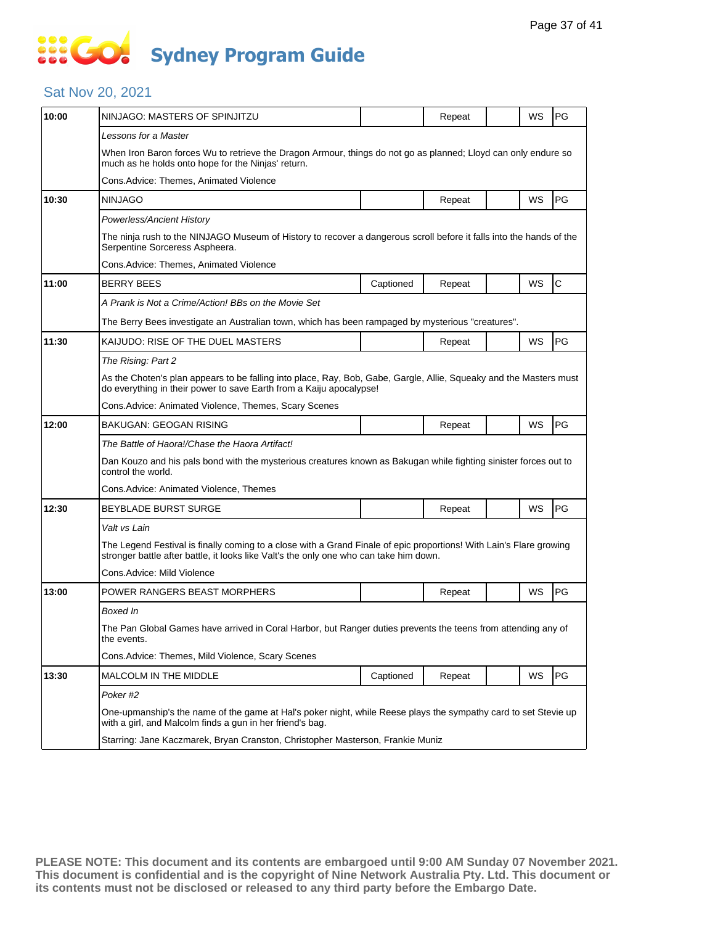# **SOCO Sydney Program Guide**

### Sat Nov 20, 2021

| 10:00 | NINJAGO: MASTERS OF SPINJITZU                                                                                                                                                                                 |           | Repeat |  | WS        | <b>PG</b>   |  |  |  |
|-------|---------------------------------------------------------------------------------------------------------------------------------------------------------------------------------------------------------------|-----------|--------|--|-----------|-------------|--|--|--|
|       | Lessons for a Master                                                                                                                                                                                          |           |        |  |           |             |  |  |  |
|       | When Iron Baron forces Wu to retrieve the Dragon Armour, things do not go as planned; Lloyd can only endure so<br>much as he holds onto hope for the Ninjas' return.                                          |           |        |  |           |             |  |  |  |
|       | Cons.Advice: Themes, Animated Violence                                                                                                                                                                        |           |        |  |           |             |  |  |  |
| 10:30 | <b>NINJAGO</b>                                                                                                                                                                                                |           | Repeat |  | WS        | <b>PG</b>   |  |  |  |
|       | Powerless/Ancient History                                                                                                                                                                                     |           |        |  |           |             |  |  |  |
|       | The ninja rush to the NINJAGO Museum of History to recover a dangerous scroll before it falls into the hands of the<br>Serpentine Sorceress Aspheera.                                                         |           |        |  |           |             |  |  |  |
|       | Cons.Advice: Themes, Animated Violence                                                                                                                                                                        |           |        |  |           |             |  |  |  |
| 11:00 | <b>BERRY BEES</b>                                                                                                                                                                                             | Captioned | Repeat |  | WS        | $\mathsf C$ |  |  |  |
|       | A Prank is Not a Crime/Action! BBs on the Movie Set                                                                                                                                                           |           |        |  |           |             |  |  |  |
|       | The Berry Bees investigate an Australian town, which has been rampaged by mysterious "creatures".                                                                                                             |           |        |  |           |             |  |  |  |
| 11:30 | KAIJUDO: RISE OF THE DUEL MASTERS                                                                                                                                                                             |           | Repeat |  | WS        | PG          |  |  |  |
|       | The Rising: Part 2                                                                                                                                                                                            |           |        |  |           |             |  |  |  |
|       | As the Choten's plan appears to be falling into place, Ray, Bob, Gabe, Gargle, Allie, Squeaky and the Masters must<br>do everything in their power to save Earth from a Kaiju apocalypse!                     |           |        |  |           |             |  |  |  |
|       | Cons.Advice: Animated Violence, Themes, Scary Scenes                                                                                                                                                          |           |        |  |           |             |  |  |  |
| 12:00 | <b>BAKUGAN: GEOGAN RISING</b>                                                                                                                                                                                 |           | Repeat |  | WS        | PG          |  |  |  |
|       | The Battle of Haora!/Chase the Haora Artifact!                                                                                                                                                                |           |        |  |           |             |  |  |  |
|       | Dan Kouzo and his pals bond with the mysterious creatures known as Bakugan while fighting sinister forces out to<br>control the world.                                                                        |           |        |  |           |             |  |  |  |
|       | Cons.Advice: Animated Violence, Themes                                                                                                                                                                        |           |        |  |           |             |  |  |  |
| 12:30 | <b>BEYBLADE BURST SURGE</b>                                                                                                                                                                                   |           | Repeat |  | <b>WS</b> | PG          |  |  |  |
|       | Valt vs Lain                                                                                                                                                                                                  |           |        |  |           |             |  |  |  |
|       | The Legend Festival is finally coming to a close with a Grand Finale of epic proportions! With Lain's Flare growing<br>stronger battle after battle, it looks like Valt's the only one who can take him down. |           |        |  |           |             |  |  |  |
|       | Cons.Advice: Mild Violence                                                                                                                                                                                    |           |        |  |           |             |  |  |  |
| 13:00 | POWER RANGERS BEAST MORPHERS                                                                                                                                                                                  |           | Repeat |  | WS        | <b>PG</b>   |  |  |  |
|       | Boxed In                                                                                                                                                                                                      |           |        |  |           |             |  |  |  |
|       | The Pan Global Games have arrived in Coral Harbor, but Ranger duties prevents the teens from attending any of<br>the events.                                                                                  |           |        |  |           |             |  |  |  |
|       | Cons. Advice: Themes, Mild Violence, Scary Scenes                                                                                                                                                             |           |        |  |           |             |  |  |  |
| 13:30 | MALCOLM IN THE MIDDLE                                                                                                                                                                                         | Captioned | Repeat |  | WS        | PG          |  |  |  |
|       | Poker#2                                                                                                                                                                                                       |           |        |  |           |             |  |  |  |
|       | One-upmanship's the name of the game at Hal's poker night, while Reese plays the sympathy card to set Stevie up<br>with a girl, and Malcolm finds a gun in her friend's bag.                                  |           |        |  |           |             |  |  |  |
|       | Starring: Jane Kaczmarek, Bryan Cranston, Christopher Masterson, Frankie Muniz                                                                                                                                |           |        |  |           |             |  |  |  |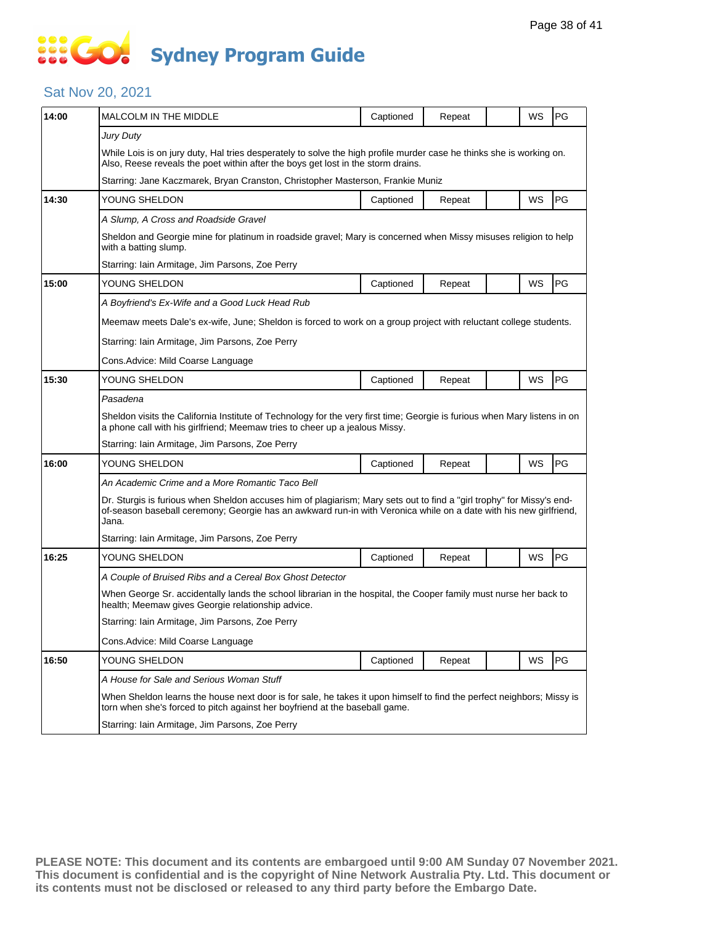### Sat Nov 20, 2021

| 14:00 | <b>MALCOLM IN THE MIDDLE</b>                                                                                                                                                                                                                        | Captioned                                                                                                       | Repeat |  | WS | PG |  |  |  |
|-------|-----------------------------------------------------------------------------------------------------------------------------------------------------------------------------------------------------------------------------------------------------|-----------------------------------------------------------------------------------------------------------------|--------|--|----|----|--|--|--|
|       | <b>Jury Duty</b><br>While Lois is on jury duty, Hal tries desperately to solve the high profile murder case he thinks she is working on.<br>Also, Reese reveals the poet within after the boys get lost in the storm drains.                        |                                                                                                                 |        |  |    |    |  |  |  |
|       | Starring: Jane Kaczmarek, Bryan Cranston, Christopher Masterson, Frankie Muniz                                                                                                                                                                      |                                                                                                                 |        |  |    |    |  |  |  |
| 14:30 | YOUNG SHELDON                                                                                                                                                                                                                                       | Captioned                                                                                                       | Repeat |  | WS | PG |  |  |  |
|       | A Slump, A Cross and Roadside Gravel                                                                                                                                                                                                                |                                                                                                                 |        |  |    |    |  |  |  |
|       | with a batting slump.                                                                                                                                                                                                                               | Sheldon and Georgie mine for platinum in roadside gravel; Mary is concerned when Missy misuses religion to help |        |  |    |    |  |  |  |
|       | Starring: Iain Armitage, Jim Parsons, Zoe Perry                                                                                                                                                                                                     |                                                                                                                 |        |  |    |    |  |  |  |
| 15:00 | YOUNG SHELDON                                                                                                                                                                                                                                       | Captioned                                                                                                       | Repeat |  | WS | PG |  |  |  |
|       | A Boyfriend's Ex-Wife and a Good Luck Head Rub                                                                                                                                                                                                      |                                                                                                                 |        |  |    |    |  |  |  |
|       | Meemaw meets Dale's ex-wife, June; Sheldon is forced to work on a group project with reluctant college students.                                                                                                                                    |                                                                                                                 |        |  |    |    |  |  |  |
|       | Starring: Iain Armitage, Jim Parsons, Zoe Perry                                                                                                                                                                                                     |                                                                                                                 |        |  |    |    |  |  |  |
|       | Cons. Advice: Mild Coarse Language                                                                                                                                                                                                                  |                                                                                                                 |        |  |    |    |  |  |  |
| 15:30 | YOUNG SHELDON                                                                                                                                                                                                                                       | Captioned                                                                                                       | Repeat |  | WS | PG |  |  |  |
|       | Pasadena                                                                                                                                                                                                                                            |                                                                                                                 |        |  |    |    |  |  |  |
|       | Sheldon visits the California Institute of Technology for the very first time; Georgie is furious when Mary listens in on<br>a phone call with his girlfriend; Meemaw tries to cheer up a jealous Missy.                                            |                                                                                                                 |        |  |    |    |  |  |  |
|       | Starring: Iain Armitage, Jim Parsons, Zoe Perry                                                                                                                                                                                                     |                                                                                                                 |        |  |    |    |  |  |  |
| 16:00 | YOUNG SHELDON                                                                                                                                                                                                                                       | Captioned                                                                                                       | Repeat |  | WS | PG |  |  |  |
|       | An Academic Crime and a More Romantic Taco Bell                                                                                                                                                                                                     |                                                                                                                 |        |  |    |    |  |  |  |
|       | Dr. Sturgis is furious when Sheldon accuses him of plagiarism; Mary sets out to find a "girl trophy" for Missy's end-<br>of-season baseball ceremony; Georgie has an awkward run-in with Veronica while on a date with his new girlfriend,<br>Jana. |                                                                                                                 |        |  |    |    |  |  |  |
|       | Starring: Iain Armitage, Jim Parsons, Zoe Perry                                                                                                                                                                                                     |                                                                                                                 |        |  |    |    |  |  |  |
| 16:25 | YOUNG SHELDON                                                                                                                                                                                                                                       | Captioned                                                                                                       | Repeat |  | WS | PG |  |  |  |
|       | A Couple of Bruised Ribs and a Cereal Box Ghost Detector                                                                                                                                                                                            |                                                                                                                 |        |  |    |    |  |  |  |
|       | When George Sr. accidentally lands the school librarian in the hospital, the Cooper family must nurse her back to<br>health; Meemaw gives Georgie relationship advice.                                                                              |                                                                                                                 |        |  |    |    |  |  |  |
|       | Starring: Iain Armitage, Jim Parsons, Zoe Perry                                                                                                                                                                                                     |                                                                                                                 |        |  |    |    |  |  |  |
|       | Cons.Advice: Mild Coarse Language                                                                                                                                                                                                                   |                                                                                                                 |        |  |    |    |  |  |  |
| 16:50 | YOUNG SHELDON                                                                                                                                                                                                                                       | Captioned                                                                                                       | Repeat |  | WS | PG |  |  |  |
|       | A House for Sale and Serious Woman Stuff                                                                                                                                                                                                            |                                                                                                                 |        |  |    |    |  |  |  |
|       | When Sheldon learns the house next door is for sale, he takes it upon himself to find the perfect neighbors; Missy is<br>torn when she's forced to pitch against her boyfriend at the baseball game.                                                |                                                                                                                 |        |  |    |    |  |  |  |
|       | Starring: Iain Armitage, Jim Parsons, Zoe Perry                                                                                                                                                                                                     |                                                                                                                 |        |  |    |    |  |  |  |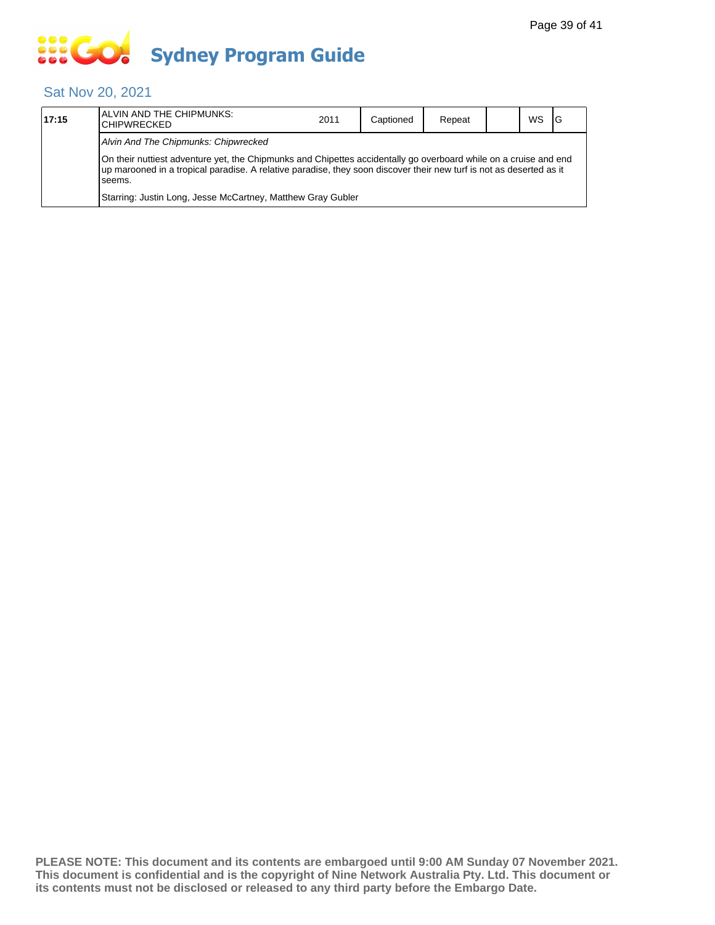# **... Go Sydney Program Guide**

### Sat Nov 20, 2021

| 17:15 | ALVIN AND THE CHIPMUNKS:<br><b>CHIPWRECKED</b>                                                                                                                                                                                                    | 2011 | Captioned | Repeat |  | WS | IG |
|-------|---------------------------------------------------------------------------------------------------------------------------------------------------------------------------------------------------------------------------------------------------|------|-----------|--------|--|----|----|
|       | Alvin And The Chipmunks: Chipwrecked                                                                                                                                                                                                              |      |           |        |  |    |    |
|       | On their nuttiest adventure yet, the Chipmunks and Chipettes accidentally go overboard while on a cruise and end<br>up marooned in a tropical paradise. A relative paradise, they soon discover their new turf is not as deserted as it<br>seems. |      |           |        |  |    |    |
|       | Starring: Justin Long, Jesse McCartney, Matthew Gray Gubler                                                                                                                                                                                       |      |           |        |  |    |    |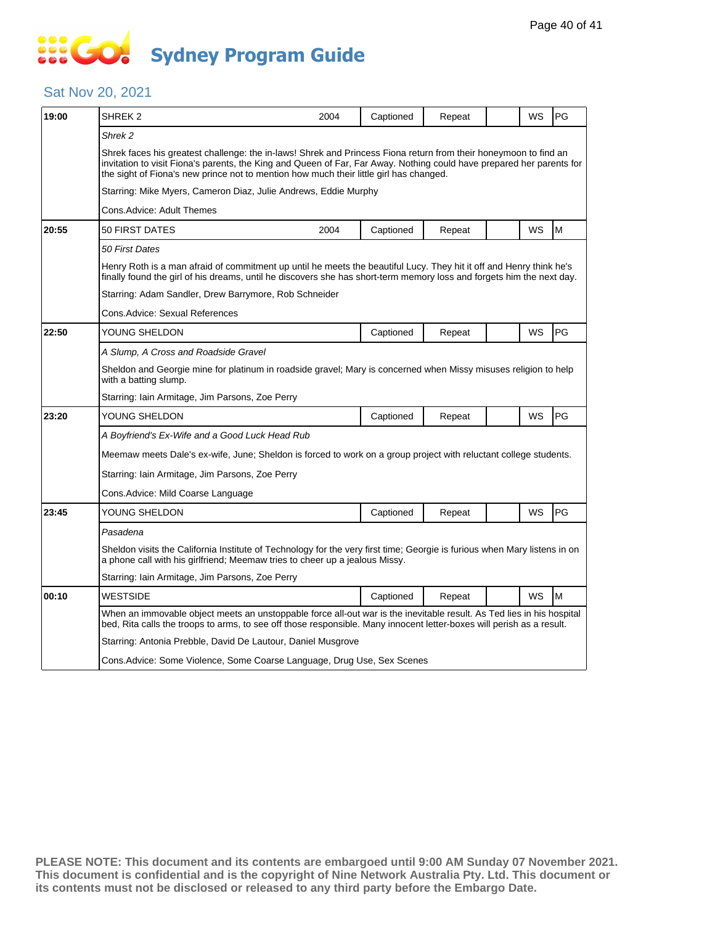# **SOCOL Sydney Program Guide**

### Sat Nov 20, 2021

| 19:00 | SHREK 2                                                                                                                                                                                                                                                                                                                             | 2004                                                                                                                                                                                                                                         | Captioned | Repeat |  | WS | PG |  |  |
|-------|-------------------------------------------------------------------------------------------------------------------------------------------------------------------------------------------------------------------------------------------------------------------------------------------------------------------------------------|----------------------------------------------------------------------------------------------------------------------------------------------------------------------------------------------------------------------------------------------|-----------|--------|--|----|----|--|--|
|       | Shrek 2                                                                                                                                                                                                                                                                                                                             |                                                                                                                                                                                                                                              |           |        |  |    |    |  |  |
|       | Shrek faces his greatest challenge: the in-laws! Shrek and Princess Fiona return from their honeymoon to find an<br>invitation to visit Fiona's parents, the King and Queen of Far, Far Away. Nothing could have prepared her parents for<br>the sight of Fiona's new prince not to mention how much their little girl has changed. |                                                                                                                                                                                                                                              |           |        |  |    |    |  |  |
|       |                                                                                                                                                                                                                                                                                                                                     | Starring: Mike Myers, Cameron Diaz, Julie Andrews, Eddie Murphy                                                                                                                                                                              |           |        |  |    |    |  |  |
|       | Cons.Advice: Adult Themes                                                                                                                                                                                                                                                                                                           |                                                                                                                                                                                                                                              |           |        |  |    |    |  |  |
| 20:55 | 50 FIRST DATES                                                                                                                                                                                                                                                                                                                      | 2004                                                                                                                                                                                                                                         | Captioned | Repeat |  | WS | M  |  |  |
|       | 50 First Dates                                                                                                                                                                                                                                                                                                                      |                                                                                                                                                                                                                                              |           |        |  |    |    |  |  |
|       |                                                                                                                                                                                                                                                                                                                                     | Henry Roth is a man afraid of commitment up until he meets the beautiful Lucy. They hit it off and Henry think he's<br>finally found the girl of his dreams, until he discovers she has short-term memory loss and forgets him the next day. |           |        |  |    |    |  |  |
|       | Starring: Adam Sandler, Drew Barrymore, Rob Schneider                                                                                                                                                                                                                                                                               |                                                                                                                                                                                                                                              |           |        |  |    |    |  |  |
|       | Cons. Advice: Sexual References                                                                                                                                                                                                                                                                                                     |                                                                                                                                                                                                                                              |           |        |  |    |    |  |  |
| 22:50 | YOUNG SHELDON                                                                                                                                                                                                                                                                                                                       |                                                                                                                                                                                                                                              | Captioned | Repeat |  | WS | PG |  |  |
|       | A Slump, A Cross and Roadside Gravel                                                                                                                                                                                                                                                                                                |                                                                                                                                                                                                                                              |           |        |  |    |    |  |  |
|       | Sheldon and Georgie mine for platinum in roadside gravel; Mary is concerned when Missy misuses religion to help<br>with a batting slump.                                                                                                                                                                                            |                                                                                                                                                                                                                                              |           |        |  |    |    |  |  |
|       | Starring: Iain Armitage, Jim Parsons, Zoe Perry                                                                                                                                                                                                                                                                                     |                                                                                                                                                                                                                                              |           |        |  |    |    |  |  |
| 23:20 | YOUNG SHELDON                                                                                                                                                                                                                                                                                                                       |                                                                                                                                                                                                                                              | Captioned | Repeat |  | WS | PG |  |  |
|       | A Boyfriend's Ex-Wife and a Good Luck Head Rub                                                                                                                                                                                                                                                                                      |                                                                                                                                                                                                                                              |           |        |  |    |    |  |  |
|       | Meemaw meets Dale's ex-wife, June; Sheldon is forced to work on a group project with reluctant college students.                                                                                                                                                                                                                    |                                                                                                                                                                                                                                              |           |        |  |    |    |  |  |
|       | Starring: Iain Armitage, Jim Parsons, Zoe Perry                                                                                                                                                                                                                                                                                     |                                                                                                                                                                                                                                              |           |        |  |    |    |  |  |
|       | Cons.Advice: Mild Coarse Language                                                                                                                                                                                                                                                                                                   |                                                                                                                                                                                                                                              |           |        |  |    |    |  |  |
| 23:45 | YOUNG SHELDON                                                                                                                                                                                                                                                                                                                       |                                                                                                                                                                                                                                              | Captioned | Repeat |  | WS | PG |  |  |
|       | Pasadena                                                                                                                                                                                                                                                                                                                            |                                                                                                                                                                                                                                              |           |        |  |    |    |  |  |
|       | Sheldon visits the California Institute of Technology for the very first time; Georgie is furious when Mary listens in on<br>a phone call with his girlfriend; Meemaw tries to cheer up a jealous Missy.                                                                                                                            |                                                                                                                                                                                                                                              |           |        |  |    |    |  |  |
|       | Starring: Iain Armitage, Jim Parsons, Zoe Perry                                                                                                                                                                                                                                                                                     |                                                                                                                                                                                                                                              |           |        |  |    |    |  |  |
| 00:10 | <b>WESTSIDE</b>                                                                                                                                                                                                                                                                                                                     |                                                                                                                                                                                                                                              | Captioned | Repeat |  | WS | M  |  |  |
|       | When an immovable object meets an unstoppable force all-out war is the inevitable result. As Ted lies in his hospital<br>bed, Rita calls the troops to arms, to see off those responsible. Many innocent letter-boxes will perish as a result.                                                                                      |                                                                                                                                                                                                                                              |           |        |  |    |    |  |  |
|       | Starring: Antonia Prebble, David De Lautour, Daniel Musgrove                                                                                                                                                                                                                                                                        |                                                                                                                                                                                                                                              |           |        |  |    |    |  |  |
|       | Cons.Advice: Some Violence, Some Coarse Language, Drug Use, Sex Scenes                                                                                                                                                                                                                                                              |                                                                                                                                                                                                                                              |           |        |  |    |    |  |  |